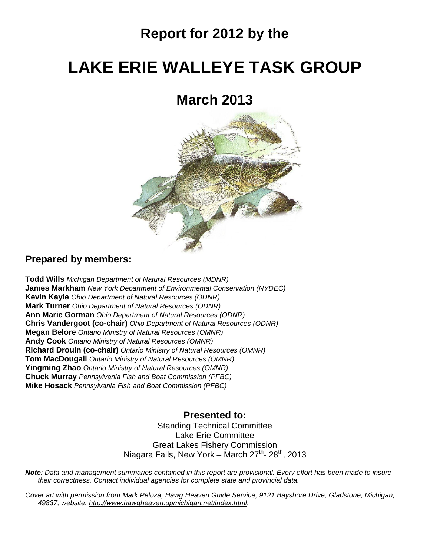## **Report for 2012 by the**

# **LAKE ERIE WALLEYE TASK GROUP**

## **March 2013**



### **Prepared by members:**

**Todd Wills** *Michigan Department of Natural Resources (MDNR)* **James Markham** *New York Department of Environmental Conservation (NYDEC)* **Kevin Kayle** *Ohio Department of Natural Resources (ODNR)* **Mark Turner** *Ohio Department of Natural Resources (ODNR)* **Ann Marie Gorman** *Ohio Department of Natural Resources (ODNR)* **Chris Vandergoot (co-chair)** *Ohio Department of Natural Resources (ODNR)* **Megan Belore** *Ontario Ministry of Natural Resources (OMNR)* **Andy Cook** *Ontario Ministry of Natural Resources (OMNR)* **Richard Drouin (co-chair)** *Ontario Ministry of Natural Resources (OMNR)* **Tom MacDougall** *Ontario Ministry of Natural Resources (OMNR)* **Yingming Zhao** *Ontario Ministry of Natural Resources (OMNR)* **Chuck Murray** *Pennsylvania Fish and Boat Commission (PFBC)* **Mike Hosack** *Pennsylvania Fish and Boat Commission (PFBC)*

### **Presented to:**

Standing Technical Committee Lake Erie Committee Great Lakes Fishery Commission Niagara Falls, New York – March 27<sup>th</sup>- 28<sup>th</sup>, 2013

*Note: Data and management summaries contained in this report are provisional. Every effort has been made to insure their correctness. Contact individual agencies for complete state and provincial data.*

*Cover art with permission from Mark Peloza, Hawg Heaven Guide Service, 9121 Bayshore Drive, Gladstone, Michigan, 49837, website: [http://www.hawgheaven.upmichigan.net/index.html.](http://www.hawgheaven.upmichigan.net/index.html)*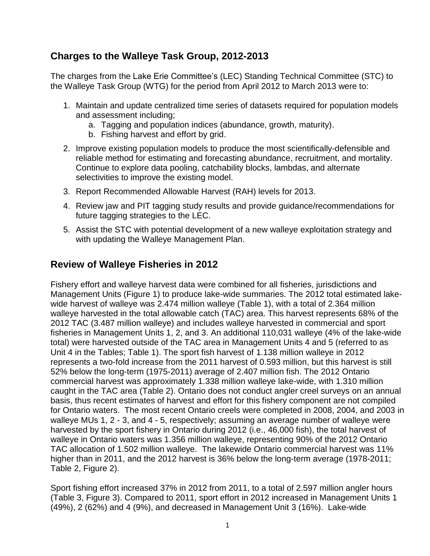## **Charges to the Walleye Task Group, 2012-2013**

The charges from the Lake Erie Committee's (LEC) Standing Technical Committee (STC) to the Walleye Task Group (WTG) for the period from April 2012 to March 2013 were to:

- 1. Maintain and update centralized time series of datasets required for population models and assessment including;
	- a. Tagging and population indices (abundance, growth, maturity).
	- b. Fishing harvest and effort by grid.
- 2. Improve existing population models to produce the most scientifically-defensible and reliable method for estimating and forecasting abundance, recruitment, and mortality. Continue to explore data pooling, catchability blocks, lambdas, and alternate selectivities to improve the existing model.
- 3. Report Recommended Allowable Harvest (RAH) levels for 2013.
- 4. Review jaw and PIT tagging study results and provide guidance/recommendations for future tagging strategies to the LEC.
- 5. Assist the STC with potential development of a new walleye exploitation strategy and with updating the Walleye Management Plan.

## **Review of Walleye Fisheries in 2012**

Fishery effort and walleye harvest data were combined for all fisheries, jurisdictions and Management Units (Figure 1) to produce lake-wide summaries. The 2012 total estimated lakewide harvest of walleye was 2.474 million walleye (Table 1), with a total of 2.364 million walleye harvested in the total allowable catch (TAC) area. This harvest represents 68% of the 2012 TAC (3.487 million walleye) and includes walleye harvested in commercial and sport fisheries in Management Units 1, 2, and 3. An additional 110,031 walleye (4% of the lake-wide total) were harvested outside of the TAC area in Management Units 4 and 5 (referred to as Unit 4 in the Tables; Table 1). The sport fish harvest of 1.138 million walleye in 2012 represents a two-fold increase from the 2011 harvest of 0.593 million, but this harvest is still 52% below the long-term (1975-2011) average of 2.407 million fish. The 2012 Ontario commercial harvest was approximately 1.338 million walleye lake-wide, with 1.310 million caught in the TAC area (Table 2). Ontario does not conduct angler creel surveys on an annual basis, thus recent estimates of harvest and effort for this fishery component are not compiled for Ontario waters. The most recent Ontario creels were completed in 2008, 2004, and 2003 in walleye MUs 1, 2 - 3, and 4 - 5, respectively; assuming an average number of walleye were harvested by the sport fishery in Ontario during 2012 (i.e., 46,000 fish), the total harvest of walleye in Ontario waters was 1.356 million walleye, representing 90% of the 2012 Ontario TAC allocation of 1.502 million walleye. The lakewide Ontario commercial harvest was 11% higher than in 2011, and the 2012 harvest is 36% below the long-term average (1978-2011; Table 2, Figure 2).

Sport fishing effort increased 37% in 2012 from 2011, to a total of 2.597 million angler hours (Table 3, Figure 3). Compared to 2011, sport effort in 2012 increased in Management Units 1 (49%), 2 (62%) and 4 (9%), and decreased in Management Unit 3 (16%). Lake-wide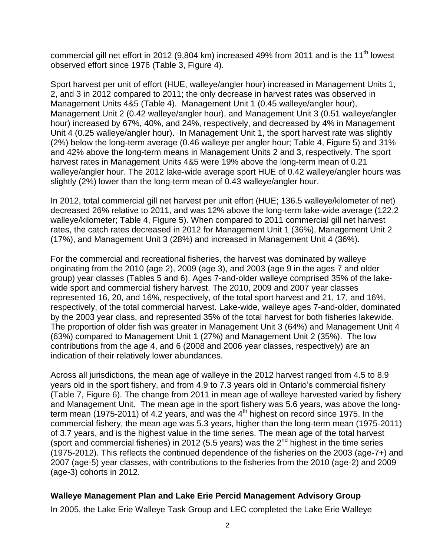commercial gill net effort in 2012 (9,804 km) increased 49% from 2011 and is the 11<sup>th</sup> lowest observed effort since 1976 (Table 3, Figure 4).

Sport harvest per unit of effort (HUE, walleye/angler hour) increased in Management Units 1, 2, and 3 in 2012 compared to 2011; the only decrease in harvest rates was observed in Management Units 4&5 (Table 4). Management Unit 1 (0.45 walleye/angler hour), Management Unit 2 (0.42 walleye/angler hour), and Management Unit 3 (0.51 walleye/angler hour) increased by 67%, 40%, and 24%, respectively, and decreased by 4% in Management Unit 4 (0.25 walleye/angler hour). In Management Unit 1, the sport harvest rate was slightly (2%) below the long-term average (0.46 walleye per angler hour; Table 4, Figure 5) and 31% and 42% above the long-term means in Management Units 2 and 3, respectively. The sport harvest rates in Management Units 4&5 were 19% above the long-term mean of 0.21 walleye/angler hour. The 2012 lake-wide average sport HUE of 0.42 walleye/angler hours was slightly (2%) lower than the long-term mean of 0.43 walleye/angler hour.

In 2012, total commercial gill net harvest per unit effort (HUE; 136.5 walleye/kilometer of net) decreased 26% relative to 2011, and was 12% above the long-term lake-wide average (122.2 walleye/kilometer; Table 4, Figure 5). When compared to 2011 commercial gill net harvest rates, the catch rates decreased in 2012 for Management Unit 1 (36%), Management Unit 2 (17%), and Management Unit 3 (28%) and increased in Management Unit 4 (36%).

For the commercial and recreational fisheries, the harvest was dominated by walleye originating from the 2010 (age 2), 2009 (age 3), and 2003 (age 9 in the ages 7 and older group) year classes (Tables 5 and 6). Ages 7-and-older walleye comprised 35% of the lakewide sport and commercial fishery harvest. The 2010, 2009 and 2007 year classes represented 16, 20, and 16%, respectively, of the total sport harvest and 21, 17, and 16%, respectively, of the total commercial harvest. Lake-wide, walleye ages 7-and-older, dominated by the 2003 year class, and represented 35% of the total harvest for both fisheries lakewide. The proportion of older fish was greater in Management Unit 3 (64%) and Management Unit 4 (63%) compared to Management Unit 1 (27%) and Management Unit 2 (35%). The low contributions from the age 4, and 6 (2008 and 2006 year classes, respectively) are an indication of their relatively lower abundances.

Across all jurisdictions, the mean age of walleye in the 2012 harvest ranged from 4.5 to 8.9 years old in the sport fishery, and from 4.9 to 7.3 years old in Ontario's commercial fishery (Table 7, Figure 6). The change from 2011 in mean age of walleye harvested varied by fishery and Management Unit. The mean age in the sport fishery was 5.6 years, was above the longterm mean (1975-2011) of 4.2 years, and was the 4<sup>th</sup> highest on record since 1975. In the commercial fishery, the mean age was 5.3 years, higher than the long-term mean (1975-2011) of 3.7 years, and is the highest value in the time series. The mean age of the total harvest (sport and commercial fisheries) in 2012 (5.5 years) was the  $2^{nd}$  highest in the time series (1975-2012). This reflects the continued dependence of the fisheries on the 2003 (age-7+) and 2007 (age-5) year classes, with contributions to the fisheries from the 2010 (age-2) and 2009 (age-3) cohorts in 2012.

#### **Walleye Management Plan and Lake Erie Percid Management Advisory Group**

In 2005, the Lake Erie Walleye Task Group and LEC completed the Lake Erie Walleye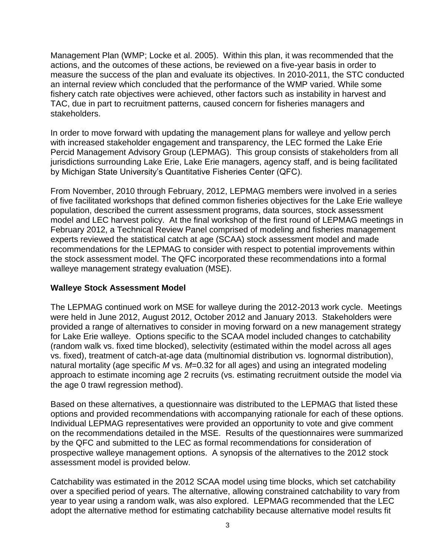Management Plan (WMP; Locke et al. 2005). Within this plan, it was recommended that the actions, and the outcomes of these actions, be reviewed on a five-year basis in order to measure the success of the plan and evaluate its objectives. In 2010-2011, the STC conducted an internal review which concluded that the performance of the WMP varied. While some fishery catch rate objectives were achieved, other factors such as instability in harvest and TAC, due in part to recruitment patterns, caused concern for fisheries managers and stakeholders.

In order to move forward with updating the management plans for walleye and yellow perch with increased stakeholder engagement and transparency, the LEC formed the Lake Erie Percid Management Advisory Group (LEPMAG). This group consists of stakeholders from all jurisdictions surrounding Lake Erie, Lake Erie managers, agency staff, and is being facilitated by Michigan State University's Quantitative Fisheries Center (QFC).

From November, 2010 through February, 2012, LEPMAG members were involved in a series of five facilitated workshops that defined common fisheries objectives for the Lake Erie walleye population, described the current assessment programs, data sources, stock assessment model and LEC harvest policy. At the final workshop of the first round of LEPMAG meetings in February 2012, a Technical Review Panel comprised of modeling and fisheries management experts reviewed the statistical catch at age (SCAA) stock assessment model and made recommendations for the LEPMAG to consider with respect to potential improvements within the stock assessment model. The QFC incorporated these recommendations into a formal walleye management strategy evaluation (MSE).

#### **Walleye Stock Assessment Model**

The LEPMAG continued work on MSE for walleye during the 2012-2013 work cycle. Meetings were held in June 2012, August 2012, October 2012 and January 2013. Stakeholders were provided a range of alternatives to consider in moving forward on a new management strategy for Lake Erie walleye. Options specific to the SCAA model included changes to catchability (random walk vs. fixed time blocked), selectivity (estimated within the model across all ages vs. fixed), treatment of catch-at-age data (multinomial distribution vs. lognormal distribution), natural mortality (age specific *M* vs. *M*=0.32 for all ages) and using an integrated modeling approach to estimate incoming age 2 recruits (vs. estimating recruitment outside the model via the age 0 trawl regression method).

Based on these alternatives, a questionnaire was distributed to the LEPMAG that listed these options and provided recommendations with accompanying rationale for each of these options. Individual LEPMAG representatives were provided an opportunity to vote and give comment on the recommendations detailed in the MSE. Results of the questionnaires were summarized by the QFC and submitted to the LEC as formal recommendations for consideration of prospective walleye management options. A synopsis of the alternatives to the 2012 stock assessment model is provided below.

Catchability was estimated in the 2012 SCAA model using time blocks, which set catchability over a specified period of years. The alternative, allowing constrained catchability to vary from year to year using a random walk, was also explored. LEPMAG recommended that the LEC adopt the alternative method for estimating catchability because alternative model results fit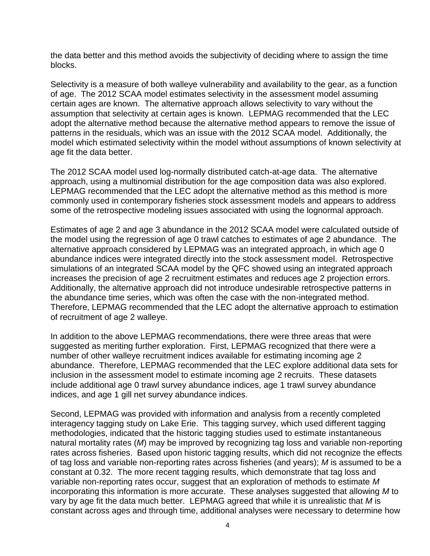the data better and this method avoids the subjectivity of deciding where to assign the time blocks.

Selectivity is a measure of both walleye vulnerability and availability to the gear, as a function of age. The 2012 SCAA model estimates selectivity in the assessment model assuming certain ages are known. The alternative approach allows selectivity to vary without the assumption that selectivity at certain ages is known. LEPMAG recommended that the LEC adopt the alternative method because the alternative method appears to remove the issue of patterns in the residuals, which was an issue with the 2012 SCAA model. Additionally, the model which estimated selectivity within the model without assumptions of known selectivity at age fit the data better.

The 2012 SCAA model used log-normally distributed catch-at-age data. The alternative approach, using a multinomial distribution for the age composition data was also explored. LEPMAG recommended that the LEC adopt the alternative method as this method is more commonly used in contemporary fisheries stock assessment models and appears to address some of the retrospective modeling issues associated with using the lognormal approach.

Estimates of age 2 and age 3 abundance in the 2012 SCAA model were calculated outside of the model using the regression of age 0 trawl catches to estimates of age 2 abundance. The alternative approach considered by LEPMAG was an integrated approach, in which age 0 abundance indices were integrated directly into the stock assessment model. Retrospective simulations of an integrated SCAA model by the QFC showed using an integrated approach increases the precision of age 2 recruitment estimates and reduces age 2 projection errors. Additionally, the alternative approach did not introduce undesirable retrospective patterns in the abundance time series, which was often the case with the non-integrated method. Therefore, LEPMAG recommended that the LEC adopt the alternative approach to estimation of recruitment of age 2 walleye.

In addition to the above LEPMAG recommendations, there were three areas that were suggested as meriting further exploration. First, LEPMAG recognized that there were a number of other walleye recruitment indices available for estimating incoming age 2 abundance. Therefore, LEPMAG recommended that the LEC explore additional data sets for inclusion in the assessment model to estimate incoming age 2 recruits. These datasets include additional age 0 trawl survey abundance indices, age 1 trawl survey abundance indices, and age 1 gill net survey abundance indices.

Second, LEPMAG was provided with information and analysis from a recently completed interagency tagging study on Lake Erie. This tagging survey, which used different tagging methodologies, indicated that the historic tagging studies used to estimate instantaneous natural mortality rates (*M*) may be improved by recognizing tag loss and variable non-reporting rates across fisheries. Based upon historic tagging results, which did not recognize the effects of tag loss and variable non-reporting rates across fisheries (and years); *M* is assumed to be a constant at 0.32. The more recent tagging results, which demonstrate that tag loss and variable non-reporting rates occur, suggest that an exploration of methods to estimate *M* incorporating this information is more accurate. These analyses suggested that allowing *M* to vary by age fit the data much better. LEPMAG agreed that while it is unrealistic that *M* is constant across ages and through time, additional analyses were necessary to determine how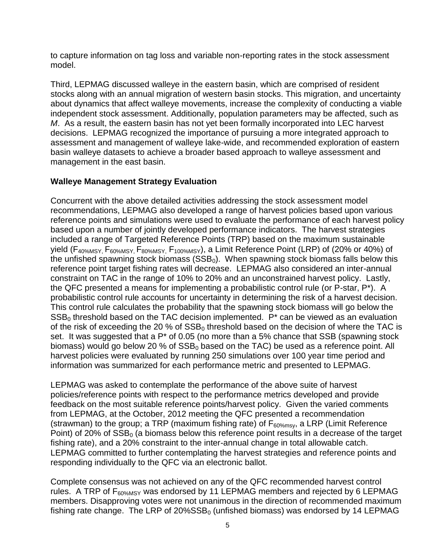to capture information on tag loss and variable non-reporting rates in the stock assessment model.

Third, LEPMAG discussed walleye in the eastern basin, which are comprised of resident stocks along with an annual migration of western basin stocks. This migration, and uncertainty about dynamics that affect walleye movements, increase the complexity of conducting a viable independent stock assessment. Additionally, population parameters may be affected, such as *M*. As a result, the eastern basin has not yet been formally incorporated into LEC harvest decisions. LEPMAG recognized the importance of pursuing a more integrated approach to assessment and management of walleye lake-wide, and recommended exploration of eastern basin walleye datasets to achieve a broader based approach to walleye assessment and management in the east basin.

#### **Walleye Management Strategy Evaluation**

Concurrent with the above detailed activities addressing the stock assessment model recommendations, LEPMAG also developed a range of harvest policies based upon various reference points and simulations were used to evaluate the performance of each harvest policy based upon a number of jointly developed performance indicators. The harvest strategies included a range of Targeted Reference Points (TRP) based on the maximum sustainable yield ( $F_{40\%MSY}$ ,  $F_{60\%MSY}$ ,  $F_{80\%MSY}$ ,  $F_{100\%MSY}$ ), a Limit Reference Point (LRP) of (20% or 40%) of the unfished spawning stock biomass ( $SSB<sub>0</sub>$ ). When spawning stock biomass falls below this reference point target fishing rates will decrease. LEPMAG also considered an inter-annual constraint on TAC in the range of 10% to 20% and an unconstrained harvest policy. Lastly, the QFC presented a means for implementing a probabilistic control rule (or P-star, P\*). A probabilistic control rule accounts for uncertainty in determining the risk of a harvest decision. This control rule calculates the probability that the spawning stock biomass will go below the  $SSB<sub>0</sub>$  threshold based on the TAC decision implemented.  $P^*$  can be viewed as an evaluation of the risk of exceeding the 20 % of  $SSB<sub>0</sub>$  threshold based on the decision of where the TAC is set. It was suggested that a P<sup>\*</sup> of 0.05 (no more than a 5% chance that SSB (spawning stock biomass) would go below 20 % of  $SSB<sub>0</sub>$  based on the TAC) be used as a reference point. All harvest policies were evaluated by running 250 simulations over 100 year time period and information was summarized for each performance metric and presented to LEPMAG.

LEPMAG was asked to contemplate the performance of the above suite of harvest policies/reference points with respect to the performance metrics developed and provide feedback on the most suitable reference points/harvest policy. Given the varied comments from LEPMAG, at the October, 2012 meeting the QFC presented a recommendation (strawman) to the group; a TRP (maximum fishing rate) of  $F_{60\%msv}$ , a LRP (Limit Reference Point) of 20% of  $SSB<sub>0</sub>$  (a biomass below this reference point results in a decrease of the target fishing rate), and a 20% constraint to the inter-annual change in total allowable catch. LEPMAG committed to further contemplating the harvest strategies and reference points and responding individually to the QFC via an electronic ballot.

Complete consensus was not achieved on any of the QFC recommended harvest control rules. A TRP of F<sub>60%MSY</sub> was endorsed by 11 LEPMAG members and rejected by 6 LEPMAG members. Disapproving votes were not unanimous in the direction of recommended maximum fishing rate change. The LRP of  $20\%$ SSB<sub>0</sub> (unfished biomass) was endorsed by 14 LEPMAG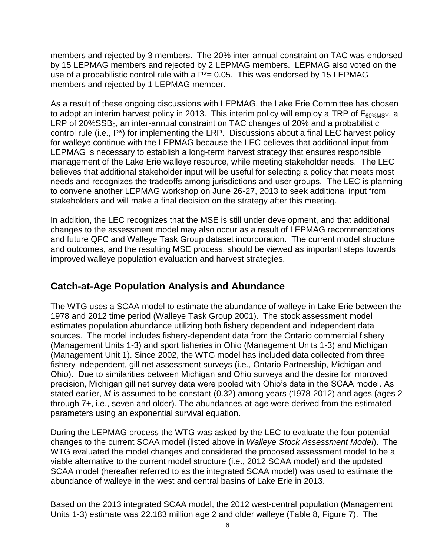members and rejected by 3 members. The 20% inter-annual constraint on TAC was endorsed by 15 LEPMAG members and rejected by 2 LEPMAG members. LEPMAG also voted on the use of a probabilistic control rule with a  $P^*=0.05$ . This was endorsed by 15 LEPMAG members and rejected by 1 LEPMAG member.

As a result of these ongoing discussions with LEPMAG, the Lake Erie Committee has chosen to adopt an interim harvest policy in 2013. This interim policy will employ a TRP of  $F_{60\%MSY}$ , a  $LRP$  of 20% $SSB<sub>0</sub>$ , an inter-annual constraint on TAC changes of 20% and a probabilistic control rule (i.e., P\*) for implementing the LRP. Discussions about a final LEC harvest policy for walleye continue with the LEPMAG because the LEC believes that additional input from LEPMAG is necessary to establish a long-term harvest strategy that ensures responsible management of the Lake Erie walleye resource, while meeting stakeholder needs. The LEC believes that additional stakeholder input will be useful for selecting a policy that meets most needs and recognizes the tradeoffs among jurisdictions and user groups. The LEC is planning to convene another LEPMAG workshop on June 26-27, 2013 to seek additional input from stakeholders and will make a final decision on the strategy after this meeting.

In addition, the LEC recognizes that the MSE is still under development, and that additional changes to the assessment model may also occur as a result of LEPMAG recommendations and future QFC and Walleye Task Group dataset incorporation. The current model structure and outcomes, and the resulting MSE process, should be viewed as important steps towards improved walleye population evaluation and harvest strategies.

## **Catch-at-Age Population Analysis and Abundance**

The WTG uses a SCAA model to estimate the abundance of walleye in Lake Erie between the 1978 and 2012 time period (Walleye Task Group 2001). The stock assessment model estimates population abundance utilizing both fishery dependent and independent data sources. The model includes fishery-dependent data from the Ontario commercial fishery (Management Units 1-3) and sport fisheries in Ohio (Management Units 1-3) and Michigan (Management Unit 1). Since 2002, the WTG model has included data collected from three fishery-independent, gill net assessment surveys (i.e., Ontario Partnership, Michigan and Ohio). Due to similarities between Michigan and Ohio surveys and the desire for improved precision, Michigan gill net survey data were pooled with Ohio's data in the SCAA model. As stated earlier, *M* is assumed to be constant (0.32) among years (1978-2012) and ages (ages 2 through 7+, i.e., seven and older). The abundances-at-age were derived from the estimated parameters using an exponential survival equation.

During the LEPMAG process the WTG was asked by the LEC to evaluate the four potential changes to the current SCAA model (listed above in *Walleye Stock Assessment Model*). The WTG evaluated the model changes and considered the proposed assessment model to be a viable alternative to the current model structure (i.e., 2012 SCAA model) and the updated SCAA model (hereafter referred to as the integrated SCAA model) was used to estimate the abundance of walleye in the west and central basins of Lake Erie in 2013.

Based on the 2013 integrated SCAA model, the 2012 west-central population (Management Units 1-3) estimate was 22.183 million age 2 and older walleye (Table 8, Figure 7). The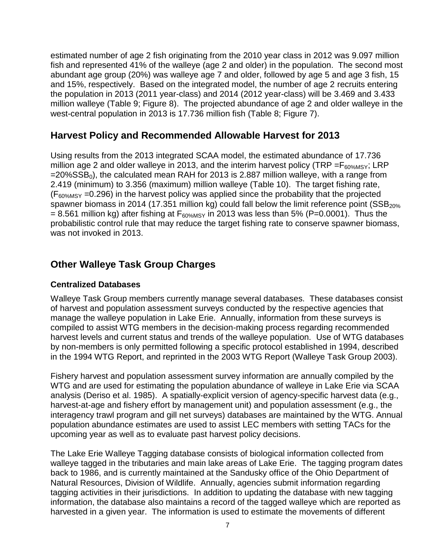estimated number of age 2 fish originating from the 2010 year class in 2012 was 9.097 million fish and represented 41% of the walleye (age 2 and older) in the population. The second most abundant age group (20%) was walleye age 7 and older, followed by age 5 and age 3 fish, 15 and 15%, respectively. Based on the integrated model, the number of age 2 recruits entering the population in 2013 (2011 year-class) and 2014 (2012 year-class) will be 3.469 and 3.433 million walleye (Table 9; Figure 8). The projected abundance of age 2 and older walleye in the west-central population in 2013 is 17.736 million fish (Table 8; Figure 7).

## **Harvest Policy and Recommended Allowable Harvest for 2013**

Using results from the 2013 integrated SCAA model, the estimated abundance of 17.736 million age 2 and older walleye in 2013, and the interim harvest policy (TRP = $F_{60\%MSY}$ ; LRP  $=20\%$ SSB<sub>0</sub>), the calculated mean RAH for 2013 is 2.887 million walleye, with a range from 2.419 (minimum) to 3.356 (maximum) million walleye (Table 10). The target fishing rate,  $(F_{60\%MSY}$  =0.296) in the harvest policy was applied since the probability that the projected spawner biomass in 2014 (17.351 million kg) could fall below the limit reference point  $(SSB<sub>20%</sub>$  $= 8.561$  million kg) after fishing at  $F_{60\%MSY}$  in 2013 was less than 5% (P=0.0001). Thus the probabilistic control rule that may reduce the target fishing rate to conserve spawner biomass, was not invoked in 2013.

## **Other Walleye Task Group Charges**

#### **Centralized Databases**

Walleye Task Group members currently manage several databases. These databases consist of harvest and population assessment surveys conducted by the respective agencies that manage the walleye population in Lake Erie. Annually, information from these surveys is compiled to assist WTG members in the decision-making process regarding recommended harvest levels and current status and trends of the walleye population. Use of WTG databases by non-members is only permitted following a specific protocol established in 1994, described in the 1994 WTG Report, and reprinted in the 2003 WTG Report (Walleye Task Group 2003).

Fishery harvest and population assessment survey information are annually compiled by the WTG and are used for estimating the population abundance of walleye in Lake Erie via SCAA analysis (Deriso et al. 1985). A spatially-explicit version of agency-specific harvest data (e.g., harvest-at-age and fishery effort by management unit) and population assessment (e.g., the interagency trawl program and gill net surveys) databases are maintained by the WTG. Annual population abundance estimates are used to assist LEC members with setting TACs for the upcoming year as well as to evaluate past harvest policy decisions.

The Lake Erie Walleye Tagging database consists of biological information collected from walleye tagged in the tributaries and main lake areas of Lake Erie. The tagging program dates back to 1986, and is currently maintained at the Sandusky office of the Ohio Department of Natural Resources, Division of Wildlife. Annually, agencies submit information regarding tagging activities in their jurisdictions. In addition to updating the database with new tagging information, the database also maintains a record of the tagged walleye which are reported as harvested in a given year. The information is used to estimate the movements of different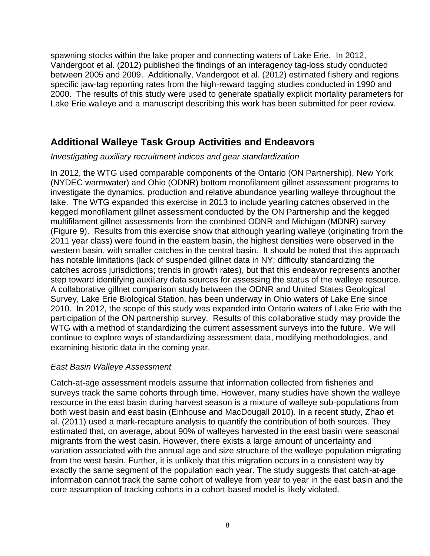spawning stocks within the lake proper and connecting waters of Lake Erie. In 2012, Vandergoot et al. (2012) published the findings of an interagency tag-loss study conducted between 2005 and 2009. Additionally, Vandergoot et al. (2012) estimated fishery and regions specific jaw-tag reporting rates from the high-reward tagging studies conducted in 1990 and 2000. The results of this study were used to generate spatially explicit mortality parameters for Lake Erie walleye and a manuscript describing this work has been submitted for peer review.

## **Additional Walleye Task Group Activities and Endeavors**

*Investigating auxiliary recruitment indices and gear standardization* 

In 2012, the WTG used comparable components of the Ontario (ON Partnership), New York (NYDEC warmwater) and Ohio (ODNR) bottom monofilament gillnet assessment programs to investigate the dynamics, production and relative abundance yearling walleye throughout the lake. The WTG expanded this exercise in 2013 to include yearling catches observed in the kegged monofilament gillnet assessment conducted by the ON Partnership and the kegged multifilament gillnet assessments from the combined ODNR and Michigan (MDNR) survey (Figure 9). Results from this exercise show that although yearling walleye (originating from the 2011 year class) were found in the eastern basin, the highest densities were observed in the western basin, with smaller catches in the central basin. It should be noted that this approach has notable limitations (lack of suspended gillnet data in NY; difficulty standardizing the catches across jurisdictions; trends in growth rates), but that this endeavor represents another step toward identifying auxiliary data sources for assessing the status of the walleye resource. A collaborative gillnet comparison study between the ODNR and United States Geological Survey, Lake Erie Biological Station, has been underway in Ohio waters of Lake Erie since 2010. In 2012, the scope of this study was expanded into Ontario waters of Lake Erie with the participation of the ON partnership survey. Results of this collaborative study may provide the WTG with a method of standardizing the current assessment surveys into the future. We will continue to explore ways of standardizing assessment data, modifying methodologies, and examining historic data in the coming year.

#### *East Basin Walleye Assessment*

Catch-at-age assessment models assume that information collected from fisheries and surveys track the same cohorts through time. However, many studies have shown the walleye resource in the east basin during harvest season is a mixture of walleye sub-populations from both west basin and east basin (Einhouse and MacDougall 2010). In a recent study, Zhao et al. (2011) used a mark-recapture analysis to quantify the contribution of both sources. They estimated that, on average, about 90% of walleyes harvested in the east basin were seasonal migrants from the west basin. However, there exists a large amount of uncertainty and variation associated with the annual age and size structure of the walleye population migrating from the west basin. Further, it is unlikely that this migration occurs in a consistent way by exactly the same segment of the population each year. The study suggests that catch-at-age information cannot track the same cohort of walleye from year to year in the east basin and the core assumption of tracking cohorts in a cohort-based model is likely violated.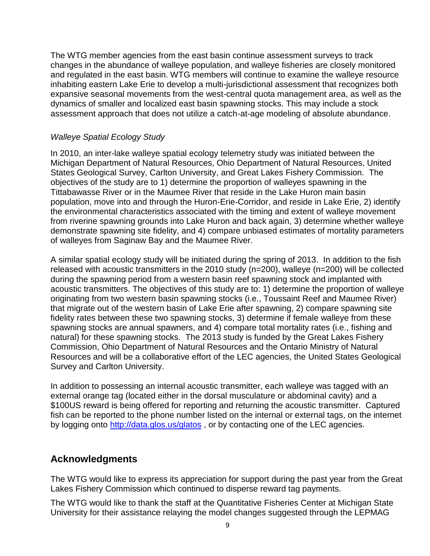The WTG member agencies from the east basin continue assessment surveys to track changes in the abundance of walleye population, and walleye fisheries are closely monitored and regulated in the east basin. WTG members will continue to examine the walleye resource inhabiting eastern Lake Erie to develop a multi-jurisdictional assessment that recognizes both expansive seasonal movements from the west-central quota management area, as well as the dynamics of smaller and localized east basin spawning stocks. This may include a stock assessment approach that does not utilize a catch-at-age modeling of absolute abundance.

#### *Walleye Spatial Ecology Study*

In 2010, an inter-lake walleye spatial ecology telemetry study was initiated between the Michigan Department of Natural Resources, Ohio Department of Natural Resources, United States Geological Survey, Carlton University, and Great Lakes Fishery Commission. The objectives of the study are to 1) determine the proportion of walleyes spawning in the Tittabawasse River or in the Maumee River that reside in the Lake Huron main basin population, move into and through the Huron-Erie-Corridor, and reside in Lake Erie, 2) identify the environmental characteristics associated with the timing and extent of walleye movement from riverine spawning grounds into Lake Huron and back again, 3) determine whether walleye demonstrate spawning site fidelity, and 4) compare unbiased estimates of mortality parameters of walleyes from Saginaw Bay and the Maumee River.

A similar spatial ecology study will be initiated during the spring of 2013. In addition to the fish released with acoustic transmitters in the 2010 study (n=200), walleye (n=200) will be collected during the spawning period from a western basin reef spawning stock and implanted with acoustic transmitters. The objectives of this study are to: 1) determine the proportion of walleye originating from two western basin spawning stocks (i.e., Toussaint Reef and Maumee River) that migrate out of the western basin of Lake Erie after spawning, 2) compare spawning site fidelity rates between these two spawning stocks, 3) determine if female walleye from these spawning stocks are annual spawners, and 4) compare total mortality rates (i.e., fishing and natural) for these spawning stocks. The 2013 study is funded by the Great Lakes Fishery Commission, Ohio Department of Natural Resources and the Ontario Ministry of Natural Resources and will be a collaborative effort of the LEC agencies, the United States Geological Survey and Carlton University.

In addition to possessing an internal acoustic transmitter, each walleye was tagged with an external orange tag (located either in the dorsal musculature or abdominal cavity) and a \$100US reward is being offered for reporting and returning the acoustic transmitter. Captured fish can be reported to the phone number listed on the internal or external tags, on the internet by logging onto<http://data.glos.us/glatos>, or by contacting one of the LEC agencies.

## **Acknowledgments**

The WTG would like to express its appreciation for support during the past year from the Great Lakes Fishery Commission which continued to disperse reward tag payments.

The WTG would like to thank the staff at the Quantitative Fisheries Center at Michigan State University for their assistance relaying the model changes suggested through the LEPMAG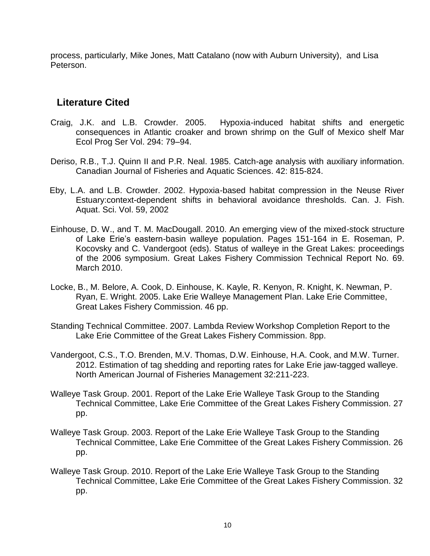process, particularly, Mike Jones, Matt Catalano (now with Auburn University), and Lisa Peterson.

#### **Literature Cited**

- Craig, J.K. and L.B. Crowder. 2005. Hypoxia-induced habitat shifts and energetic consequences in Atlantic croaker and brown shrimp on the Gulf of Mexico shelf Mar Ecol Prog Ser Vol. 294: 79–94.
- Deriso, R.B., T.J. Quinn II and P.R. Neal. 1985. Catch-age analysis with auxiliary information. Canadian Journal of Fisheries and Aquatic Sciences. 42: 815-824.
- Eby, L.A. and L.B. Crowder. 2002. Hypoxia-based habitat compression in the Neuse River Estuary:context-dependent shifts in behavioral avoidance thresholds. Can. J. Fish. Aquat. Sci. Vol. 59, 2002
- Einhouse, D. W., and T. M. MacDougall. 2010. An emerging view of the mixed-stock structure of Lake Erie's eastern-basin walleye population. Pages 151-164 in E. Roseman, P. Kocovsky and C. Vandergoot (eds). Status of walleye in the Great Lakes: proceedings of the 2006 symposium. Great Lakes Fishery Commission Technical Report No. 69. March 2010.
- Locke, B., M. Belore, A. Cook, D. Einhouse, K. Kayle, R. Kenyon, R. Knight, K. Newman, P. Ryan, E. Wright. 2005. Lake Erie Walleye Management Plan. Lake Erie Committee, Great Lakes Fishery Commission. 46 pp.
- Standing Technical Committee. 2007. Lambda Review Workshop Completion Report to the Lake Erie Committee of the Great Lakes Fishery Commission. 8pp.
- Vandergoot, C.S., T.O. Brenden, M.V. Thomas, D.W. Einhouse, H.A. Cook, and M.W. Turner. 2012. Estimation of tag shedding and reporting rates for Lake Erie jaw-tagged walleye. North American Journal of Fisheries Management 32:211-223.
- Walleye Task Group. 2001. Report of the Lake Erie Walleye Task Group to the Standing Technical Committee, Lake Erie Committee of the Great Lakes Fishery Commission. 27 pp.
- Walleye Task Group. 2003. Report of the Lake Erie Walleye Task Group to the Standing Technical Committee, Lake Erie Committee of the Great Lakes Fishery Commission. 26 pp.
- Walleye Task Group. 2010. Report of the Lake Erie Walleye Task Group to the Standing Technical Committee, Lake Erie Committee of the Great Lakes Fishery Commission. 32 pp.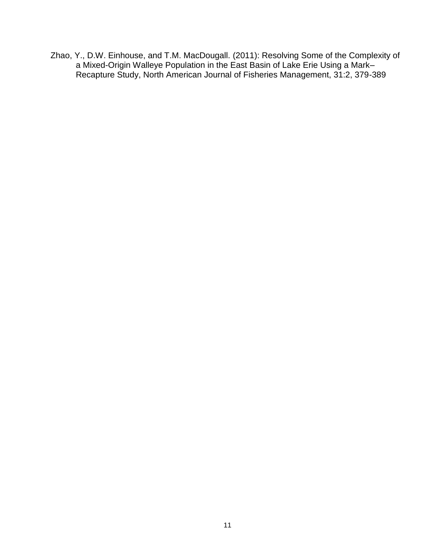Zhao, Y., D.W. Einhouse, and T.M. MacDougall. (2011): Resolving Some of the Complexity of a Mixed-Origin Walleye Population in the East Basin of Lake Erie Using a Mark– Recapture Study, North American Journal of Fisheries Management, 31:2, 379-389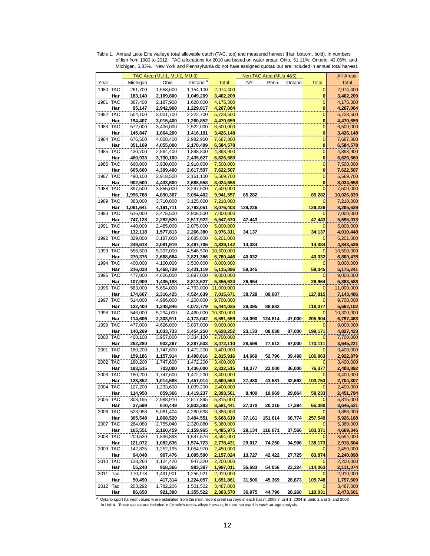| Ontario <sup>a</sup><br>Ohio<br>NY<br>Penn.<br>Michigan<br><b>Total</b><br>Ontario<br><b>Total</b><br><b>Total</b><br>Year<br>1980 TAC<br>261,700<br>1,558,600<br>1,154,100<br>2,974,400<br>2,974,400<br>0<br>Har<br>2,169,800<br>1,049,269<br>0<br>183,140<br>3,402,209<br>3,402,209<br>$\overline{0}$<br>1981 TAC<br>367,400<br>2,187,900<br>1,620,000<br>4,175,300<br>4,175,300<br>Har<br>1,229,017<br>0<br>95,147<br>2,942,900<br>4,267,064<br>4,267,064<br>1982 TAC<br>$\overline{0}$<br>504,100<br>3,001,700<br>2,222,700<br>5,728,500<br>5,728,500<br>Har<br>1,260,852<br>0<br>194,407<br>3,015,400<br>4,470,659<br>4,470,659<br>1983 TAC<br>2,522,000<br>$\mathbf{0}$<br>572,000<br>3,406,000<br>6,500,000<br>6,500,000<br>1,416,101<br>3,426,148<br>0<br>3,426,148<br>Har<br>145,847<br>1,864,200<br>1984 TAC<br>$\mathbf{0}$<br>676,500<br>4,028,400<br>2,982,900<br>7,687,800<br>7,687,800<br>0<br>Har<br>351,169<br>4,055,000<br>2,178,409<br>6,584,578<br>6,584,578<br>1985 TAC<br>$\mathbf 0$<br>430,700<br>2,564,400<br>1,898,800<br>4,893,900<br>4,893,900<br>0<br>460,933<br>2,435,627<br>6,626,660<br>6,626,660<br>Har<br>3,730,100<br>1986 TAC<br>660,000<br>2,910,000<br>$\mathbf 0$<br>3,930,000<br>7,500,000<br>7,500,000<br>605,600<br>2,617,507<br>0<br>7,622,507<br>Har<br>4,399,400<br>7,622,507<br>$\mathbf{0}$<br>1987 TAC<br>490,100<br>5,569,700<br>5,569,700<br>2,918,500<br>2,161,100<br>902,500<br>0<br>Har<br>4,433,600<br>2,688,558<br>8,024,658<br>8,024,658<br>1988 TAC<br>397,500<br>3,247,500<br>7,500,000<br>7,500,000<br>3,855,000<br>0<br>85,282<br>Har<br>1,996,788<br>4,890,367<br>3,054,402<br>9,941,557<br>85,282<br>10,026,839<br>1989 TAC<br>3,125,000<br>383,000<br>3,710,000<br>7,218,000<br>7,218,000<br>C<br>129,226<br>Har<br>1,091,641<br>4,191,711<br>2,793,051<br>8,076,403<br>129,226<br>8,205,629<br>1990 TAC<br>2,908,500<br>616,000<br>3,475,500<br>7,000,000<br>7,000,000<br>0<br>47,443<br>Har<br>747,128<br>2,282,520<br>2,517,922<br>5,547,570<br>47,443<br>5,595,013<br>1991 TAC<br>2,075,000<br>440,000<br>2,485,000<br>5,000,000<br>5,000,000<br>34,137<br>Har<br>132,118<br>1,577,813<br>2,266,380<br>3,976,311<br>34,137<br>4,010,448<br>1992 TAC<br>2,685,000<br>329,000<br>3,187,000<br>6,201,000<br>6,201,000<br>0<br>14,384<br>Har<br>249,518<br>2,081,919<br>2,497,705<br>4,829,142<br>14,384<br>4,843,526<br>1993 TAC<br>556,500<br>5,397,000<br>4,546,500<br>10,500,000<br>10,500,000<br>0<br>Har<br>40,032<br>270,376<br>2,668,684<br>3,821,386<br>6,760,446<br>40,032<br>6,800,478<br>1994 TAC<br>400,000<br>3,500,000<br>8,000,000<br>4,100,000<br>8,000,000<br>0<br>Har<br>216,038<br>1,468,739<br>3,431,119<br>5,115,896<br>59,345<br>59,345<br>5,175,241<br>1995 TAC<br>477,000<br>4,626,000<br>3,897,000<br>9,000,000<br>9,000,000<br>0<br>Har<br>107,909<br>5,356,624<br>26,964<br>5,383,588<br>1,435,188<br>3,813,527<br>26,964<br>1996 TAC<br>5,654,000<br>4,763,000<br>11,000,000<br>583,000<br>11,000,000<br>0<br>Har<br>174,607<br>4,524,639<br>7,015,671<br>89,087<br>127,815<br>2,316,425<br>38,728<br>7,143,486<br>1997 TAC<br>514,000<br>4,986,000<br>4,200,000<br>9,700,000<br>9,700,000<br>4,072,779<br>118,077<br>Har<br>122,400<br>1,248,846<br>5,444,025<br>29,395<br>88,682<br>5,562,102<br>1998 TAC<br>546,000<br>4,460,000<br>5,294,000<br>10,300,000<br>10,300,000<br>C<br>Har<br>47,000<br>205,904<br>114,606<br>2,303,911<br>4,173,042<br>6,591,559<br>34,090<br>124,814<br>6,797,463<br>1999 TAC<br>477,000<br>3,897,000<br>9,000,000<br>9,000,000<br>4,626,000<br>87,000<br>199,171<br>4,827,423<br>Har<br>140,269<br>1,033,733<br>3,454,250<br>4,628,252<br>23,133<br>89,038<br>2000 TAC<br>408,100<br>3,957,800<br>3,334,100<br>7,700,000<br>7,700,000<br>0<br>3,472,110<br>173,111<br>Har<br>252,280<br>932,297<br>2,287,533<br>28,599<br>77,512<br>67,000<br>3,645,221<br>2001 TAC<br>180,200<br>1,747,600<br>1,472,200<br>3,400,000<br>3,400,000<br>0<br>39,498<br>106,963<br>Har<br>159,186<br>1,157,914<br>1,498,816<br>2,815,916<br>14,669<br>52,796<br>2,922,879<br>2002 TAC<br>180,200<br>1,747,600<br>1,472,200<br>3,400,000<br>3,400,000<br>0<br>193,515<br>36,000<br>76,377<br>2,408,892<br>Har<br>703,000<br>1,436,000<br>2,332,515<br>18,377<br>22,000<br>2003 TAC<br>180,200<br>1,747,600<br>1,472,200<br>3,400,000<br>3,400,000<br>0<br>128,852<br>1,457,014<br>2,600,554<br>27,480<br>32,692<br>103,753<br>2,704,307<br>Har<br>1,014,688<br>43,581<br>2004 IAC<br>127,200<br>1,233,600<br>1,039,200<br>2,400,000<br>2,400,000<br>8,400<br>19,969<br>29,864<br>58,233<br>Har<br>114,958<br>859,366<br>1,419,237<br>2,393,561<br>2,451,794<br>2005 TAC<br>2,517,895<br>5,815,000<br>5,815,000<br>308,195<br>2,988,910<br>17,394<br>65,080<br>37,599<br>610,449<br>2,933,393<br>3,581,441<br>27,370<br>20,316<br>3,646,521<br>Har<br>2006 TAC<br>523,958<br>5,081,404<br>4,280,638<br>9,886,000<br>9,886,000<br>C<br>Har<br>3,494,551<br>5,668,619<br>37,161<br>151,614<br>68,774<br>257,549<br>5,926,168<br>305,548<br>1,868,520<br>2007 TAC<br>284,080<br>2,320,880<br>5,360,000<br>5,360,000<br>2,755,040<br>183,371<br>Har<br>2,159,965<br>4,485,975<br>29,134<br>116,671<br>37,566<br>165,551<br>2,160,459<br>4,669,346<br>2008 TAC<br>209,530<br>1,836,893<br>1,547,576<br>3,594,000<br>3,594,000<br>74,250<br>34,906<br>Har<br>1,574,723<br>2,778,431<br>29,017<br>138,173<br>2,916,604<br>121,072<br>1,082,636<br>2009 TAC<br>142,835<br>1,252,195<br>1,054,970<br>2,450,000<br>2,450,000<br>42,422<br>83,874<br>Har<br>94,048<br>967,476<br>1,095,500<br>2,157,024<br>13,727<br>27,725<br>2,240,898<br>2010 TAC<br>128,260<br>1,124,420<br>947,320<br>2,200,000<br>2,200,000<br>Har<br>55,248<br>983,397<br>1,997,011<br>36,683<br>54,056<br>23,324<br>114,063<br>958,366<br>2,111,074<br>2011<br>Tac<br>170,178<br>1,491,901<br>1,256,921<br>2,919,000<br>2,919,000<br>0<br>45,369<br>28,873<br>105,748<br>Har<br>50,490<br>1,224,057<br>1,691,861<br>31,506<br>417,314<br>1,797,609<br>2012 Tac<br>203,292<br>1,782,206<br>1,501,502<br>3,487,000<br>0<br>3,487,000<br>Har<br>86,658<br>921,390<br>1,355,522<br>2,363,570<br>36,975<br>44,796<br>28,260<br>110,031<br>2,473,601<br>Ontario sport harvest values w ere estimated from the most recent creel surveys in each basin; 2008 in Unit 1, 2004 in Units 2 and 3, and 2003<br>in Unit 4. These values are included in Ontario's total walleye harvest, but are not used in catch-at-age analysis. |  | TAC Area (MU-1, MU-2, MU-3) |  | Non-TAC Area (MUs 4&5) |  | <b>All Areas</b> |
|----------------------------------------------------------------------------------------------------------------------------------------------------------------------------------------------------------------------------------------------------------------------------------------------------------------------------------------------------------------------------------------------------------------------------------------------------------------------------------------------------------------------------------------------------------------------------------------------------------------------------------------------------------------------------------------------------------------------------------------------------------------------------------------------------------------------------------------------------------------------------------------------------------------------------------------------------------------------------------------------------------------------------------------------------------------------------------------------------------------------------------------------------------------------------------------------------------------------------------------------------------------------------------------------------------------------------------------------------------------------------------------------------------------------------------------------------------------------------------------------------------------------------------------------------------------------------------------------------------------------------------------------------------------------------------------------------------------------------------------------------------------------------------------------------------------------------------------------------------------------------------------------------------------------------------------------------------------------------------------------------------------------------------------------------------------------------------------------------------------------------------------------------------------------------------------------------------------------------------------------------------------------------------------------------------------------------------------------------------------------------------------------------------------------------------------------------------------------------------------------------------------------------------------------------------------------------------------------------------------------------------------------------------------------------------------------------------------------------------------------------------------------------------------------------------------------------------------------------------------------------------------------------------------------------------------------------------------------------------------------------------------------------------------------------------------------------------------------------------------------------------------------------------------------------------------------------------------------------------------------------------------------------------------------------------------------------------------------------------------------------------------------------------------------------------------------------------------------------------------------------------------------------------------------------------------------------------------------------------------------------------------------------------------------------------------------------------------------------------------------------------------------------------------------------------------------------------------------------------------------------------------------------------------------------------------------------------------------------------------------------------------------------------------------------------------------------------------------------------------------------------------------------------------------------------------------------------------------------------------------------------------------------------------------------------------------------------------------------------------------------------------------------------------------------------------------------------------------------------------------------------------------------------------------------------------------------------------------------------------------------------------------------------------------------------------------------------------------------------------------------------------------------------------------------------------------------------------------------------------------------------------------------------------------------------------------------------------------------------------------------------------------------------------------------------------------------------------------------------------------------------------------------------------------------------------------------------------------------------------------------------------------------------------------------------------------------------------------------------------------------------------------------------------------------------------------------------------------------------------------------------------------------------------------------------------------------------------------------------------------------------------------------------------------------------------------------------------------------------------------------------------------------------------------------------------------------------------------------------------------------------------------------------------------------------------------------------------------------------------------------------------------------------------------------------------------------------------------------------------------------------------------------------------------------------------------------------------------------------------------------------------------------------------------------------------------------------------------------------------------------------------------------------------------------------------------------------------------------------------------|--|-----------------------------|--|------------------------|--|------------------|
|                                                                                                                                                                                                                                                                                                                                                                                                                                                                                                                                                                                                                                                                                                                                                                                                                                                                                                                                                                                                                                                                                                                                                                                                                                                                                                                                                                                                                                                                                                                                                                                                                                                                                                                                                                                                                                                                                                                                                                                                                                                                                                                                                                                                                                                                                                                                                                                                                                                                                                                                                                                                                                                                                                                                                                                                                                                                                                                                                                                                                                                                                                                                                                                                                                                                                                                                                                                                                                                                                                                                                                                                                                                                                                                                                                                                                                                                                                                                                                                                                                                                                                                                                                                                                                                                                                                                                                                                                                                                                                                                                                                                                                                                                                                                                                                                                                                                                                                                                                                                                                                                                                                                                                                                                                                                                                                                                                                                                                                                                                                                                                                                                                                                                                                                                                                                                                                                                                                                                                                                                                                                                                                                                                                                                                                                                                                                                                                                                                                                                              |  |                             |  |                        |  |                  |
|                                                                                                                                                                                                                                                                                                                                                                                                                                                                                                                                                                                                                                                                                                                                                                                                                                                                                                                                                                                                                                                                                                                                                                                                                                                                                                                                                                                                                                                                                                                                                                                                                                                                                                                                                                                                                                                                                                                                                                                                                                                                                                                                                                                                                                                                                                                                                                                                                                                                                                                                                                                                                                                                                                                                                                                                                                                                                                                                                                                                                                                                                                                                                                                                                                                                                                                                                                                                                                                                                                                                                                                                                                                                                                                                                                                                                                                                                                                                                                                                                                                                                                                                                                                                                                                                                                                                                                                                                                                                                                                                                                                                                                                                                                                                                                                                                                                                                                                                                                                                                                                                                                                                                                                                                                                                                                                                                                                                                                                                                                                                                                                                                                                                                                                                                                                                                                                                                                                                                                                                                                                                                                                                                                                                                                                                                                                                                                                                                                                                                              |  |                             |  |                        |  |                  |
|                                                                                                                                                                                                                                                                                                                                                                                                                                                                                                                                                                                                                                                                                                                                                                                                                                                                                                                                                                                                                                                                                                                                                                                                                                                                                                                                                                                                                                                                                                                                                                                                                                                                                                                                                                                                                                                                                                                                                                                                                                                                                                                                                                                                                                                                                                                                                                                                                                                                                                                                                                                                                                                                                                                                                                                                                                                                                                                                                                                                                                                                                                                                                                                                                                                                                                                                                                                                                                                                                                                                                                                                                                                                                                                                                                                                                                                                                                                                                                                                                                                                                                                                                                                                                                                                                                                                                                                                                                                                                                                                                                                                                                                                                                                                                                                                                                                                                                                                                                                                                                                                                                                                                                                                                                                                                                                                                                                                                                                                                                                                                                                                                                                                                                                                                                                                                                                                                                                                                                                                                                                                                                                                                                                                                                                                                                                                                                                                                                                                                              |  |                             |  |                        |  |                  |
|                                                                                                                                                                                                                                                                                                                                                                                                                                                                                                                                                                                                                                                                                                                                                                                                                                                                                                                                                                                                                                                                                                                                                                                                                                                                                                                                                                                                                                                                                                                                                                                                                                                                                                                                                                                                                                                                                                                                                                                                                                                                                                                                                                                                                                                                                                                                                                                                                                                                                                                                                                                                                                                                                                                                                                                                                                                                                                                                                                                                                                                                                                                                                                                                                                                                                                                                                                                                                                                                                                                                                                                                                                                                                                                                                                                                                                                                                                                                                                                                                                                                                                                                                                                                                                                                                                                                                                                                                                                                                                                                                                                                                                                                                                                                                                                                                                                                                                                                                                                                                                                                                                                                                                                                                                                                                                                                                                                                                                                                                                                                                                                                                                                                                                                                                                                                                                                                                                                                                                                                                                                                                                                                                                                                                                                                                                                                                                                                                                                                                              |  |                             |  |                        |  |                  |
|                                                                                                                                                                                                                                                                                                                                                                                                                                                                                                                                                                                                                                                                                                                                                                                                                                                                                                                                                                                                                                                                                                                                                                                                                                                                                                                                                                                                                                                                                                                                                                                                                                                                                                                                                                                                                                                                                                                                                                                                                                                                                                                                                                                                                                                                                                                                                                                                                                                                                                                                                                                                                                                                                                                                                                                                                                                                                                                                                                                                                                                                                                                                                                                                                                                                                                                                                                                                                                                                                                                                                                                                                                                                                                                                                                                                                                                                                                                                                                                                                                                                                                                                                                                                                                                                                                                                                                                                                                                                                                                                                                                                                                                                                                                                                                                                                                                                                                                                                                                                                                                                                                                                                                                                                                                                                                                                                                                                                                                                                                                                                                                                                                                                                                                                                                                                                                                                                                                                                                                                                                                                                                                                                                                                                                                                                                                                                                                                                                                                                              |  |                             |  |                        |  |                  |
|                                                                                                                                                                                                                                                                                                                                                                                                                                                                                                                                                                                                                                                                                                                                                                                                                                                                                                                                                                                                                                                                                                                                                                                                                                                                                                                                                                                                                                                                                                                                                                                                                                                                                                                                                                                                                                                                                                                                                                                                                                                                                                                                                                                                                                                                                                                                                                                                                                                                                                                                                                                                                                                                                                                                                                                                                                                                                                                                                                                                                                                                                                                                                                                                                                                                                                                                                                                                                                                                                                                                                                                                                                                                                                                                                                                                                                                                                                                                                                                                                                                                                                                                                                                                                                                                                                                                                                                                                                                                                                                                                                                                                                                                                                                                                                                                                                                                                                                                                                                                                                                                                                                                                                                                                                                                                                                                                                                                                                                                                                                                                                                                                                                                                                                                                                                                                                                                                                                                                                                                                                                                                                                                                                                                                                                                                                                                                                                                                                                                                              |  |                             |  |                        |  |                  |
|                                                                                                                                                                                                                                                                                                                                                                                                                                                                                                                                                                                                                                                                                                                                                                                                                                                                                                                                                                                                                                                                                                                                                                                                                                                                                                                                                                                                                                                                                                                                                                                                                                                                                                                                                                                                                                                                                                                                                                                                                                                                                                                                                                                                                                                                                                                                                                                                                                                                                                                                                                                                                                                                                                                                                                                                                                                                                                                                                                                                                                                                                                                                                                                                                                                                                                                                                                                                                                                                                                                                                                                                                                                                                                                                                                                                                                                                                                                                                                                                                                                                                                                                                                                                                                                                                                                                                                                                                                                                                                                                                                                                                                                                                                                                                                                                                                                                                                                                                                                                                                                                                                                                                                                                                                                                                                                                                                                                                                                                                                                                                                                                                                                                                                                                                                                                                                                                                                                                                                                                                                                                                                                                                                                                                                                                                                                                                                                                                                                                                              |  |                             |  |                        |  |                  |
|                                                                                                                                                                                                                                                                                                                                                                                                                                                                                                                                                                                                                                                                                                                                                                                                                                                                                                                                                                                                                                                                                                                                                                                                                                                                                                                                                                                                                                                                                                                                                                                                                                                                                                                                                                                                                                                                                                                                                                                                                                                                                                                                                                                                                                                                                                                                                                                                                                                                                                                                                                                                                                                                                                                                                                                                                                                                                                                                                                                                                                                                                                                                                                                                                                                                                                                                                                                                                                                                                                                                                                                                                                                                                                                                                                                                                                                                                                                                                                                                                                                                                                                                                                                                                                                                                                                                                                                                                                                                                                                                                                                                                                                                                                                                                                                                                                                                                                                                                                                                                                                                                                                                                                                                                                                                                                                                                                                                                                                                                                                                                                                                                                                                                                                                                                                                                                                                                                                                                                                                                                                                                                                                                                                                                                                                                                                                                                                                                                                                                              |  |                             |  |                        |  |                  |
|                                                                                                                                                                                                                                                                                                                                                                                                                                                                                                                                                                                                                                                                                                                                                                                                                                                                                                                                                                                                                                                                                                                                                                                                                                                                                                                                                                                                                                                                                                                                                                                                                                                                                                                                                                                                                                                                                                                                                                                                                                                                                                                                                                                                                                                                                                                                                                                                                                                                                                                                                                                                                                                                                                                                                                                                                                                                                                                                                                                                                                                                                                                                                                                                                                                                                                                                                                                                                                                                                                                                                                                                                                                                                                                                                                                                                                                                                                                                                                                                                                                                                                                                                                                                                                                                                                                                                                                                                                                                                                                                                                                                                                                                                                                                                                                                                                                                                                                                                                                                                                                                                                                                                                                                                                                                                                                                                                                                                                                                                                                                                                                                                                                                                                                                                                                                                                                                                                                                                                                                                                                                                                                                                                                                                                                                                                                                                                                                                                                                                              |  |                             |  |                        |  |                  |
|                                                                                                                                                                                                                                                                                                                                                                                                                                                                                                                                                                                                                                                                                                                                                                                                                                                                                                                                                                                                                                                                                                                                                                                                                                                                                                                                                                                                                                                                                                                                                                                                                                                                                                                                                                                                                                                                                                                                                                                                                                                                                                                                                                                                                                                                                                                                                                                                                                                                                                                                                                                                                                                                                                                                                                                                                                                                                                                                                                                                                                                                                                                                                                                                                                                                                                                                                                                                                                                                                                                                                                                                                                                                                                                                                                                                                                                                                                                                                                                                                                                                                                                                                                                                                                                                                                                                                                                                                                                                                                                                                                                                                                                                                                                                                                                                                                                                                                                                                                                                                                                                                                                                                                                                                                                                                                                                                                                                                                                                                                                                                                                                                                                                                                                                                                                                                                                                                                                                                                                                                                                                                                                                                                                                                                                                                                                                                                                                                                                                                              |  |                             |  |                        |  |                  |
|                                                                                                                                                                                                                                                                                                                                                                                                                                                                                                                                                                                                                                                                                                                                                                                                                                                                                                                                                                                                                                                                                                                                                                                                                                                                                                                                                                                                                                                                                                                                                                                                                                                                                                                                                                                                                                                                                                                                                                                                                                                                                                                                                                                                                                                                                                                                                                                                                                                                                                                                                                                                                                                                                                                                                                                                                                                                                                                                                                                                                                                                                                                                                                                                                                                                                                                                                                                                                                                                                                                                                                                                                                                                                                                                                                                                                                                                                                                                                                                                                                                                                                                                                                                                                                                                                                                                                                                                                                                                                                                                                                                                                                                                                                                                                                                                                                                                                                                                                                                                                                                                                                                                                                                                                                                                                                                                                                                                                                                                                                                                                                                                                                                                                                                                                                                                                                                                                                                                                                                                                                                                                                                                                                                                                                                                                                                                                                                                                                                                                              |  |                             |  |                        |  |                  |
|                                                                                                                                                                                                                                                                                                                                                                                                                                                                                                                                                                                                                                                                                                                                                                                                                                                                                                                                                                                                                                                                                                                                                                                                                                                                                                                                                                                                                                                                                                                                                                                                                                                                                                                                                                                                                                                                                                                                                                                                                                                                                                                                                                                                                                                                                                                                                                                                                                                                                                                                                                                                                                                                                                                                                                                                                                                                                                                                                                                                                                                                                                                                                                                                                                                                                                                                                                                                                                                                                                                                                                                                                                                                                                                                                                                                                                                                                                                                                                                                                                                                                                                                                                                                                                                                                                                                                                                                                                                                                                                                                                                                                                                                                                                                                                                                                                                                                                                                                                                                                                                                                                                                                                                                                                                                                                                                                                                                                                                                                                                                                                                                                                                                                                                                                                                                                                                                                                                                                                                                                                                                                                                                                                                                                                                                                                                                                                                                                                                                                              |  |                             |  |                        |  |                  |
|                                                                                                                                                                                                                                                                                                                                                                                                                                                                                                                                                                                                                                                                                                                                                                                                                                                                                                                                                                                                                                                                                                                                                                                                                                                                                                                                                                                                                                                                                                                                                                                                                                                                                                                                                                                                                                                                                                                                                                                                                                                                                                                                                                                                                                                                                                                                                                                                                                                                                                                                                                                                                                                                                                                                                                                                                                                                                                                                                                                                                                                                                                                                                                                                                                                                                                                                                                                                                                                                                                                                                                                                                                                                                                                                                                                                                                                                                                                                                                                                                                                                                                                                                                                                                                                                                                                                                                                                                                                                                                                                                                                                                                                                                                                                                                                                                                                                                                                                                                                                                                                                                                                                                                                                                                                                                                                                                                                                                                                                                                                                                                                                                                                                                                                                                                                                                                                                                                                                                                                                                                                                                                                                                                                                                                                                                                                                                                                                                                                                                              |  |                             |  |                        |  |                  |
|                                                                                                                                                                                                                                                                                                                                                                                                                                                                                                                                                                                                                                                                                                                                                                                                                                                                                                                                                                                                                                                                                                                                                                                                                                                                                                                                                                                                                                                                                                                                                                                                                                                                                                                                                                                                                                                                                                                                                                                                                                                                                                                                                                                                                                                                                                                                                                                                                                                                                                                                                                                                                                                                                                                                                                                                                                                                                                                                                                                                                                                                                                                                                                                                                                                                                                                                                                                                                                                                                                                                                                                                                                                                                                                                                                                                                                                                                                                                                                                                                                                                                                                                                                                                                                                                                                                                                                                                                                                                                                                                                                                                                                                                                                                                                                                                                                                                                                                                                                                                                                                                                                                                                                                                                                                                                                                                                                                                                                                                                                                                                                                                                                                                                                                                                                                                                                                                                                                                                                                                                                                                                                                                                                                                                                                                                                                                                                                                                                                                                              |  |                             |  |                        |  |                  |
|                                                                                                                                                                                                                                                                                                                                                                                                                                                                                                                                                                                                                                                                                                                                                                                                                                                                                                                                                                                                                                                                                                                                                                                                                                                                                                                                                                                                                                                                                                                                                                                                                                                                                                                                                                                                                                                                                                                                                                                                                                                                                                                                                                                                                                                                                                                                                                                                                                                                                                                                                                                                                                                                                                                                                                                                                                                                                                                                                                                                                                                                                                                                                                                                                                                                                                                                                                                                                                                                                                                                                                                                                                                                                                                                                                                                                                                                                                                                                                                                                                                                                                                                                                                                                                                                                                                                                                                                                                                                                                                                                                                                                                                                                                                                                                                                                                                                                                                                                                                                                                                                                                                                                                                                                                                                                                                                                                                                                                                                                                                                                                                                                                                                                                                                                                                                                                                                                                                                                                                                                                                                                                                                                                                                                                                                                                                                                                                                                                                                                              |  |                             |  |                        |  |                  |
|                                                                                                                                                                                                                                                                                                                                                                                                                                                                                                                                                                                                                                                                                                                                                                                                                                                                                                                                                                                                                                                                                                                                                                                                                                                                                                                                                                                                                                                                                                                                                                                                                                                                                                                                                                                                                                                                                                                                                                                                                                                                                                                                                                                                                                                                                                                                                                                                                                                                                                                                                                                                                                                                                                                                                                                                                                                                                                                                                                                                                                                                                                                                                                                                                                                                                                                                                                                                                                                                                                                                                                                                                                                                                                                                                                                                                                                                                                                                                                                                                                                                                                                                                                                                                                                                                                                                                                                                                                                                                                                                                                                                                                                                                                                                                                                                                                                                                                                                                                                                                                                                                                                                                                                                                                                                                                                                                                                                                                                                                                                                                                                                                                                                                                                                                                                                                                                                                                                                                                                                                                                                                                                                                                                                                                                                                                                                                                                                                                                                                              |  |                             |  |                        |  |                  |
|                                                                                                                                                                                                                                                                                                                                                                                                                                                                                                                                                                                                                                                                                                                                                                                                                                                                                                                                                                                                                                                                                                                                                                                                                                                                                                                                                                                                                                                                                                                                                                                                                                                                                                                                                                                                                                                                                                                                                                                                                                                                                                                                                                                                                                                                                                                                                                                                                                                                                                                                                                                                                                                                                                                                                                                                                                                                                                                                                                                                                                                                                                                                                                                                                                                                                                                                                                                                                                                                                                                                                                                                                                                                                                                                                                                                                                                                                                                                                                                                                                                                                                                                                                                                                                                                                                                                                                                                                                                                                                                                                                                                                                                                                                                                                                                                                                                                                                                                                                                                                                                                                                                                                                                                                                                                                                                                                                                                                                                                                                                                                                                                                                                                                                                                                                                                                                                                                                                                                                                                                                                                                                                                                                                                                                                                                                                                                                                                                                                                                              |  |                             |  |                        |  |                  |
|                                                                                                                                                                                                                                                                                                                                                                                                                                                                                                                                                                                                                                                                                                                                                                                                                                                                                                                                                                                                                                                                                                                                                                                                                                                                                                                                                                                                                                                                                                                                                                                                                                                                                                                                                                                                                                                                                                                                                                                                                                                                                                                                                                                                                                                                                                                                                                                                                                                                                                                                                                                                                                                                                                                                                                                                                                                                                                                                                                                                                                                                                                                                                                                                                                                                                                                                                                                                                                                                                                                                                                                                                                                                                                                                                                                                                                                                                                                                                                                                                                                                                                                                                                                                                                                                                                                                                                                                                                                                                                                                                                                                                                                                                                                                                                                                                                                                                                                                                                                                                                                                                                                                                                                                                                                                                                                                                                                                                                                                                                                                                                                                                                                                                                                                                                                                                                                                                                                                                                                                                                                                                                                                                                                                                                                                                                                                                                                                                                                                                              |  |                             |  |                        |  |                  |
|                                                                                                                                                                                                                                                                                                                                                                                                                                                                                                                                                                                                                                                                                                                                                                                                                                                                                                                                                                                                                                                                                                                                                                                                                                                                                                                                                                                                                                                                                                                                                                                                                                                                                                                                                                                                                                                                                                                                                                                                                                                                                                                                                                                                                                                                                                                                                                                                                                                                                                                                                                                                                                                                                                                                                                                                                                                                                                                                                                                                                                                                                                                                                                                                                                                                                                                                                                                                                                                                                                                                                                                                                                                                                                                                                                                                                                                                                                                                                                                                                                                                                                                                                                                                                                                                                                                                                                                                                                                                                                                                                                                                                                                                                                                                                                                                                                                                                                                                                                                                                                                                                                                                                                                                                                                                                                                                                                                                                                                                                                                                                                                                                                                                                                                                                                                                                                                                                                                                                                                                                                                                                                                                                                                                                                                                                                                                                                                                                                                                                              |  |                             |  |                        |  |                  |
|                                                                                                                                                                                                                                                                                                                                                                                                                                                                                                                                                                                                                                                                                                                                                                                                                                                                                                                                                                                                                                                                                                                                                                                                                                                                                                                                                                                                                                                                                                                                                                                                                                                                                                                                                                                                                                                                                                                                                                                                                                                                                                                                                                                                                                                                                                                                                                                                                                                                                                                                                                                                                                                                                                                                                                                                                                                                                                                                                                                                                                                                                                                                                                                                                                                                                                                                                                                                                                                                                                                                                                                                                                                                                                                                                                                                                                                                                                                                                                                                                                                                                                                                                                                                                                                                                                                                                                                                                                                                                                                                                                                                                                                                                                                                                                                                                                                                                                                                                                                                                                                                                                                                                                                                                                                                                                                                                                                                                                                                                                                                                                                                                                                                                                                                                                                                                                                                                                                                                                                                                                                                                                                                                                                                                                                                                                                                                                                                                                                                                              |  |                             |  |                        |  |                  |
|                                                                                                                                                                                                                                                                                                                                                                                                                                                                                                                                                                                                                                                                                                                                                                                                                                                                                                                                                                                                                                                                                                                                                                                                                                                                                                                                                                                                                                                                                                                                                                                                                                                                                                                                                                                                                                                                                                                                                                                                                                                                                                                                                                                                                                                                                                                                                                                                                                                                                                                                                                                                                                                                                                                                                                                                                                                                                                                                                                                                                                                                                                                                                                                                                                                                                                                                                                                                                                                                                                                                                                                                                                                                                                                                                                                                                                                                                                                                                                                                                                                                                                                                                                                                                                                                                                                                                                                                                                                                                                                                                                                                                                                                                                                                                                                                                                                                                                                                                                                                                                                                                                                                                                                                                                                                                                                                                                                                                                                                                                                                                                                                                                                                                                                                                                                                                                                                                                                                                                                                                                                                                                                                                                                                                                                                                                                                                                                                                                                                                              |  |                             |  |                        |  |                  |
|                                                                                                                                                                                                                                                                                                                                                                                                                                                                                                                                                                                                                                                                                                                                                                                                                                                                                                                                                                                                                                                                                                                                                                                                                                                                                                                                                                                                                                                                                                                                                                                                                                                                                                                                                                                                                                                                                                                                                                                                                                                                                                                                                                                                                                                                                                                                                                                                                                                                                                                                                                                                                                                                                                                                                                                                                                                                                                                                                                                                                                                                                                                                                                                                                                                                                                                                                                                                                                                                                                                                                                                                                                                                                                                                                                                                                                                                                                                                                                                                                                                                                                                                                                                                                                                                                                                                                                                                                                                                                                                                                                                                                                                                                                                                                                                                                                                                                                                                                                                                                                                                                                                                                                                                                                                                                                                                                                                                                                                                                                                                                                                                                                                                                                                                                                                                                                                                                                                                                                                                                                                                                                                                                                                                                                                                                                                                                                                                                                                                                              |  |                             |  |                        |  |                  |
|                                                                                                                                                                                                                                                                                                                                                                                                                                                                                                                                                                                                                                                                                                                                                                                                                                                                                                                                                                                                                                                                                                                                                                                                                                                                                                                                                                                                                                                                                                                                                                                                                                                                                                                                                                                                                                                                                                                                                                                                                                                                                                                                                                                                                                                                                                                                                                                                                                                                                                                                                                                                                                                                                                                                                                                                                                                                                                                                                                                                                                                                                                                                                                                                                                                                                                                                                                                                                                                                                                                                                                                                                                                                                                                                                                                                                                                                                                                                                                                                                                                                                                                                                                                                                                                                                                                                                                                                                                                                                                                                                                                                                                                                                                                                                                                                                                                                                                                                                                                                                                                                                                                                                                                                                                                                                                                                                                                                                                                                                                                                                                                                                                                                                                                                                                                                                                                                                                                                                                                                                                                                                                                                                                                                                                                                                                                                                                                                                                                                                              |  |                             |  |                        |  |                  |
|                                                                                                                                                                                                                                                                                                                                                                                                                                                                                                                                                                                                                                                                                                                                                                                                                                                                                                                                                                                                                                                                                                                                                                                                                                                                                                                                                                                                                                                                                                                                                                                                                                                                                                                                                                                                                                                                                                                                                                                                                                                                                                                                                                                                                                                                                                                                                                                                                                                                                                                                                                                                                                                                                                                                                                                                                                                                                                                                                                                                                                                                                                                                                                                                                                                                                                                                                                                                                                                                                                                                                                                                                                                                                                                                                                                                                                                                                                                                                                                                                                                                                                                                                                                                                                                                                                                                                                                                                                                                                                                                                                                                                                                                                                                                                                                                                                                                                                                                                                                                                                                                                                                                                                                                                                                                                                                                                                                                                                                                                                                                                                                                                                                                                                                                                                                                                                                                                                                                                                                                                                                                                                                                                                                                                                                                                                                                                                                                                                                                                              |  |                             |  |                        |  |                  |
|                                                                                                                                                                                                                                                                                                                                                                                                                                                                                                                                                                                                                                                                                                                                                                                                                                                                                                                                                                                                                                                                                                                                                                                                                                                                                                                                                                                                                                                                                                                                                                                                                                                                                                                                                                                                                                                                                                                                                                                                                                                                                                                                                                                                                                                                                                                                                                                                                                                                                                                                                                                                                                                                                                                                                                                                                                                                                                                                                                                                                                                                                                                                                                                                                                                                                                                                                                                                                                                                                                                                                                                                                                                                                                                                                                                                                                                                                                                                                                                                                                                                                                                                                                                                                                                                                                                                                                                                                                                                                                                                                                                                                                                                                                                                                                                                                                                                                                                                                                                                                                                                                                                                                                                                                                                                                                                                                                                                                                                                                                                                                                                                                                                                                                                                                                                                                                                                                                                                                                                                                                                                                                                                                                                                                                                                                                                                                                                                                                                                                              |  |                             |  |                        |  |                  |
|                                                                                                                                                                                                                                                                                                                                                                                                                                                                                                                                                                                                                                                                                                                                                                                                                                                                                                                                                                                                                                                                                                                                                                                                                                                                                                                                                                                                                                                                                                                                                                                                                                                                                                                                                                                                                                                                                                                                                                                                                                                                                                                                                                                                                                                                                                                                                                                                                                                                                                                                                                                                                                                                                                                                                                                                                                                                                                                                                                                                                                                                                                                                                                                                                                                                                                                                                                                                                                                                                                                                                                                                                                                                                                                                                                                                                                                                                                                                                                                                                                                                                                                                                                                                                                                                                                                                                                                                                                                                                                                                                                                                                                                                                                                                                                                                                                                                                                                                                                                                                                                                                                                                                                                                                                                                                                                                                                                                                                                                                                                                                                                                                                                                                                                                                                                                                                                                                                                                                                                                                                                                                                                                                                                                                                                                                                                                                                                                                                                                                              |  |                             |  |                        |  |                  |
|                                                                                                                                                                                                                                                                                                                                                                                                                                                                                                                                                                                                                                                                                                                                                                                                                                                                                                                                                                                                                                                                                                                                                                                                                                                                                                                                                                                                                                                                                                                                                                                                                                                                                                                                                                                                                                                                                                                                                                                                                                                                                                                                                                                                                                                                                                                                                                                                                                                                                                                                                                                                                                                                                                                                                                                                                                                                                                                                                                                                                                                                                                                                                                                                                                                                                                                                                                                                                                                                                                                                                                                                                                                                                                                                                                                                                                                                                                                                                                                                                                                                                                                                                                                                                                                                                                                                                                                                                                                                                                                                                                                                                                                                                                                                                                                                                                                                                                                                                                                                                                                                                                                                                                                                                                                                                                                                                                                                                                                                                                                                                                                                                                                                                                                                                                                                                                                                                                                                                                                                                                                                                                                                                                                                                                                                                                                                                                                                                                                                                              |  |                             |  |                        |  |                  |
|                                                                                                                                                                                                                                                                                                                                                                                                                                                                                                                                                                                                                                                                                                                                                                                                                                                                                                                                                                                                                                                                                                                                                                                                                                                                                                                                                                                                                                                                                                                                                                                                                                                                                                                                                                                                                                                                                                                                                                                                                                                                                                                                                                                                                                                                                                                                                                                                                                                                                                                                                                                                                                                                                                                                                                                                                                                                                                                                                                                                                                                                                                                                                                                                                                                                                                                                                                                                                                                                                                                                                                                                                                                                                                                                                                                                                                                                                                                                                                                                                                                                                                                                                                                                                                                                                                                                                                                                                                                                                                                                                                                                                                                                                                                                                                                                                                                                                                                                                                                                                                                                                                                                                                                                                                                                                                                                                                                                                                                                                                                                                                                                                                                                                                                                                                                                                                                                                                                                                                                                                                                                                                                                                                                                                                                                                                                                                                                                                                                                                              |  |                             |  |                        |  |                  |
|                                                                                                                                                                                                                                                                                                                                                                                                                                                                                                                                                                                                                                                                                                                                                                                                                                                                                                                                                                                                                                                                                                                                                                                                                                                                                                                                                                                                                                                                                                                                                                                                                                                                                                                                                                                                                                                                                                                                                                                                                                                                                                                                                                                                                                                                                                                                                                                                                                                                                                                                                                                                                                                                                                                                                                                                                                                                                                                                                                                                                                                                                                                                                                                                                                                                                                                                                                                                                                                                                                                                                                                                                                                                                                                                                                                                                                                                                                                                                                                                                                                                                                                                                                                                                                                                                                                                                                                                                                                                                                                                                                                                                                                                                                                                                                                                                                                                                                                                                                                                                                                                                                                                                                                                                                                                                                                                                                                                                                                                                                                                                                                                                                                                                                                                                                                                                                                                                                                                                                                                                                                                                                                                                                                                                                                                                                                                                                                                                                                                                              |  |                             |  |                        |  |                  |
|                                                                                                                                                                                                                                                                                                                                                                                                                                                                                                                                                                                                                                                                                                                                                                                                                                                                                                                                                                                                                                                                                                                                                                                                                                                                                                                                                                                                                                                                                                                                                                                                                                                                                                                                                                                                                                                                                                                                                                                                                                                                                                                                                                                                                                                                                                                                                                                                                                                                                                                                                                                                                                                                                                                                                                                                                                                                                                                                                                                                                                                                                                                                                                                                                                                                                                                                                                                                                                                                                                                                                                                                                                                                                                                                                                                                                                                                                                                                                                                                                                                                                                                                                                                                                                                                                                                                                                                                                                                                                                                                                                                                                                                                                                                                                                                                                                                                                                                                                                                                                                                                                                                                                                                                                                                                                                                                                                                                                                                                                                                                                                                                                                                                                                                                                                                                                                                                                                                                                                                                                                                                                                                                                                                                                                                                                                                                                                                                                                                                                              |  |                             |  |                        |  |                  |
|                                                                                                                                                                                                                                                                                                                                                                                                                                                                                                                                                                                                                                                                                                                                                                                                                                                                                                                                                                                                                                                                                                                                                                                                                                                                                                                                                                                                                                                                                                                                                                                                                                                                                                                                                                                                                                                                                                                                                                                                                                                                                                                                                                                                                                                                                                                                                                                                                                                                                                                                                                                                                                                                                                                                                                                                                                                                                                                                                                                                                                                                                                                                                                                                                                                                                                                                                                                                                                                                                                                                                                                                                                                                                                                                                                                                                                                                                                                                                                                                                                                                                                                                                                                                                                                                                                                                                                                                                                                                                                                                                                                                                                                                                                                                                                                                                                                                                                                                                                                                                                                                                                                                                                                                                                                                                                                                                                                                                                                                                                                                                                                                                                                                                                                                                                                                                                                                                                                                                                                                                                                                                                                                                                                                                                                                                                                                                                                                                                                                                              |  |                             |  |                        |  |                  |
|                                                                                                                                                                                                                                                                                                                                                                                                                                                                                                                                                                                                                                                                                                                                                                                                                                                                                                                                                                                                                                                                                                                                                                                                                                                                                                                                                                                                                                                                                                                                                                                                                                                                                                                                                                                                                                                                                                                                                                                                                                                                                                                                                                                                                                                                                                                                                                                                                                                                                                                                                                                                                                                                                                                                                                                                                                                                                                                                                                                                                                                                                                                                                                                                                                                                                                                                                                                                                                                                                                                                                                                                                                                                                                                                                                                                                                                                                                                                                                                                                                                                                                                                                                                                                                                                                                                                                                                                                                                                                                                                                                                                                                                                                                                                                                                                                                                                                                                                                                                                                                                                                                                                                                                                                                                                                                                                                                                                                                                                                                                                                                                                                                                                                                                                                                                                                                                                                                                                                                                                                                                                                                                                                                                                                                                                                                                                                                                                                                                                                              |  |                             |  |                        |  |                  |
|                                                                                                                                                                                                                                                                                                                                                                                                                                                                                                                                                                                                                                                                                                                                                                                                                                                                                                                                                                                                                                                                                                                                                                                                                                                                                                                                                                                                                                                                                                                                                                                                                                                                                                                                                                                                                                                                                                                                                                                                                                                                                                                                                                                                                                                                                                                                                                                                                                                                                                                                                                                                                                                                                                                                                                                                                                                                                                                                                                                                                                                                                                                                                                                                                                                                                                                                                                                                                                                                                                                                                                                                                                                                                                                                                                                                                                                                                                                                                                                                                                                                                                                                                                                                                                                                                                                                                                                                                                                                                                                                                                                                                                                                                                                                                                                                                                                                                                                                                                                                                                                                                                                                                                                                                                                                                                                                                                                                                                                                                                                                                                                                                                                                                                                                                                                                                                                                                                                                                                                                                                                                                                                                                                                                                                                                                                                                                                                                                                                                                              |  |                             |  |                        |  |                  |
|                                                                                                                                                                                                                                                                                                                                                                                                                                                                                                                                                                                                                                                                                                                                                                                                                                                                                                                                                                                                                                                                                                                                                                                                                                                                                                                                                                                                                                                                                                                                                                                                                                                                                                                                                                                                                                                                                                                                                                                                                                                                                                                                                                                                                                                                                                                                                                                                                                                                                                                                                                                                                                                                                                                                                                                                                                                                                                                                                                                                                                                                                                                                                                                                                                                                                                                                                                                                                                                                                                                                                                                                                                                                                                                                                                                                                                                                                                                                                                                                                                                                                                                                                                                                                                                                                                                                                                                                                                                                                                                                                                                                                                                                                                                                                                                                                                                                                                                                                                                                                                                                                                                                                                                                                                                                                                                                                                                                                                                                                                                                                                                                                                                                                                                                                                                                                                                                                                                                                                                                                                                                                                                                                                                                                                                                                                                                                                                                                                                                                              |  |                             |  |                        |  |                  |
|                                                                                                                                                                                                                                                                                                                                                                                                                                                                                                                                                                                                                                                                                                                                                                                                                                                                                                                                                                                                                                                                                                                                                                                                                                                                                                                                                                                                                                                                                                                                                                                                                                                                                                                                                                                                                                                                                                                                                                                                                                                                                                                                                                                                                                                                                                                                                                                                                                                                                                                                                                                                                                                                                                                                                                                                                                                                                                                                                                                                                                                                                                                                                                                                                                                                                                                                                                                                                                                                                                                                                                                                                                                                                                                                                                                                                                                                                                                                                                                                                                                                                                                                                                                                                                                                                                                                                                                                                                                                                                                                                                                                                                                                                                                                                                                                                                                                                                                                                                                                                                                                                                                                                                                                                                                                                                                                                                                                                                                                                                                                                                                                                                                                                                                                                                                                                                                                                                                                                                                                                                                                                                                                                                                                                                                                                                                                                                                                                                                                                              |  |                             |  |                        |  |                  |
|                                                                                                                                                                                                                                                                                                                                                                                                                                                                                                                                                                                                                                                                                                                                                                                                                                                                                                                                                                                                                                                                                                                                                                                                                                                                                                                                                                                                                                                                                                                                                                                                                                                                                                                                                                                                                                                                                                                                                                                                                                                                                                                                                                                                                                                                                                                                                                                                                                                                                                                                                                                                                                                                                                                                                                                                                                                                                                                                                                                                                                                                                                                                                                                                                                                                                                                                                                                                                                                                                                                                                                                                                                                                                                                                                                                                                                                                                                                                                                                                                                                                                                                                                                                                                                                                                                                                                                                                                                                                                                                                                                                                                                                                                                                                                                                                                                                                                                                                                                                                                                                                                                                                                                                                                                                                                                                                                                                                                                                                                                                                                                                                                                                                                                                                                                                                                                                                                                                                                                                                                                                                                                                                                                                                                                                                                                                                                                                                                                                                                              |  |                             |  |                        |  |                  |
|                                                                                                                                                                                                                                                                                                                                                                                                                                                                                                                                                                                                                                                                                                                                                                                                                                                                                                                                                                                                                                                                                                                                                                                                                                                                                                                                                                                                                                                                                                                                                                                                                                                                                                                                                                                                                                                                                                                                                                                                                                                                                                                                                                                                                                                                                                                                                                                                                                                                                                                                                                                                                                                                                                                                                                                                                                                                                                                                                                                                                                                                                                                                                                                                                                                                                                                                                                                                                                                                                                                                                                                                                                                                                                                                                                                                                                                                                                                                                                                                                                                                                                                                                                                                                                                                                                                                                                                                                                                                                                                                                                                                                                                                                                                                                                                                                                                                                                                                                                                                                                                                                                                                                                                                                                                                                                                                                                                                                                                                                                                                                                                                                                                                                                                                                                                                                                                                                                                                                                                                                                                                                                                                                                                                                                                                                                                                                                                                                                                                                              |  |                             |  |                        |  |                  |
|                                                                                                                                                                                                                                                                                                                                                                                                                                                                                                                                                                                                                                                                                                                                                                                                                                                                                                                                                                                                                                                                                                                                                                                                                                                                                                                                                                                                                                                                                                                                                                                                                                                                                                                                                                                                                                                                                                                                                                                                                                                                                                                                                                                                                                                                                                                                                                                                                                                                                                                                                                                                                                                                                                                                                                                                                                                                                                                                                                                                                                                                                                                                                                                                                                                                                                                                                                                                                                                                                                                                                                                                                                                                                                                                                                                                                                                                                                                                                                                                                                                                                                                                                                                                                                                                                                                                                                                                                                                                                                                                                                                                                                                                                                                                                                                                                                                                                                                                                                                                                                                                                                                                                                                                                                                                                                                                                                                                                                                                                                                                                                                                                                                                                                                                                                                                                                                                                                                                                                                                                                                                                                                                                                                                                                                                                                                                                                                                                                                                                              |  |                             |  |                        |  |                  |
|                                                                                                                                                                                                                                                                                                                                                                                                                                                                                                                                                                                                                                                                                                                                                                                                                                                                                                                                                                                                                                                                                                                                                                                                                                                                                                                                                                                                                                                                                                                                                                                                                                                                                                                                                                                                                                                                                                                                                                                                                                                                                                                                                                                                                                                                                                                                                                                                                                                                                                                                                                                                                                                                                                                                                                                                                                                                                                                                                                                                                                                                                                                                                                                                                                                                                                                                                                                                                                                                                                                                                                                                                                                                                                                                                                                                                                                                                                                                                                                                                                                                                                                                                                                                                                                                                                                                                                                                                                                                                                                                                                                                                                                                                                                                                                                                                                                                                                                                                                                                                                                                                                                                                                                                                                                                                                                                                                                                                                                                                                                                                                                                                                                                                                                                                                                                                                                                                                                                                                                                                                                                                                                                                                                                                                                                                                                                                                                                                                                                                              |  |                             |  |                        |  |                  |
|                                                                                                                                                                                                                                                                                                                                                                                                                                                                                                                                                                                                                                                                                                                                                                                                                                                                                                                                                                                                                                                                                                                                                                                                                                                                                                                                                                                                                                                                                                                                                                                                                                                                                                                                                                                                                                                                                                                                                                                                                                                                                                                                                                                                                                                                                                                                                                                                                                                                                                                                                                                                                                                                                                                                                                                                                                                                                                                                                                                                                                                                                                                                                                                                                                                                                                                                                                                                                                                                                                                                                                                                                                                                                                                                                                                                                                                                                                                                                                                                                                                                                                                                                                                                                                                                                                                                                                                                                                                                                                                                                                                                                                                                                                                                                                                                                                                                                                                                                                                                                                                                                                                                                                                                                                                                                                                                                                                                                                                                                                                                                                                                                                                                                                                                                                                                                                                                                                                                                                                                                                                                                                                                                                                                                                                                                                                                                                                                                                                                                              |  |                             |  |                        |  |                  |
|                                                                                                                                                                                                                                                                                                                                                                                                                                                                                                                                                                                                                                                                                                                                                                                                                                                                                                                                                                                                                                                                                                                                                                                                                                                                                                                                                                                                                                                                                                                                                                                                                                                                                                                                                                                                                                                                                                                                                                                                                                                                                                                                                                                                                                                                                                                                                                                                                                                                                                                                                                                                                                                                                                                                                                                                                                                                                                                                                                                                                                                                                                                                                                                                                                                                                                                                                                                                                                                                                                                                                                                                                                                                                                                                                                                                                                                                                                                                                                                                                                                                                                                                                                                                                                                                                                                                                                                                                                                                                                                                                                                                                                                                                                                                                                                                                                                                                                                                                                                                                                                                                                                                                                                                                                                                                                                                                                                                                                                                                                                                                                                                                                                                                                                                                                                                                                                                                                                                                                                                                                                                                                                                                                                                                                                                                                                                                                                                                                                                                              |  |                             |  |                        |  |                  |
|                                                                                                                                                                                                                                                                                                                                                                                                                                                                                                                                                                                                                                                                                                                                                                                                                                                                                                                                                                                                                                                                                                                                                                                                                                                                                                                                                                                                                                                                                                                                                                                                                                                                                                                                                                                                                                                                                                                                                                                                                                                                                                                                                                                                                                                                                                                                                                                                                                                                                                                                                                                                                                                                                                                                                                                                                                                                                                                                                                                                                                                                                                                                                                                                                                                                                                                                                                                                                                                                                                                                                                                                                                                                                                                                                                                                                                                                                                                                                                                                                                                                                                                                                                                                                                                                                                                                                                                                                                                                                                                                                                                                                                                                                                                                                                                                                                                                                                                                                                                                                                                                                                                                                                                                                                                                                                                                                                                                                                                                                                                                                                                                                                                                                                                                                                                                                                                                                                                                                                                                                                                                                                                                                                                                                                                                                                                                                                                                                                                                                              |  |                             |  |                        |  |                  |
|                                                                                                                                                                                                                                                                                                                                                                                                                                                                                                                                                                                                                                                                                                                                                                                                                                                                                                                                                                                                                                                                                                                                                                                                                                                                                                                                                                                                                                                                                                                                                                                                                                                                                                                                                                                                                                                                                                                                                                                                                                                                                                                                                                                                                                                                                                                                                                                                                                                                                                                                                                                                                                                                                                                                                                                                                                                                                                                                                                                                                                                                                                                                                                                                                                                                                                                                                                                                                                                                                                                                                                                                                                                                                                                                                                                                                                                                                                                                                                                                                                                                                                                                                                                                                                                                                                                                                                                                                                                                                                                                                                                                                                                                                                                                                                                                                                                                                                                                                                                                                                                                                                                                                                                                                                                                                                                                                                                                                                                                                                                                                                                                                                                                                                                                                                                                                                                                                                                                                                                                                                                                                                                                                                                                                                                                                                                                                                                                                                                                                              |  |                             |  |                        |  |                  |
|                                                                                                                                                                                                                                                                                                                                                                                                                                                                                                                                                                                                                                                                                                                                                                                                                                                                                                                                                                                                                                                                                                                                                                                                                                                                                                                                                                                                                                                                                                                                                                                                                                                                                                                                                                                                                                                                                                                                                                                                                                                                                                                                                                                                                                                                                                                                                                                                                                                                                                                                                                                                                                                                                                                                                                                                                                                                                                                                                                                                                                                                                                                                                                                                                                                                                                                                                                                                                                                                                                                                                                                                                                                                                                                                                                                                                                                                                                                                                                                                                                                                                                                                                                                                                                                                                                                                                                                                                                                                                                                                                                                                                                                                                                                                                                                                                                                                                                                                                                                                                                                                                                                                                                                                                                                                                                                                                                                                                                                                                                                                                                                                                                                                                                                                                                                                                                                                                                                                                                                                                                                                                                                                                                                                                                                                                                                                                                                                                                                                                              |  |                             |  |                        |  |                  |
|                                                                                                                                                                                                                                                                                                                                                                                                                                                                                                                                                                                                                                                                                                                                                                                                                                                                                                                                                                                                                                                                                                                                                                                                                                                                                                                                                                                                                                                                                                                                                                                                                                                                                                                                                                                                                                                                                                                                                                                                                                                                                                                                                                                                                                                                                                                                                                                                                                                                                                                                                                                                                                                                                                                                                                                                                                                                                                                                                                                                                                                                                                                                                                                                                                                                                                                                                                                                                                                                                                                                                                                                                                                                                                                                                                                                                                                                                                                                                                                                                                                                                                                                                                                                                                                                                                                                                                                                                                                                                                                                                                                                                                                                                                                                                                                                                                                                                                                                                                                                                                                                                                                                                                                                                                                                                                                                                                                                                                                                                                                                                                                                                                                                                                                                                                                                                                                                                                                                                                                                                                                                                                                                                                                                                                                                                                                                                                                                                                                                                              |  |                             |  |                        |  |                  |
|                                                                                                                                                                                                                                                                                                                                                                                                                                                                                                                                                                                                                                                                                                                                                                                                                                                                                                                                                                                                                                                                                                                                                                                                                                                                                                                                                                                                                                                                                                                                                                                                                                                                                                                                                                                                                                                                                                                                                                                                                                                                                                                                                                                                                                                                                                                                                                                                                                                                                                                                                                                                                                                                                                                                                                                                                                                                                                                                                                                                                                                                                                                                                                                                                                                                                                                                                                                                                                                                                                                                                                                                                                                                                                                                                                                                                                                                                                                                                                                                                                                                                                                                                                                                                                                                                                                                                                                                                                                                                                                                                                                                                                                                                                                                                                                                                                                                                                                                                                                                                                                                                                                                                                                                                                                                                                                                                                                                                                                                                                                                                                                                                                                                                                                                                                                                                                                                                                                                                                                                                                                                                                                                                                                                                                                                                                                                                                                                                                                                                              |  |                             |  |                        |  |                  |
|                                                                                                                                                                                                                                                                                                                                                                                                                                                                                                                                                                                                                                                                                                                                                                                                                                                                                                                                                                                                                                                                                                                                                                                                                                                                                                                                                                                                                                                                                                                                                                                                                                                                                                                                                                                                                                                                                                                                                                                                                                                                                                                                                                                                                                                                                                                                                                                                                                                                                                                                                                                                                                                                                                                                                                                                                                                                                                                                                                                                                                                                                                                                                                                                                                                                                                                                                                                                                                                                                                                                                                                                                                                                                                                                                                                                                                                                                                                                                                                                                                                                                                                                                                                                                                                                                                                                                                                                                                                                                                                                                                                                                                                                                                                                                                                                                                                                                                                                                                                                                                                                                                                                                                                                                                                                                                                                                                                                                                                                                                                                                                                                                                                                                                                                                                                                                                                                                                                                                                                                                                                                                                                                                                                                                                                                                                                                                                                                                                                                                              |  |                             |  |                        |  |                  |
|                                                                                                                                                                                                                                                                                                                                                                                                                                                                                                                                                                                                                                                                                                                                                                                                                                                                                                                                                                                                                                                                                                                                                                                                                                                                                                                                                                                                                                                                                                                                                                                                                                                                                                                                                                                                                                                                                                                                                                                                                                                                                                                                                                                                                                                                                                                                                                                                                                                                                                                                                                                                                                                                                                                                                                                                                                                                                                                                                                                                                                                                                                                                                                                                                                                                                                                                                                                                                                                                                                                                                                                                                                                                                                                                                                                                                                                                                                                                                                                                                                                                                                                                                                                                                                                                                                                                                                                                                                                                                                                                                                                                                                                                                                                                                                                                                                                                                                                                                                                                                                                                                                                                                                                                                                                                                                                                                                                                                                                                                                                                                                                                                                                                                                                                                                                                                                                                                                                                                                                                                                                                                                                                                                                                                                                                                                                                                                                                                                                                                              |  |                             |  |                        |  |                  |
|                                                                                                                                                                                                                                                                                                                                                                                                                                                                                                                                                                                                                                                                                                                                                                                                                                                                                                                                                                                                                                                                                                                                                                                                                                                                                                                                                                                                                                                                                                                                                                                                                                                                                                                                                                                                                                                                                                                                                                                                                                                                                                                                                                                                                                                                                                                                                                                                                                                                                                                                                                                                                                                                                                                                                                                                                                                                                                                                                                                                                                                                                                                                                                                                                                                                                                                                                                                                                                                                                                                                                                                                                                                                                                                                                                                                                                                                                                                                                                                                                                                                                                                                                                                                                                                                                                                                                                                                                                                                                                                                                                                                                                                                                                                                                                                                                                                                                                                                                                                                                                                                                                                                                                                                                                                                                                                                                                                                                                                                                                                                                                                                                                                                                                                                                                                                                                                                                                                                                                                                                                                                                                                                                                                                                                                                                                                                                                                                                                                                                              |  |                             |  |                        |  |                  |
|                                                                                                                                                                                                                                                                                                                                                                                                                                                                                                                                                                                                                                                                                                                                                                                                                                                                                                                                                                                                                                                                                                                                                                                                                                                                                                                                                                                                                                                                                                                                                                                                                                                                                                                                                                                                                                                                                                                                                                                                                                                                                                                                                                                                                                                                                                                                                                                                                                                                                                                                                                                                                                                                                                                                                                                                                                                                                                                                                                                                                                                                                                                                                                                                                                                                                                                                                                                                                                                                                                                                                                                                                                                                                                                                                                                                                                                                                                                                                                                                                                                                                                                                                                                                                                                                                                                                                                                                                                                                                                                                                                                                                                                                                                                                                                                                                                                                                                                                                                                                                                                                                                                                                                                                                                                                                                                                                                                                                                                                                                                                                                                                                                                                                                                                                                                                                                                                                                                                                                                                                                                                                                                                                                                                                                                                                                                                                                                                                                                                                              |  |                             |  |                        |  |                  |
|                                                                                                                                                                                                                                                                                                                                                                                                                                                                                                                                                                                                                                                                                                                                                                                                                                                                                                                                                                                                                                                                                                                                                                                                                                                                                                                                                                                                                                                                                                                                                                                                                                                                                                                                                                                                                                                                                                                                                                                                                                                                                                                                                                                                                                                                                                                                                                                                                                                                                                                                                                                                                                                                                                                                                                                                                                                                                                                                                                                                                                                                                                                                                                                                                                                                                                                                                                                                                                                                                                                                                                                                                                                                                                                                                                                                                                                                                                                                                                                                                                                                                                                                                                                                                                                                                                                                                                                                                                                                                                                                                                                                                                                                                                                                                                                                                                                                                                                                                                                                                                                                                                                                                                                                                                                                                                                                                                                                                                                                                                                                                                                                                                                                                                                                                                                                                                                                                                                                                                                                                                                                                                                                                                                                                                                                                                                                                                                                                                                                                              |  |                             |  |                        |  |                  |
|                                                                                                                                                                                                                                                                                                                                                                                                                                                                                                                                                                                                                                                                                                                                                                                                                                                                                                                                                                                                                                                                                                                                                                                                                                                                                                                                                                                                                                                                                                                                                                                                                                                                                                                                                                                                                                                                                                                                                                                                                                                                                                                                                                                                                                                                                                                                                                                                                                                                                                                                                                                                                                                                                                                                                                                                                                                                                                                                                                                                                                                                                                                                                                                                                                                                                                                                                                                                                                                                                                                                                                                                                                                                                                                                                                                                                                                                                                                                                                                                                                                                                                                                                                                                                                                                                                                                                                                                                                                                                                                                                                                                                                                                                                                                                                                                                                                                                                                                                                                                                                                                                                                                                                                                                                                                                                                                                                                                                                                                                                                                                                                                                                                                                                                                                                                                                                                                                                                                                                                                                                                                                                                                                                                                                                                                                                                                                                                                                                                                                              |  |                             |  |                        |  |                  |
|                                                                                                                                                                                                                                                                                                                                                                                                                                                                                                                                                                                                                                                                                                                                                                                                                                                                                                                                                                                                                                                                                                                                                                                                                                                                                                                                                                                                                                                                                                                                                                                                                                                                                                                                                                                                                                                                                                                                                                                                                                                                                                                                                                                                                                                                                                                                                                                                                                                                                                                                                                                                                                                                                                                                                                                                                                                                                                                                                                                                                                                                                                                                                                                                                                                                                                                                                                                                                                                                                                                                                                                                                                                                                                                                                                                                                                                                                                                                                                                                                                                                                                                                                                                                                                                                                                                                                                                                                                                                                                                                                                                                                                                                                                                                                                                                                                                                                                                                                                                                                                                                                                                                                                                                                                                                                                                                                                                                                                                                                                                                                                                                                                                                                                                                                                                                                                                                                                                                                                                                                                                                                                                                                                                                                                                                                                                                                                                                                                                                                              |  |                             |  |                        |  |                  |
|                                                                                                                                                                                                                                                                                                                                                                                                                                                                                                                                                                                                                                                                                                                                                                                                                                                                                                                                                                                                                                                                                                                                                                                                                                                                                                                                                                                                                                                                                                                                                                                                                                                                                                                                                                                                                                                                                                                                                                                                                                                                                                                                                                                                                                                                                                                                                                                                                                                                                                                                                                                                                                                                                                                                                                                                                                                                                                                                                                                                                                                                                                                                                                                                                                                                                                                                                                                                                                                                                                                                                                                                                                                                                                                                                                                                                                                                                                                                                                                                                                                                                                                                                                                                                                                                                                                                                                                                                                                                                                                                                                                                                                                                                                                                                                                                                                                                                                                                                                                                                                                                                                                                                                                                                                                                                                                                                                                                                                                                                                                                                                                                                                                                                                                                                                                                                                                                                                                                                                                                                                                                                                                                                                                                                                                                                                                                                                                                                                                                                              |  |                             |  |                        |  |                  |
|                                                                                                                                                                                                                                                                                                                                                                                                                                                                                                                                                                                                                                                                                                                                                                                                                                                                                                                                                                                                                                                                                                                                                                                                                                                                                                                                                                                                                                                                                                                                                                                                                                                                                                                                                                                                                                                                                                                                                                                                                                                                                                                                                                                                                                                                                                                                                                                                                                                                                                                                                                                                                                                                                                                                                                                                                                                                                                                                                                                                                                                                                                                                                                                                                                                                                                                                                                                                                                                                                                                                                                                                                                                                                                                                                                                                                                                                                                                                                                                                                                                                                                                                                                                                                                                                                                                                                                                                                                                                                                                                                                                                                                                                                                                                                                                                                                                                                                                                                                                                                                                                                                                                                                                                                                                                                                                                                                                                                                                                                                                                                                                                                                                                                                                                                                                                                                                                                                                                                                                                                                                                                                                                                                                                                                                                                                                                                                                                                                                                                              |  |                             |  |                        |  |                  |
|                                                                                                                                                                                                                                                                                                                                                                                                                                                                                                                                                                                                                                                                                                                                                                                                                                                                                                                                                                                                                                                                                                                                                                                                                                                                                                                                                                                                                                                                                                                                                                                                                                                                                                                                                                                                                                                                                                                                                                                                                                                                                                                                                                                                                                                                                                                                                                                                                                                                                                                                                                                                                                                                                                                                                                                                                                                                                                                                                                                                                                                                                                                                                                                                                                                                                                                                                                                                                                                                                                                                                                                                                                                                                                                                                                                                                                                                                                                                                                                                                                                                                                                                                                                                                                                                                                                                                                                                                                                                                                                                                                                                                                                                                                                                                                                                                                                                                                                                                                                                                                                                                                                                                                                                                                                                                                                                                                                                                                                                                                                                                                                                                                                                                                                                                                                                                                                                                                                                                                                                                                                                                                                                                                                                                                                                                                                                                                                                                                                                                              |  |                             |  |                        |  |                  |
|                                                                                                                                                                                                                                                                                                                                                                                                                                                                                                                                                                                                                                                                                                                                                                                                                                                                                                                                                                                                                                                                                                                                                                                                                                                                                                                                                                                                                                                                                                                                                                                                                                                                                                                                                                                                                                                                                                                                                                                                                                                                                                                                                                                                                                                                                                                                                                                                                                                                                                                                                                                                                                                                                                                                                                                                                                                                                                                                                                                                                                                                                                                                                                                                                                                                                                                                                                                                                                                                                                                                                                                                                                                                                                                                                                                                                                                                                                                                                                                                                                                                                                                                                                                                                                                                                                                                                                                                                                                                                                                                                                                                                                                                                                                                                                                                                                                                                                                                                                                                                                                                                                                                                                                                                                                                                                                                                                                                                                                                                                                                                                                                                                                                                                                                                                                                                                                                                                                                                                                                                                                                                                                                                                                                                                                                                                                                                                                                                                                                                              |  |                             |  |                        |  |                  |
|                                                                                                                                                                                                                                                                                                                                                                                                                                                                                                                                                                                                                                                                                                                                                                                                                                                                                                                                                                                                                                                                                                                                                                                                                                                                                                                                                                                                                                                                                                                                                                                                                                                                                                                                                                                                                                                                                                                                                                                                                                                                                                                                                                                                                                                                                                                                                                                                                                                                                                                                                                                                                                                                                                                                                                                                                                                                                                                                                                                                                                                                                                                                                                                                                                                                                                                                                                                                                                                                                                                                                                                                                                                                                                                                                                                                                                                                                                                                                                                                                                                                                                                                                                                                                                                                                                                                                                                                                                                                                                                                                                                                                                                                                                                                                                                                                                                                                                                                                                                                                                                                                                                                                                                                                                                                                                                                                                                                                                                                                                                                                                                                                                                                                                                                                                                                                                                                                                                                                                                                                                                                                                                                                                                                                                                                                                                                                                                                                                                                                              |  |                             |  |                        |  |                  |
|                                                                                                                                                                                                                                                                                                                                                                                                                                                                                                                                                                                                                                                                                                                                                                                                                                                                                                                                                                                                                                                                                                                                                                                                                                                                                                                                                                                                                                                                                                                                                                                                                                                                                                                                                                                                                                                                                                                                                                                                                                                                                                                                                                                                                                                                                                                                                                                                                                                                                                                                                                                                                                                                                                                                                                                                                                                                                                                                                                                                                                                                                                                                                                                                                                                                                                                                                                                                                                                                                                                                                                                                                                                                                                                                                                                                                                                                                                                                                                                                                                                                                                                                                                                                                                                                                                                                                                                                                                                                                                                                                                                                                                                                                                                                                                                                                                                                                                                                                                                                                                                                                                                                                                                                                                                                                                                                                                                                                                                                                                                                                                                                                                                                                                                                                                                                                                                                                                                                                                                                                                                                                                                                                                                                                                                                                                                                                                                                                                                                                              |  |                             |  |                        |  |                  |
|                                                                                                                                                                                                                                                                                                                                                                                                                                                                                                                                                                                                                                                                                                                                                                                                                                                                                                                                                                                                                                                                                                                                                                                                                                                                                                                                                                                                                                                                                                                                                                                                                                                                                                                                                                                                                                                                                                                                                                                                                                                                                                                                                                                                                                                                                                                                                                                                                                                                                                                                                                                                                                                                                                                                                                                                                                                                                                                                                                                                                                                                                                                                                                                                                                                                                                                                                                                                                                                                                                                                                                                                                                                                                                                                                                                                                                                                                                                                                                                                                                                                                                                                                                                                                                                                                                                                                                                                                                                                                                                                                                                                                                                                                                                                                                                                                                                                                                                                                                                                                                                                                                                                                                                                                                                                                                                                                                                                                                                                                                                                                                                                                                                                                                                                                                                                                                                                                                                                                                                                                                                                                                                                                                                                                                                                                                                                                                                                                                                                                              |  |                             |  |                        |  |                  |
|                                                                                                                                                                                                                                                                                                                                                                                                                                                                                                                                                                                                                                                                                                                                                                                                                                                                                                                                                                                                                                                                                                                                                                                                                                                                                                                                                                                                                                                                                                                                                                                                                                                                                                                                                                                                                                                                                                                                                                                                                                                                                                                                                                                                                                                                                                                                                                                                                                                                                                                                                                                                                                                                                                                                                                                                                                                                                                                                                                                                                                                                                                                                                                                                                                                                                                                                                                                                                                                                                                                                                                                                                                                                                                                                                                                                                                                                                                                                                                                                                                                                                                                                                                                                                                                                                                                                                                                                                                                                                                                                                                                                                                                                                                                                                                                                                                                                                                                                                                                                                                                                                                                                                                                                                                                                                                                                                                                                                                                                                                                                                                                                                                                                                                                                                                                                                                                                                                                                                                                                                                                                                                                                                                                                                                                                                                                                                                                                                                                                                              |  |                             |  |                        |  |                  |
|                                                                                                                                                                                                                                                                                                                                                                                                                                                                                                                                                                                                                                                                                                                                                                                                                                                                                                                                                                                                                                                                                                                                                                                                                                                                                                                                                                                                                                                                                                                                                                                                                                                                                                                                                                                                                                                                                                                                                                                                                                                                                                                                                                                                                                                                                                                                                                                                                                                                                                                                                                                                                                                                                                                                                                                                                                                                                                                                                                                                                                                                                                                                                                                                                                                                                                                                                                                                                                                                                                                                                                                                                                                                                                                                                                                                                                                                                                                                                                                                                                                                                                                                                                                                                                                                                                                                                                                                                                                                                                                                                                                                                                                                                                                                                                                                                                                                                                                                                                                                                                                                                                                                                                                                                                                                                                                                                                                                                                                                                                                                                                                                                                                                                                                                                                                                                                                                                                                                                                                                                                                                                                                                                                                                                                                                                                                                                                                                                                                                                              |  |                             |  |                        |  |                  |
|                                                                                                                                                                                                                                                                                                                                                                                                                                                                                                                                                                                                                                                                                                                                                                                                                                                                                                                                                                                                                                                                                                                                                                                                                                                                                                                                                                                                                                                                                                                                                                                                                                                                                                                                                                                                                                                                                                                                                                                                                                                                                                                                                                                                                                                                                                                                                                                                                                                                                                                                                                                                                                                                                                                                                                                                                                                                                                                                                                                                                                                                                                                                                                                                                                                                                                                                                                                                                                                                                                                                                                                                                                                                                                                                                                                                                                                                                                                                                                                                                                                                                                                                                                                                                                                                                                                                                                                                                                                                                                                                                                                                                                                                                                                                                                                                                                                                                                                                                                                                                                                                                                                                                                                                                                                                                                                                                                                                                                                                                                                                                                                                                                                                                                                                                                                                                                                                                                                                                                                                                                                                                                                                                                                                                                                                                                                                                                                                                                                                                              |  |                             |  |                        |  |                  |
|                                                                                                                                                                                                                                                                                                                                                                                                                                                                                                                                                                                                                                                                                                                                                                                                                                                                                                                                                                                                                                                                                                                                                                                                                                                                                                                                                                                                                                                                                                                                                                                                                                                                                                                                                                                                                                                                                                                                                                                                                                                                                                                                                                                                                                                                                                                                                                                                                                                                                                                                                                                                                                                                                                                                                                                                                                                                                                                                                                                                                                                                                                                                                                                                                                                                                                                                                                                                                                                                                                                                                                                                                                                                                                                                                                                                                                                                                                                                                                                                                                                                                                                                                                                                                                                                                                                                                                                                                                                                                                                                                                                                                                                                                                                                                                                                                                                                                                                                                                                                                                                                                                                                                                                                                                                                                                                                                                                                                                                                                                                                                                                                                                                                                                                                                                                                                                                                                                                                                                                                                                                                                                                                                                                                                                                                                                                                                                                                                                                                                              |  |                             |  |                        |  |                  |

Table 1. Annual Lake Erie walleye total allowable catch (TAC, top) and measured harvest (Har; bottom, bold), in numbers of fish from 1980 to 2012. TAC allocations for 2010 are based on water areas: Ohio, 51.11%; Ontario, 43.06%; and Michigan, 5.83%. New York and Pennsylvania do not have assigned quotas but are included in annual total harvest.

a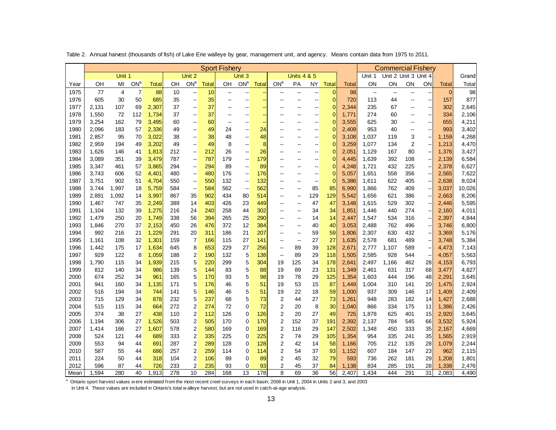|              | Table 2. Annual harvest (thousands of fish) of Lake Erie walleye by gear, management unit, and agency. Means contain data from 1975 to 2011.                                                                                                                         |            |                        |                |            |                                    |            | <b>Sport Fishery</b>     |                        |                |                                           |                              |                          |                |                |                          |                                                   |                          |                                |                |                |
|--------------|----------------------------------------------------------------------------------------------------------------------------------------------------------------------------------------------------------------------------------------------------------------------|------------|------------------------|----------------|------------|------------------------------------|------------|--------------------------|------------------------|----------------|-------------------------------------------|------------------------------|--------------------------|----------------|----------------|--------------------------|---------------------------------------------------|--------------------------|--------------------------------|----------------|----------------|
|              |                                                                                                                                                                                                                                                                      | Unit 1     |                        |                |            | Unit 2                             |            |                          | Unit 3                 |                |                                           | <b>Units 4 &amp; 5</b>       |                          |                |                | Unit 1                   | <b>Commercial Fishery</b><br>Unit 2 Unit 3 Unit 4 |                          |                                |                | Grand          |
| Year         | OH                                                                                                                                                                                                                                                                   | MI         | <b>ON</b> <sup>a</sup> | Total          | OH         | ON <sup>a</sup>                    | Total      | OН                       | <b>ON</b> <sup>a</sup> | <b>Total</b>   | ON <sup>a</sup>                           | PA                           | <b>NY</b>                | <b>Total</b>   | <b>Total</b>   | ON                       | ON                                                | ON                       | ON                             | Total          | Total          |
| 1975         | 77                                                                                                                                                                                                                                                                   | 4          | $\overline{7}$         | 88             | 10         | --                                 | 10         | $\overline{\phantom{a}}$ | --                     | ÷              | $\overline{\phantom{a}}$                  | --                           | --                       | 0              | 98             | $\overline{\phantom{a}}$ | $\overline{\phantom{a}}$                          | $\overline{\phantom{a}}$ | --                             | $\overline{0}$ | 98             |
| 1976         | 605                                                                                                                                                                                                                                                                  | 30         | 50                     | 685            | 35         | --                                 | 35         | $\sim$                   | --                     | $\sim$         | $\overline{a}$                            | $\sim$                       | $\overline{\phantom{a}}$ | $\overline{0}$ | 720            | 113                      | 44                                                | $\overline{\phantom{a}}$ | --                             | 157            | 877            |
| 1977         | 2,131                                                                                                                                                                                                                                                                | 107        | 69                     | 2,307          | 37         | --                                 | 37         | $\sim$                   |                        |                |                                           |                              | --                       | $\mathbf 0$    | 2,344          | 235                      | 67                                                | --                       | $\overline{\phantom{a}}$       | 302            | 2,645          |
| 1978         | 1,550                                                                                                                                                                                                                                                                | 72         | 112                    | 1,734          | 37         | --                                 | 37         | $\overline{\phantom{a}}$ | Ξ.                     | $\blacksquare$ |                                           | --                           | --                       | 0              | 1,771          | 274                      | 60                                                | $\sim$                   | --                             | 334            | 2,106          |
| 1979         | 3,254                                                                                                                                                                                                                                                                | 162        | 79                     | 3,495          | 60         | -−                                 | 60         | $\overline{\phantom{a}}$ | $\sim$                 | $\sim$         |                                           | $\overline{\phantom{a}}$     | $\overline{a}$           | $\mathbf{0}$   | 3,555          | 625                      | 30                                                | $\overline{\phantom{a}}$ | $\overline{\phantom{a}}$       | 655            | 4,211          |
| 1980         | 2,096                                                                                                                                                                                                                                                                | 183        | 57                     | 2,336          | 49         | --                                 | 49         | 24                       | --                     | 24             |                                           | --                           | --                       | $\mathbf{0}$   | 2,409          | 953                      | 40                                                | $\sim$                   | −                              | 993            | 3,402          |
| 1981         | 2,857                                                                                                                                                                                                                                                                | 95         | 70                     | 3,022          | 38         | --                                 | 38         | 48                       | --                     | 48             |                                           | --                           | $\overline{\phantom{a}}$ | 0              | 3,108          | 1,037                    | 119                                               | 3                        | --                             | 1,159          | 4,268          |
| 1982         | 2,959                                                                                                                                                                                                                                                                | 194        | 49                     | 3,202          | 49         | $\overline{\phantom{a}}$           | 49         | 8                        | --                     | 8              |                                           | --                           | $\overline{\phantom{a}}$ | $\mathbf 0$    | 3,259          | 1,077                    | 134                                               | $\overline{2}$           | ۰.                             | 1,213          | 4,470          |
| 1983<br>1984 | 1,626<br>3,089                                                                                                                                                                                                                                                       | 146<br>351 | 41<br>39               | 1,813<br>3,479 | 212<br>787 | --<br>--                           | 212<br>787 | 26<br>179                | --<br>--               | 26<br>179      | --                                        | $\overline{\phantom{a}}$     | --<br>Ξ.                 | 0<br>0         | 2,051<br>4,445 | 1,129<br>1,639           | 167<br>392                                        | 80<br>108                | --<br>$\overline{\phantom{a}}$ | 1,376<br>2,139 | 3,427<br>6,584 |
| 1985         | 3,347                                                                                                                                                                                                                                                                | 461        | 57                     | 3,865          | 294        | $\overline{\phantom{a}}$           | 294        | 89                       | --                     | 89             |                                           | $-$                          | --                       | 0              | 4,248          | 1,721                    | 432                                               | 225                      | --                             | 2,378          | 6,627          |
| 1986         | 3,743                                                                                                                                                                                                                                                                | 606        | 52                     | 4,401          | 480        | --                                 | 480        | 176                      | --                     | 176            |                                           | $\overline{a}$               | --                       | $\mathbf{0}$   | 5,057          | 1,651                    | 558                                               | 356                      | --                             | 2,565          | 7,622          |
| 1987         | 3,751<br>902<br>51<br>4,704<br>550<br>550<br>132<br>132<br>$\mathbf{0}$<br>5,386<br>1,611<br>622<br>405<br>2,638<br>--<br>--<br>--<br>⊷<br>--                                                                                                                        |            |                        |                |            |                                    |            |                          |                        |                |                                           |                              |                          |                |                | 8,024                    |                                                   |                          |                                |                |                |
| 1988         | 3,744                                                                                                                                                                                                                                                                | 1,997      | 18                     | 5,759          | 584        | $\overline{\phantom{a}}$           | 584        | 562                      | $\sim$                 | 562            | --                                        | $\qquad \qquad \blacksquare$ | 85                       | 85             | 6,990          | 1,866                    | 762                                               | 409                      | --                             | 3,037          | 10,026         |
| 1989         | 2,891                                                                                                                                                                                                                                                                | 1,092      | 14                     | 3,997          | 867        | 35                                 | 902        | 434                      | 80                     | 514            | $\sim$                                    | $\overline{\phantom{a}}$     | 129                      | 129            | 5,542          | 1,656                    | 621                                               | 386                      | ⊷                              | 2,663          | 8,206          |
| 1990         | 1,467                                                                                                                                                                                                                                                                | 747        | 35                     | 2,249          | 389        | 14                                 | 403        | 426                      | 23                     | 449            | ۵.                                        | $\overline{\phantom{a}}$     | 47                       | 47             | 3,148          | 1,615                    | 529                                               | 302                      | --                             | 2,446          | 5,595          |
| 1991         | 1,104                                                                                                                                                                                                                                                                | 132        | 39                     | 1,275          | 216        | 24                                 | 240        | 258                      | 44                     | 302            | --                                        | --                           | 34                       | 34             | 1,851          | 1,446                    | 440                                               | 274                      | $\overline{\phantom{a}}$       | 2,160          | 4,011          |
| 1992         | 1,479                                                                                                                                                                                                                                                                | 250        | 20                     | 1,749          | 338        | 56                                 | 394        | 265                      | 25                     | 290            | $\overline{a}$                            | $\overline{\phantom{a}}$     | 14                       | 14             | 2,447          | 1,547                    | 534                                               | 316                      | $\overline{\phantom{a}}$       | 2,397          | 4,844          |
| 1993         | 1,846                                                                                                                                                                                                                                                                | 270        | 37                     | 2,153          | 450        | 26                                 | 476        | 372                      | 12                     | 384            | --                                        | --                           | 40                       | 40             | 3,053          | 2,488                    | 762                                               | 496                      | −                              | 3,746          | 6,800          |
| 1994         | 992                                                                                                                                                                                                                                                                  | 216        | 21                     | 1,229          | 291        | 20                                 | 311        | 186                      | 21                     | 207            | --                                        | $\qquad \qquad \blacksquare$ | 59                       | 59             | 1,806          | 2,307                    | 630                                               | 432                      | ⊷                              | 3,369          | 5,176          |
| 1995<br>1996 | 1,161<br>1,442                                                                                                                                                                                                                                                       | 108<br>175 | 32<br>17               | 1,301<br>1,634 | 159<br>645 | $\overline{7}$<br>8                | 166<br>653 | 115<br>229               | 27<br>27               | 141<br>256     | --<br>$\overline{\phantom{a}}$            | $\ddotsc$<br>89              | 27<br>39                 | 27<br>128      | 1,635<br>2,671 | 2,578<br>2,777           | 681<br>1,107                                      | 489<br>589               | --<br>$\overline{\phantom{a}}$ | 3,748<br>4,473 | 5,384<br>7,143 |
| 1997         | 929                                                                                                                                                                                                                                                                  | 122        | 8                      | 1,059          | 188        | $\overline{\mathbf{c}}$            | 190        | 132                      | 5                      | 138            | $\overline{\phantom{a}}$                  | 89                           | 29                       | 118            | 1,505          | 2,585                    | 928                                               | 544                      | $\overline{\phantom{a}}$       | 4,057          | 5,563          |
| 1998         | 1,790                                                                                                                                                                                                                                                                | 115        | 34                     | 1,939          | 215        | 5                                  | 220        | 299                      | 5                      | 304            | 19                                        | 125                          | 34                       | 178            | 2,641          | 2,497                    | 1,166                                             | 462                      | 28                             | 4,153          | 6,793          |
| 1999         | 812                                                                                                                                                                                                                                                                  | 140        | 34                     | 986            | 139        | 5                                  | 144        | 83                       | 5                      | 88             | 19                                        | 89                           | 23                       | 131            | 1,349          | 2,461                    | 631                                               | 317                      | 68                             | 3,477          | 4,827          |
| 2000         | 674                                                                                                                                                                                                                                                                  | 252        | 34                     | 961            | 165        | 5                                  | 170        | 93                       | 5                      | 98             | 19                                        | 78                           | 29                       | 125            | 1,354          | 1,603                    | 444                                               | 196                      | 48                             | 2,291          | 3,645          |
| 2001         | 941                                                                                                                                                                                                                                                                  | 160        | 34                     | 1,135          | 171        | 5                                  | 176        | 46                       | 5                      | 51             | 19                                        | 53                           | 15                       | 87             | 1,449          | 1,004                    | 310                                               | 141                      | 20                             | 1,475          | 2,924          |
| 2002         | 516                                                                                                                                                                                                                                                                  | 194        | 34                     | 744            | 141        | 5                                  | 146        | 46                       | 5                      | 51             | 19                                        | 22                           | 18                       | 59             | 1,000          | 937                      | 309                                               | 146                      | 17                             | 1,409          | 2,409          |
| 2003         | 715                                                                                                                                                                                                                                                                  | 129        | 34                     | 878            | 232        | 5                                  | 237        | 68                       | 5                      | 73             | 2                                         | 44                           | 27                       | 73             | 1,261          | 948                      | 283                                               | 182                      | 14                             | 1,427          | 2,688          |
| 2004         | 515                                                                                                                                                                                                                                                                  | 115        | 34                     | 664            | 272        | $\boldsymbol{2}$                   | 274        | 72                       | 0                      | 72             | 2                                         | 20                           | 8                        | 30             | 1,040          | 866                      | 334                                               | 175                      | 11                             | 1,386          | 2,426          |
| 2005         | 374                                                                                                                                                                                                                                                                  | 38         | 27                     | 438            | 110        | $\boldsymbol{2}$<br>$\overline{2}$ | 112        | 126                      | 0<br>0                 | 126<br>170     | $\overline{\mathbf{c}}$<br>$\overline{2}$ | 20                           | 27                       | 49             | 725            | 1,878                    | 625                                               | 401                      | 15                             | 2,920          | 3,645<br>5,924 |
| 2006<br>2007 | 1,194<br>1,414                                                                                                                                                                                                                                                       | 306<br>166 | 27<br>27               | 1,526<br>1,607 | 503<br>578 | $\boldsymbol{2}$                   | 505<br>580 | 170<br>169               | 0                      | 169            | $\overline{\mathbf{c}}$                   | 152<br>116                   | 37<br>29                 | 191<br>147     | 2,392<br>2,502 | 2,137<br>1,348           | 784<br>450                                        | 545<br>333               | 66<br>35                       | 3,532<br>2,167 | 4,669          |
| 2008         | 524                                                                                                                                                                                                                                                                  | 121        | 44                     | 689            | 333        | $\boldsymbol{2}$                   | 335        | 225                      | 0                      | 225            | $\overline{2}$                            | 74                           | 29                       | 105            | 1,354          | 954                      | 335                                               | 241                      | 35                             | 1,565          | 2,919          |
| 2009         | 553                                                                                                                                                                                                                                                                  | 94         | 44                     | 691            | 287        | $\overline{\mathbf{c}}$            | 289        | 128                      | 0                      | 128            | 2                                         | 42                           | 14                       | 58             | 1,166          | 705                      | 212                                               | 135                      | 28                             | 1,079          | 2,244          |
| 2010         | 587                                                                                                                                                                                                                                                                  | 55         | 44                     | 686            | 257        | 2                                  | 259        | 114                      | 0                      | 114            | 2                                         | 54                           | 37                       | 93             | 1,152          | 607                      | 184                                               | 147                      | 23                             | 962            | 2,115          |
| 2011         | 224                                                                                                                                                                                                                                                                  | 50         | 44                     | 318            | 104        | $\boldsymbol{2}$                   | 106        | 89                       | 0                      | 89             | $\overline{c}$                            | 45                           | 32                       | 79             | 593            | 736                      | 262                                               | 181                      | 29                             | 1,208          | 1,801          |
| 2012         | 596                                                                                                                                                                                                                                                                  | 87         | 44                     | 726            | 233        | $\overline{2}$                     | 235        | 93                       | $\mathbf 0$            | 93             | 2                                         | 45                           | 37                       | 84             | 1,138          | 834                      | 285                                               | 191                      | 28                             | 1,338          | 2,476          |
| Mean         | 1,594                                                                                                                                                                                                                                                                | 280        | 40                     | 1,913          | 278        | 10                                 | 284        | 168                      | 13                     | 178            | 8                                         | 69                           | 36                       | 56             | 2,407          | 1,434                    | 444                                               | 291                      | 31                             | 2,083          | 4,490          |
|              | Ontario sport harvest values were estimated from the most recent creel surveys in each basin; 2008 in Unit 1, 2004 in Units 2 and 3, and 2003<br>in Unit 4. These values are included in Ontario's total w alleye harvest, but are not used in catch-at-age analysis |            |                        |                |            |                                    |            |                          |                        |                |                                           |                              |                          |                |                |                          |                                                   |                          |                                |                |                |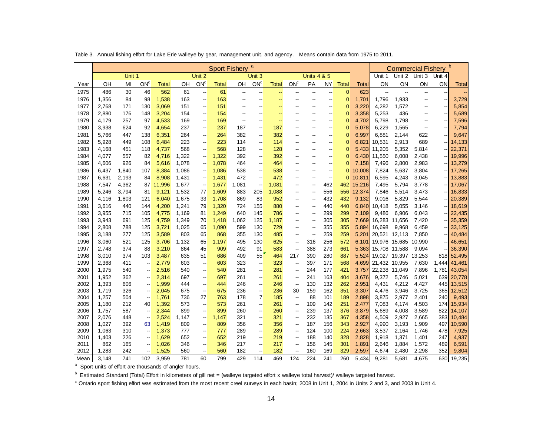|              |                |            |                                                      |                | Table 3. Annual fishing effort for Lake Erie walleye by gear, management unit, and agency. |                                |              |                          |                          |              |                                |                          |                          |                |                | Means contain data from 1975 to 2011. |                          |                           |            |                  |
|--------------|----------------|------------|------------------------------------------------------|----------------|--------------------------------------------------------------------------------------------|--------------------------------|--------------|--------------------------|--------------------------|--------------|--------------------------------|--------------------------|--------------------------|----------------|----------------|---------------------------------------|--------------------------|---------------------------|------------|------------------|
|              |                |            |                                                      |                |                                                                                            |                                |              | <b>Sport Fishery</b>     | a                        |              |                                |                          |                          |                |                |                                       |                          | <b>Commercial Fishery</b> |            | $\mathbf b$      |
|              |                | Unit 1     |                                                      |                |                                                                                            | Unit 2                         |              |                          | Unit 3                   |              |                                | <b>Units 4 &amp; 5</b>   |                          |                |                | Unit 1                                | Unit 2                   | Unit 3                    | Unit 4     |                  |
| Year         | OH             | MI         | ON <sup>c</sup>                                      | <b>Total</b>   | OН                                                                                         | ON <sup>c</sup>                | <b>Total</b> | OН                       | ON <sup>c</sup>          | <b>Total</b> | ON <sup>c</sup>                | PA                       | <b>NY</b>                | <b>Total</b>   | <b>Total</b>   | ΟN                                    | ON                       | ON                        | ON         | <b>Total</b>     |
| 1975         | 486            | 30         | 46                                                   | 562            | 61                                                                                         | --                             | 61           | $\overline{\phantom{a}}$ | --                       |              | --                             | --                       | --                       | $\mathbf{0}$   | 623            | $\mathbb{Z}^2$                        | $\overline{\phantom{a}}$ | $\overline{\phantom{a}}$  |            |                  |
| 1976         | 1,356          | 84         | 98                                                   | 1,538          | 163                                                                                        | --                             | 163          | --                       | $\overline{\phantom{a}}$ |              |                                | --                       | --                       | $\mathbf 0$    | 1,701          | 1,796                                 | 1,933                    | $\overline{\phantom{a}}$  |            | 3,729            |
| 1977         | 2,768          | 171        | 130                                                  | 3,069          | 151                                                                                        | --                             | 151          | --                       | $\overline{\phantom{a}}$ |              | --                             | $\overline{\phantom{a}}$ | --                       | $\mathbf 0$    | 3,220          | 4,282                                 | 1,572                    | $\overline{\phantom{a}}$  | Н,         | 5,854            |
| 1978         | 2,880          | 176        | 148                                                  | 3,204          | 154                                                                                        | --                             | 154          | ٠.                       |                          |              |                                |                          | --                       | $\mathbf 0$    | 3,358          | 5,253                                 | 436                      | $\overline{a}$            | Ξ.         | 5,689            |
| 1979         | 4,179          | 257        | 97                                                   | 4,533          | 169                                                                                        | --                             | 169          | ٠.                       | $\overline{a}$           |              | --                             | --                       | --                       | $\overline{0}$ | 4,702          | 5,798                                 | 1,798                    | $\overline{a}$            |            | 7,596            |
| 1980         | 3,938          | 624        | 92                                                   | 4,654          | 237                                                                                        | --                             | 237          | 187                      | --                       | 187          | $\overline{a}$                 | $\overline{\phantom{a}}$ | --                       | $\mathbf{0}$   | 5,078          | 6,229                                 | 1,565                    | $\overline{\phantom{a}}$  | --         | 7,794            |
| 1981         | 5,766          | 447        | 138                                                  | 6,351          | 264                                                                                        | --                             | 264          | 382                      | --                       | 382          | ٠.                             | $\overline{\phantom{a}}$ | --                       | $\mathbf 0$    | 6,997          | 6,881                                 | 2,144                    | 622                       |            | 9,647            |
| 1982         | 5,928          | 449        | 108                                                  | 6,484          | 223                                                                                        | --                             | 223          | 114                      | --                       | 114          | --                             | --                       | --                       | $\overline{0}$ | 6,821          | 10,531                                | 2,913                    | 689                       | ۰.         | 14,133           |
| 1983         | 4,168          | 451        | 118                                                  | 4,737          | 568                                                                                        | --                             | 568          | 128                      | --                       | 128          | --                             | $\overline{\phantom{a}}$ | $\overline{a}$           | $\overline{0}$ | 5,433          | 11,205                                | 5,352                    | 5,814                     | Ξ.         | 22,371           |
| 1984         | 4,077          | 557        | 82                                                   | 4,716          | 1,322                                                                                      | --                             | 1,322        | 392                      | --                       | 392          | ٠.                             | $\overline{a}$           | --                       | $\mathbf{0}$   | 6,430          | 11,550                                | 6,008                    | 2,438                     |            | 19,996           |
| 1985         | 4,606          | 926        | 84                                                   | 5,616          | 1,078                                                                                      | --                             | 1,078        | 464                      | --                       | 464          | --                             | --                       | --                       | $\mathbf 0$    | 7,158          | 7,496                                 | 2,800                    | 2,983                     | --         | 13,279           |
| 1986         | 6,437          | 1,840      | 107                                                  | 8,384          | 1,086                                                                                      | $\overline{\phantom{a}}$       | 1,086        | 538                      | $\overline{\phantom{a}}$ | 538          | --                             | $\overline{\phantom{a}}$ | $\overline{a}$           | $\mathbf{0}$   | 10,008         | 7,824                                 | 5,637                    | 3,804                     |            | 17,265           |
| 1987         | 6,631          | 2,193      | 84                                                   | 8,908          | 1,431                                                                                      | --                             | 1,431        | 472                      | --                       | 472          | ٠.                             | $\overline{\phantom{a}}$ | $\overline{\phantom{a}}$ | $\mathbf 0$    | 10,811         | 6,595                                 | 4,243                    | 3,045                     |            | 13,883           |
| 1988         | 7,547          | 4,362      | 87                                                   | 11,996         | 1,677                                                                                      | --                             | 1,677        | 1,081                    | --                       | 1,081        | --                             | $\overline{\phantom{a}}$ | 462                      | 462            | 15,216         | 7,495                                 | 5,794                    | 3,778                     |            | 17,067           |
| 1989         | 5,246          | 3,794      | 81                                                   | 9,121          | 1,532                                                                                      | 77                             | 1,609        | 883                      | 205                      | 1,088        | --                             | $\overline{\phantom{a}}$ | 556                      | 556            | 12,374         | 7,846                                 | 5,514                    | 3,473                     |            | 16,833           |
| 1990         | 4,116          | 1,803      | 121                                                  | 6,040          | 1,675                                                                                      | 33                             | 1,708        | 869                      | 83                       | 952          | --                             | $\overline{\phantom{a}}$ | 432                      | 432            | 9,132          | 9,016                                 | 5,829                    | 5,544                     |            | 20,389           |
| 1991         | 3,616          | 440        | 144                                                  | 4,200          | 1,241                                                                                      | 79                             | 1,320        | 724                      | 155                      | 880          | --                             | --                       | 440                      | 440            | 6,840          | 10,418                                | 5,055                    | 3,146                     |            | 18,619           |
| 1992         | 3,955          | 715        | 105                                                  | 4,775          | 1,169                                                                                      | 81                             | 1,249        | 640                      | 145                      | 786          | $\overline{a}$                 | $\overline{\phantom{a}}$ | 299                      | 299            | 7,109          | 9,486                                 | 6,906                    | 6,043                     | Ξ.         | 22,435           |
| 1993         | 3,943          | 691        | 125                                                  | 4,759          | 1,349                                                                                      | 70                             | 1,418        | 1,062                    | 125                      | 1,187        | --                             | $\overline{\phantom{a}}$ | 305                      | 305            | 7,669          | 16,283 11,656                         |                          | 7,420                     |            | 35,359           |
| 1994         | 2,808          | 788        | 125                                                  | 3,721          | 1,025                                                                                      | 65                             | 1,090        | 599                      | 130                      | 729          | --                             | --                       | 355                      | 355            | 5,894          | 16,698                                | 9,968                    | 6,459                     | ۰.         | 33,125           |
| 1995         | 3,188          | 277        | 125                                                  | 3,589          | 803                                                                                        | 65                             | 868          | 355                      | 130                      | 485          | --                             | --                       | 259                      | 259            | 5,201          | 20,521 12,113                         |                          | 7,850                     |            | 40,484           |
| 1996         | 3,060          | 521        | 125                                                  | 3,706          | 1,132                                                                                      | 65                             | 1,197        | 495                      | 130                      | 625          | --                             | 316                      | 256                      | 572            | 6,101          |                                       | 19,976 15,685            | 10,990                    |            | 46,651           |
| 1997         | 2,748          | 374        | 88                                                   | 3,210          | 864                                                                                        | 45                             | 909          | 492                      | 91                       | 583          | --                             | 388                      | 273                      | 661            | 5,363          | 15,708 11,588                         |                          | 9,094                     |            | 36,390           |
| 1998         | 3,010          | 374        | 103                                                  | 3,487          | 635                                                                                        | 51                             | 686          | 409                      | 55                       | 464          | 217                            | 390                      | 280                      | 887            | 5,524          |                                       | 19,027 19,397            | 13,253                    | 818        | 52,495           |
| 1999         | 2,368          | 411        | $\overline{\phantom{a}}$                             | 2,779          | 603                                                                                        | --                             | 603          | 323                      | --                       | 323          | $\overline{\phantom{a}}$       | 397                      | 171                      | 568            | 4,699          | 21,432 10,955                         |                          | 7,630                     | 1,444      | 41,461           |
| 2000         | 1,975          | 540        | $\overline{\phantom{a}}$                             | 2,516          | 540                                                                                        | --                             | 540          | 281                      | --                       | 281          | $\overline{\phantom{a}}$       | 244                      | 177                      | 421            | 3,757          | 22,238 11,049                         |                          | 7,896                     | 1,781      | 43,054           |
| 2001         | 1,952          | 362        | --                                                   | 2,314          | 697                                                                                        | --                             | 697          | 261                      | --                       | 261          | --                             | 241<br>130               | 163                      | 404            | 3,676          | 9,372                                 | 5,746                    | 5,021                     | 639        | 20,778           |
| 2002<br>2003 | 1,393<br>1,719 | 606<br>326 | $\overline{\phantom{a}}$<br>$\overline{\phantom{a}}$ | 1,999<br>2,045 | 444<br>675                                                                                 | --<br>$\overline{\phantom{a}}$ | 444<br>675   | 246<br>236               | --<br>--                 | 246<br>236   | $\overline{\phantom{a}}$<br>30 | 159                      | 132<br>162               | 262<br>351     | 2,951<br>3,307 | 4,431<br>4,476                        | 4,212<br>3,946           | 4,427<br>3,725            | 445<br>365 | 13,515<br>12,512 |
| 2004         | 1,257          | 504        | $\overline{\phantom{a}}$                             | 1,761          | 736                                                                                        | 27                             | 763          | 178                      | $\overline{7}$           | 185          | $\overline{\phantom{a}}$       | 88                       | 101                      | 189            | 2,898          | 3,875                                 | 2,977                    | 2,401                     | 240        | 9,493            |
| 2005         | 1,180          | 212        | 40                                                   | 1,392          | 573                                                                                        | --                             | 573          | 261                      | --                       | 261          | $\overline{\phantom{a}}$       | 109                      | 142                      | 251            | 2,477          | 7,083                                 | 4,174                    | 4,503                     | 174        | 15,934           |
| 2006         | 1,757          | 587        | $\overline{\phantom{a}}$                             | 2,344          | 899                                                                                        | --                             | 899          | 260                      | $\overline{\phantom{a}}$ | 260          | --                             | 239                      | 137                      | 376            | 3,879          | 5,689                                 | 4,008                    | 3,589                     | 822        | 14,107           |
| 2007         | 2,076          | 448        | $\overline{\phantom{a}}$                             | 2,524          | 1,147                                                                                      | --                             | 1,147        | 321                      | --                       | 321          | --                             | 232                      | 135                      | 367            | 4,358          | 4,509                                 | 2,927                    | 2,665                     | 383        | 10,484           |
| 2008         | 1,027          | 392        | 63                                                   | 1,419          | 809                                                                                        | --                             | 809          | 356                      | --                       | 356          | --                             | 187                      | 156                      | 343            | 2,927          | 4,990                                 | 3,193                    | 1,909                     | 497        | 10,590           |
| 2009         | 1,063          | 310        | $\overline{\phantom{a}}$                             | 1,373          | 777                                                                                        | --                             | 777          | 289                      | --                       | 289          | $\overline{\phantom{a}}$       | 124                      | 100                      | 224            | 2,663          | 3,537                                 | 2,164                    | 1,746                     | 478        | 7,925            |
| 2010         | 1,403          | 226        | --                                                   | 1,629          | 652                                                                                        | --                             | 652          | 219                      | --                       | 219          | --                             | 188                      | 140                      | 328            | 2,828          | 1,918                                 | 1,371                    | 1,401                     | 247        | 4,937            |
| 2011         | 862            | 165        |                                                      | 1,026          | 346                                                                                        | --                             | 346          | 217                      | --                       | 217          | --                             | 156                      | 145                      | 301            | 1,891          | 2,646                                 | 1,884                    | 1,572                     | 489        | 6,591            |
| 2012         | 1,283          | 242        | $\overline{\phantom{a}}$                             | 1,525          | 560                                                                                        | --                             | 560          | 182                      | --                       | 182          | --                             | 160                      | 169                      | 329            | 2,597          | 4,674                                 | 2,480                    | 2,298                     | 352        | 9,804            |
| Mean         | 3.148          | 741        | 102                                                  | 3.959          | 781                                                                                        | 60                             | 799          | 429                      | 114                      | 469          | 124                            | 224                      | 241                      | 260            | 5.434          | 9.281                                 | 5.681                    | 4.675                     | 630        | 19,235           |

<sup>a</sup> Sport units of effort are thousands of angler hours.

<sup>b</sup> Estimated Standard (Total) Effort in kilometers of gill net = (walleye targeted effort x walleye total harvest)/ walleye targeted harvest.

<sup>c</sup> Ontario sport fishing effort was estimated from the most recent creel surveys in each basin; 2008 in Unit 1, 2004 in Units 2 and 3, and 2003 in Unit 4.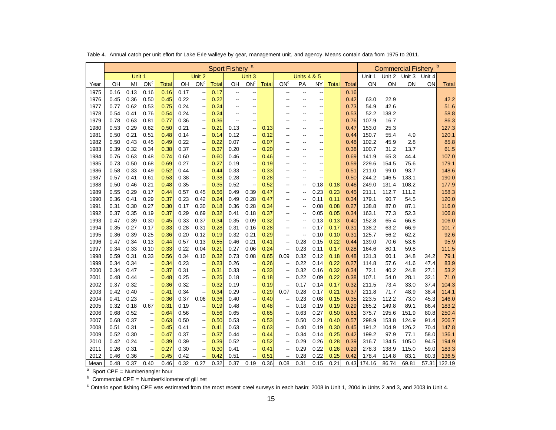|      | Table 4. Annual catch per unit effort for Lake Erie walleye by gear, management unit, and agency. Means contain data from 1975 to 2011. |        |                          |       |      |                          |              |                      |                          |       |                          |                        |                          |              |       |        |                           |        |        |              |
|------|-----------------------------------------------------------------------------------------------------------------------------------------|--------|--------------------------|-------|------|--------------------------|--------------|----------------------|--------------------------|-------|--------------------------|------------------------|--------------------------|--------------|-------|--------|---------------------------|--------|--------|--------------|
|      |                                                                                                                                         |        |                          |       |      |                          |              | <b>Sport Fishery</b> | $\mathbf{a}$             |       |                          |                        |                          |              |       |        | <b>Commercial Fishery</b> |        |        |              |
|      |                                                                                                                                         | Unit 1 |                          |       |      | Unit 2                   |              |                      | Unit <sub>3</sub>        |       |                          | <b>Units 4 &amp; 5</b> |                          |              |       | Unit 1 | Unit 2                    | Unit 3 | Unit 4 |              |
| Year | OH                                                                                                                                      | MI     | ON <sup>c</sup>          | Total | OН   | ON <sup>c</sup>          | <b>Total</b> | OН                   | ON <sup>c</sup>          | Total | ON <sup>c</sup>          | PA                     | ΝY                       | <b>Total</b> | Total | ON     | ON                        | ΟN     | ON     | Total        |
| 1975 | 0.16                                                                                                                                    | 0.13   | 0.16                     | 0.16  | 0.17 | $\overline{a}$           | 0.17         | --                   | --                       |       |                          | --                     | $\overline{\phantom{a}}$ |              | 0.16  |        |                           |        |        |              |
| 1976 | 0.45                                                                                                                                    | 0.36   | 0.50                     | 0.45  | 0.22 | --                       | 0.22         | --                   | --                       |       | --                       | --                     | $\overline{a}$           |              | 0.42  | 63.0   | 22.9                      |        |        | 42.2         |
| 1977 | 0.77                                                                                                                                    | 0.62   | 0.53                     | 0.75  | 0.24 | --                       | 0.24         | --                   |                          |       |                          |                        |                          |              | 0.73  | 54.9   | 42.6                      |        |        | 51.6         |
| 1978 | 0.54                                                                                                                                    | 0.41   | 0.76                     | 0.54  | 0.24 | --                       | 0.24         | --                   | --                       |       |                          | --                     | --                       |              | 0.53  | 52.2   | 138.2                     |        |        | 58.8         |
| 1979 | 0.78                                                                                                                                    | 0.63   | 0.81                     | 0.77  | 0.36 | --                       | 0.36         | --                   | $\overline{\phantom{a}}$ |       |                          | --                     | $\overline{\phantom{a}}$ |              | 0.76  | 107.9  | 16.7                      |        |        | 86.3         |
| 1980 | 0.53                                                                                                                                    | 0.29   | 0.62                     | 0.50  | 0.21 | --                       | 0.21         | 0.13                 | $\overline{\phantom{a}}$ | 0.13  |                          |                        |                          |              | 0.47  | 153.0  | 25.3                      |        |        | 127.3        |
| 1981 | 0.50                                                                                                                                    | 0.21   | 0.51                     | 0.48  | 0.14 | --                       | 0.14         | 0.12                 | --                       | 0.12  |                          | --                     | $\overline{a}$           |              | 0.44  | 150.7  | 55.4                      | 4.9    |        | 120.1        |
| 1982 | 0.50                                                                                                                                    | 0.43   | 0.45                     | 0.49  | 0.22 | --                       | 0.22         | 0.07                 | $\overline{a}$           | 0.07  |                          | --                     |                          |              | 0.48  | 102.2  | 45.9                      | 2.8    |        | 85.8         |
| 1983 | 0.39                                                                                                                                    | 0.32   | 0.34                     | 0.38  | 0.37 | --                       | 0.37         | 0.20                 | $\overline{\phantom{a}}$ | 0.20  |                          |                        |                          |              | 0.38  | 100.7  | 31.2                      | 13.7   |        | 61.5         |
| 1984 | 0.76                                                                                                                                    | 0.63   | 0.48                     | 0.74  | 0.60 | --                       | 0.60         | 0.46                 | --                       | 0.46  |                          | --                     | $\overline{a}$           |              | 0.69  | 141.9  | 65.3                      | 44.4   |        | 107.0        |
| 1985 | 0.73                                                                                                                                    | 0.50   | 0.68                     | 0.69  | 0.27 | $\overline{\phantom{a}}$ | 0.27         | 0.19                 | $\overline{\phantom{a}}$ | 0.19  | --                       | --                     | $\overline{a}$           |              | 0.59  | 229.6  | 154.5                     | 75.6   |        | 179.1        |
| 1986 | 0.58                                                                                                                                    | 0.33   | 0.49                     | 0.52  | 0.44 | --                       | 0.44         | 0.33                 | ٠.                       | 0.33  |                          |                        | $\overline{a}$           |              | 0.51  | 211.0  | 99.0                      | 93.7   |        | 148.6        |
| 1987 | 0.57                                                                                                                                    | 0.41   | 0.61                     | 0.53  | 0.38 | --                       | 0.38         | 0.28                 | --                       | 0.28  |                          | --                     | $\sim$                   |              | 0.50  | 244.2  | 146.5                     | 133.1  |        | 190.0        |
| 1988 | 0.50                                                                                                                                    | 0.46   | 0.21                     | 0.48  | 0.35 | --                       | 0.35         | 0.52                 | $\overline{\phantom{a}}$ | 0.52  | $\overline{\phantom{a}}$ | --                     | 0.18                     | 0.18         | 0.46  | 249.0  | 131.4                     | 108.2  |        | 177.9        |
| 1989 | 0.55                                                                                                                                    | 0.29   | 0.17                     | 0.44  | 0.57 | 0.45                     | 0.56         | 0.49                 | 0.39                     | 0.47  |                          | --                     | 0.23                     | 0.23         | 0.45  | 211.1  | 112.7                     | 111.2  |        | 158.3        |
| 1990 | 0.36                                                                                                                                    | 0.41   | 0.29                     | 0.37  | 0.23 | 0.42                     | 0.24         | 0.49                 | 0.28                     | 0.47  |                          | --                     | 0.11                     | 0.11         | 0.34  | 179.1  | 90.7                      | 54.5   |        | 120.0        |
| 1991 | 0.31                                                                                                                                    | 0.30   | 0.27                     | 0.30  | 0.17 | 0.30                     | 0.18         | 0.36                 | 0.28                     | 0.34  | $\overline{\phantom{a}}$ | --                     | 0.08                     | 0.08         | 0.27  | 138.8  | 87.0                      | 87.1   |        | 116.0        |
| 1992 | 0.37                                                                                                                                    | 0.35   | 0.19                     | 0.37  | 0.29 | 0.69                     | 0.32         | 0.41                 | 0.18                     | 0.37  |                          |                        | 0.05                     | 0.05         | 0.34  | 163.1  | 77.3                      | 52.3   |        | 106.8        |
| 1993 | 0.47                                                                                                                                    | 0.39   | 0.30                     | 0.45  | 0.33 | 0.37                     | 0.34         | 0.35                 | 0.09                     | 0.32  |                          | --                     | 0.13                     | 0.13         | 0.40  | 152.8  | 65.4                      | 66.8   |        | 106.0        |
| 1994 | 0.35                                                                                                                                    | 0.27   | 0.17                     | 0.33  | 0.28 | 0.31                     | 0.28         | 0.31                 | 0.16                     | 0.28  | $\overline{\phantom{a}}$ | --                     | 0.17                     | 0.17         | 0.31  | 138.2  | 63.2                      | 66.9   |        | 101.7        |
| 1995 | 0.36                                                                                                                                    | 0.39   | 0.25                     | 0.36  | 0.20 | 0.12                     | 0.19         | 0.32                 | 0.21                     | 0.29  |                          |                        | 0.10                     | 0.10         | 0.31  | 125.7  | 56.2                      | 62.2   |        | 92.6         |
| 1996 | 0.47                                                                                                                                    | 0.34   | 0.13                     | 0.44  | 0.57 | 0.13                     | 0.55         | 0.46                 | 0.21                     | 0.41  | $\overline{a}$           | 0.28                   | 0.15                     | 0.22         | 0.44  | 139.0  | 70.6                      | 53.6   |        | 95.9         |
| 1997 | 0.34                                                                                                                                    | 0.33   | 0.10                     | 0.33  | 0.22 | 0.04                     | 0.21         | 0.27                 | 0.06                     | 0.24  | $\overline{\phantom{a}}$ | 0.23                   | 0.11                     | 0.17         | 0.28  | 164.6  | 80.1                      | 59.8   |        | 111.5        |
| 1998 | 0.59                                                                                                                                    | 0.31   | 0.33                     | 0.56  | 0.34 | 0.10                     | 0.32         | 0.73                 | 0.08                     | 0.65  | 0.09                     | 0.32                   | 0.12                     | 0.18         | 0.48  | 131.3  | 60.1                      | 34.8   | 34.2   | 79.1         |
| 1999 | 0.34                                                                                                                                    | 0.34   | --                       | 0.34  | 0.23 | --                       | 0.23         | 0.26                 | --                       | 0.26  | $\overline{\phantom{a}}$ | 0.22                   | 0.14                     | 0.22         | 0.27  | 114.8  | 57.6                      | 41.6   | 47.4   | 83.9         |
| 2000 | 0.34                                                                                                                                    | 0.47   | --                       | 0.37  | 0.31 | --                       | 0.31         | 0.33                 | --                       | 0.33  | $\overline{\phantom{a}}$ | 0.32                   | 0.16                     | 0.32         | 0.34  | 72.1   | 40.2                      | 24.8   | 27.1   | 53.2         |
| 2001 | 0.48                                                                                                                                    | 0.44   | --                       | 0.48  | 0.25 | --                       | 0.25         | 0.18                 | ٠.                       | 0.18  | $\overline{a}$           | 0.22                   | 0.09                     | 0.22         | 0.38  | 107.1  | 54.0                      | 28.1   | 32.1   | 71.0         |
| 2002 | 0.37                                                                                                                                    | 0.32   | --                       | 0.36  | 0.32 | --                       | 0.32         | 0.19                 | --                       | 0.19  | $\overline{\phantom{a}}$ | 0.17                   | 0.14                     | 0.17         | 0.32  | 211.5  | 73.4                      | 33.0   | 37.4   | 104.3        |
| 2003 | 0.42                                                                                                                                    | 0.40   | $\overline{\phantom{a}}$ | 0.41  | 0.34 | $\overline{\phantom{a}}$ | 0.34         | 0.29                 | $\overline{\phantom{a}}$ | 0.29  | 0.07                     | 0.28                   | 0.17                     | 0.21         | 0.37  | 211.8  | 71.7                      | 48.9   | 38.4   | 114.1        |
| 2004 | 0.41                                                                                                                                    | 0.23   | $\overline{\phantom{a}}$ | 0.36  | 0.37 | 0.06                     | 0.36         | 0.40                 | $\overline{\phantom{a}}$ | 0.40  | $\overline{\phantom{a}}$ | 0.23                   | 0.08                     | 0.15         | 0.35  | 223.5  | 112.2                     | 73.0   | 45.3   | 146.0        |
| 2005 | 0.32                                                                                                                                    | 0.18   | 0.67                     | 0.31  | 0.19 | --                       | 0.19         | 0.48                 | --                       | 0.48  | $\overline{\phantom{a}}$ | 0.18                   | 0.19                     | 0.19         | 0.29  | 265.2  | 149.8                     | 89.1   | 86.4   | 183.2        |
| 2006 | 0.68                                                                                                                                    | 0.52   | $\overline{\phantom{a}}$ | 0.64  | 0.56 | $\overline{\phantom{a}}$ | 0.56         | 0.65                 | $\overline{a}$           | 0.65  | $\overline{\phantom{a}}$ | 0.63                   | 0.27                     | 0.50         | 0.61  | 375.7  | 195.6                     | 151.9  | 80.8   | 250.4        |
| 2007 | 0.68                                                                                                                                    | 0.37   | --                       | 0.63  | 0.50 | --                       | 0.50         | 0.53                 |                          | 0.53  | $\overline{\phantom{a}}$ | 0.50                   | 0.21                     | 0.40         | 0.57  | 298.9  | 153.8                     | 124.9  | 91.4   | 206.7        |
| 2008 | 0.51                                                                                                                                    | 0.31   | $\overline{a}$           | 0.45  | 0.41 | --                       | 0.41         | 0.63                 | --                       | 0.63  | $\overline{a}$           | 0.40                   | 0.19                     | 0.30         | 0.45  | 191.2  | 104.9                     | 126.2  | 70.4   | 147.8        |
| 2009 | 0.52                                                                                                                                    | 0.30   | --                       | 0.47  | 0.37 | --                       | 0.37         | 0.44                 | --                       | 0.44  | $\overline{\phantom{a}}$ | 0.34                   | 0.14                     | 0.25         | 0.42  | 199.2  | 97.9                      | 77.1   | 58.0   | 136.1        |
| 2010 | 0.42                                                                                                                                    | 0.24   | --                       | 0.39  | 0.39 | --                       | 0.39         | 0.52                 |                          | 0.52  |                          | 0.29                   | 0.26                     | 0.28         | 0.39  | 316.7  | 134.5                     | 105.0  | 94.5   | 194.9        |
| 2011 | 0.26                                                                                                                                    | 0.31   | Ξ.                       | 0.27  | 0.30 | --                       | 0.30         | 0.41                 | --                       | 0.41  |                          | 0.29                   | 0.22                     | 0.26         | 0.29  | 278.3  | 138.9                     | 115.0  | 59.0   | 183.3        |
| 2012 | 0.46                                                                                                                                    | 0.36   | --                       | 0.45  | 0.42 | --                       | 0.42         | 0.51                 | --                       | 0.51  | $\overline{a}$           | 0.28                   | 0.22                     | 0.25         | 0.42  | 178.4  | 114.8                     | 83.1   | 80.3   | 136.5        |
| Mean | 0.48                                                                                                                                    | 0.37   | 0.40                     | 0.46  | 0.32 | 0.27                     | 0.32         | 0.37                 | 0.19                     | 0.36  | 0.08                     | 0.31                   | 0.15                     | 0.21         | 0.43  | 174.16 | 86.74                     | 69.81  |        | 57.31 122.19 |

<sup>a</sup> Sport CPE = Number/angler hour<br><sup>b</sup> Commercial CPE = Number/kilometer of gill net

 $\textdegree$  Ontario sport fishing CPE was estimated from the most recent creel surveys in each basin; 2008 in Unit 1, 2004 in Units 2 and 3, and 2003 in Unit 4.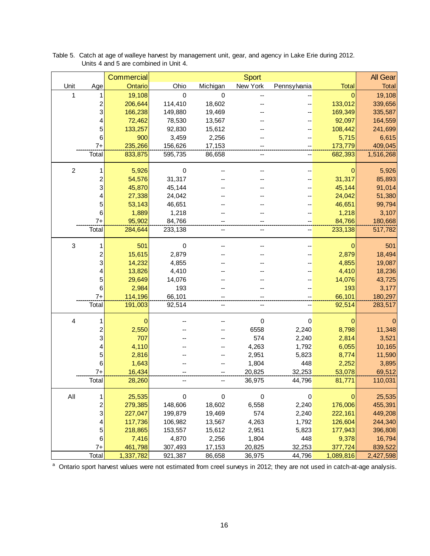|                |                              | Commercial       |                  |                  | <b>Sport</b>   |                |                  | <b>All Gear</b>   |
|----------------|------------------------------|------------------|------------------|------------------|----------------|----------------|------------------|-------------------|
| Unit           | Age                          | Ontario          | Ohio             | Michigan         | New York       | Pennsylvania   | <b>Total</b>     | <b>Total</b>      |
| 1              | 1                            | 19,108           | $\mathbf 0$      | 0                |                |                | 0                | 19,108            |
|                | $\overline{\mathbf{c}}$      | 206,644          | 114,410          | 18,602           |                |                | 133,012          | 339,656           |
|                | 3                            | 166,238          | 149,880          | 19,469           |                |                | 169,349          | 335,587           |
|                | 4                            | 72,462           | 78,530           | 13,567           |                |                | 92,097           | 164,559           |
|                | 5                            | 133,257          | 92,830           | 15,612           |                |                | 108,442          | 241,699           |
|                | $\,6$                        | 900              | 3,459            | 2,256            |                |                | 5,715            | 6,615             |
|                | $7+$                         | 235,266          | 156,626          | 17,153           |                |                | 173,779          | 409,045           |
|                | Total                        | 833,875          | 595,735          | 86,658           | --             | --             | 682,393          | 1,516,268         |
| $\overline{2}$ | 1                            | 5,926            | $\pmb{0}$        |                  |                |                | 0                | 5,926             |
|                | 2                            | 54,576           | 31,317           |                  |                |                | 31,317           | 85,893            |
|                | 3                            | 45,870           | 45,144           |                  |                |                | 45,144           | 91,014            |
|                | 4                            | 27,338           | 24,042           |                  |                |                | 24,042           | 51,380            |
|                | 5                            | 53,143           | 46,651           |                  |                |                | 46,651           | 99,794            |
|                | 6                            | 1,889            | 1,218            |                  |                |                | 1,218            | 3,107             |
|                | $7+$                         | 95,902           | 84,766           |                  |                |                | 84,766           | 180,668           |
|                | Total                        | 284,644          | 233,138          | --               | --             | --             | 233,138          | 517,782           |
| 3              | 1                            | 501              | $\mathbf 0$      |                  |                |                | 0                | 501               |
|                |                              | 15,615           | 2,879            |                  |                |                | 2,879            | 18,494            |
|                | $\overline{\mathbf{c}}$<br>3 | 14,232           | 4,855            |                  |                |                | 4,855            | 19,087            |
|                | 4                            | 13,826           | 4,410            |                  |                |                | 4,410            | 18,236            |
|                | 5                            | 29,649           | 14,076           |                  |                |                | 14,076           | 43,725            |
|                | $\,6$                        | 2,984            | 193              |                  |                |                | 193              | 3,177             |
|                | $7+$                         | 114,196          | 66,101           |                  |                |                | 66,101           | 180,297           |
|                | Total                        | 191,003          | 92,514           | --               | --             |                | 92,514           | 283,517           |
|                |                              |                  |                  |                  |                |                |                  |                   |
| 4              | 1                            | $\mathbf 0$      |                  |                  | $\pmb{0}$      | $\mathbf 0$    | $\mathbf 0$      | $\mathbf 0$       |
|                | $\overline{\mathbf{c}}$<br>3 | 2,550            |                  |                  | 6558           | 2,240          | 8,798            | 11,348            |
|                |                              | 707<br>4,110     |                  |                  | 574            | 2,240<br>1,792 | 2,814<br>6,055   | 3,521             |
|                | 4<br>5                       | 2,816            |                  |                  | 4,263<br>2,951 | 5,823          | 8,774            | 10,165<br>11,590  |
|                | $\,6$                        | 1,643            |                  |                  | 1,804          | 448            | 2,252            | 3,895             |
|                | $7+$                         | 16,434           |                  |                  | 20,825         | 32,253         | 53,078           | 69,512            |
|                | Total                        | 28,260           |                  | --               | 36,975         | 44,796         | 81,771           | 110,031           |
|                |                              |                  |                  |                  |                |                |                  |                   |
| All            | 1                            | 25,535           | $\mathbf 0$      | $\boldsymbol{0}$ | $\mathbf 0$    | $\mathbf 0$    | 0                | 25,535            |
|                | $\overline{\mathbf{c}}$      | 279,385          | 148,606          | 18,602           | 6,558          | 2,240          | 176,006          | 455,391           |
|                | 3                            | 227,047          | 199,879          | 19,469           | 574            | 2,240          | 222,161          | 449,208           |
|                | 4                            | 117,736          | 106,982          | 13,567           | 4,263          | 1,792          | 126,604          | 244,340           |
|                | 5<br>6                       | 218,865<br>7,416 | 153,557<br>4,870 | 15,612<br>2,256  | 2,951<br>1,804 | 5,823<br>448   | 177,943<br>9,378 | 396,808<br>16,794 |
|                | $7+$                         | 461,798          | 307,493          | 17,153           | 20,825         | 32,253         | 377,724          | 839,522           |
|                | Total                        | 1,337,782        | 921,387          | 86,658           | 36,975         | 44,796         | 1,089,816        | 2,427,598         |
|                |                              |                  |                  |                  |                |                |                  |                   |

Table 5. Catch at age of walleye harvest by management unit, gear, and agency in Lake Erie during 2012. Units 4 and 5 are combined in Unit 4.

<sup>a</sup> Ontario sport harvest values were not estimated from creel surveys in 2012; they are not used in catch-at-age analysis.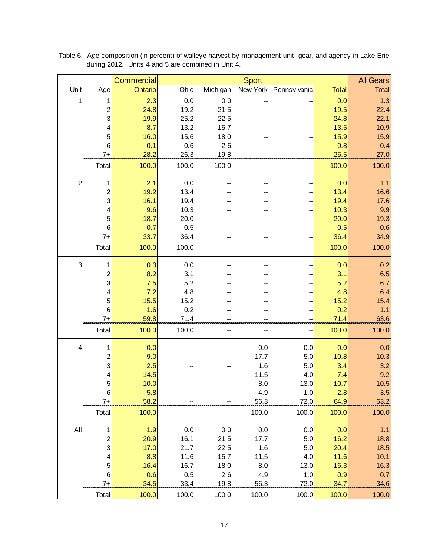|                         |                         | <b>Commercial</b> |       |          | <b>Sport</b> |                       |              | <b>All Gears</b> |
|-------------------------|-------------------------|-------------------|-------|----------|--------------|-----------------------|--------------|------------------|
| Unit                    | Age                     | Ontario           | Ohio  | Michigan |              | New York Pennsylvania | <b>Total</b> | <b>Total</b>     |
| $\mathbf{1}$            | 1                       | 2.3               | 0.0   | 0.0      |              |                       | 0.0          | 1.3              |
|                         | $\overline{\mathbf{c}}$ | 24.8              | 19.2  | 21.5     |              |                       | 19.5         | 22.4             |
|                         | 3                       | 19.9              | 25.2  | 22.5     |              |                       | 24.8         | 22.1             |
|                         | 4                       | 8.7               | 13.2  | 15.7     |              |                       | 13.5         | 10.9             |
|                         | 5                       | 16.0              | 15.6  | 18.0     |              |                       | 15.9         | 15.9             |
|                         | 6                       | 0.1               | 0.6   | 2.6      |              |                       | 0.8          | 0.4              |
|                         | $7+$                    | 28.2              | 26.3  | 19.8     |              |                       | 25.5         | 27.0             |
|                         | Total                   | 100.0             | 100.0 | 100.0    |              | --                    | 100.0        | 100.0            |
| $\overline{c}$          | 1                       | 2.1               | 0.0   |          |              |                       | 0.0          | 1.1              |
|                         | 2                       | 19.2              | 13.4  |          |              |                       | 13.4         | 16.6             |
|                         | 3                       | 16.1              | 19.4  |          |              |                       | 19.4         | 17.6             |
|                         | 4                       | 9.6               | 10.3  |          |              |                       | 10.3         | 9.9              |
|                         | 5                       | 18.7              | 20.0  |          |              |                       | 20.0         | 19.3             |
|                         | 6                       | 0.7               | 0.5   |          |              |                       | 0.5          | 0.6              |
|                         | $7+$                    | 33.7              | 36.4  |          |              |                       | 36.4         | 34.9             |
|                         | Total                   | 100.0             | 100.0 |          |              |                       | 100.0        | 100.0            |
| $\sqrt{3}$              | 1                       | 0.3               | 0.0   |          |              |                       | 0.0          | 0.2              |
|                         | $\overline{\mathbf{c}}$ | 8.2               | 3.1   |          |              |                       | 3.1          | 6.5              |
|                         | 3                       | 7.5               | 5.2   |          |              |                       | 5.2          | 6.7              |
|                         | 4                       | 7.2               | 4.8   |          |              |                       | 4.8          | 6.4              |
|                         | 5                       | 15.5              | 15.2  |          |              |                       | 15.2         | 15.4             |
|                         | 6                       | 1.6               | 0.2   |          |              |                       | 0.2          | 1.1              |
|                         | $7+$                    | 59.8              | 71.4  |          |              |                       | 71.4         | 63.6             |
|                         | Total                   | 100.0             | 100.0 | --       |              |                       | 100.0        | 100.0            |
| $\overline{\mathbf{4}}$ | 1                       | 0.0               |       |          | 0.0          | 0.0                   | 0.0          | 0.0              |
|                         | 2                       | 9.0               |       |          | 17.7         | 5.0                   | 10.8         | 10.3             |
|                         | 3                       | 2.5               |       |          | 1.6          | 5.0                   | 3.4          | 3.2              |
|                         |                         | 14.5              |       |          | 11.5         | 4.0                   | 7.4          | 9.2              |
|                         | 5 <sup>2</sup>          | 10.0              |       |          | 8.0          | 13.0                  | 10.7         | 10.5             |
|                         | 6                       | 5.8               |       |          | 4.9          | 1.0                   | 2.8          | 3.5              |
|                         | $7+$                    | 58.2              |       |          | 56.3         | 72.0                  | 64.9         | 63.2             |
|                         | Total                   | 100.0             |       |          | 100.0        | 100.0                 | 100.0        | 100.0            |
| All                     | 1                       | 1.9               | 0.0   | 0.0      | 0.0          | 0.0                   | 0.0          | 1.1              |
|                         | $\boldsymbol{2}$        | 20.9              | 16.1  | 21.5     | 17.7         | $5.0$                 | 16.2         | 18.8             |
|                         | $\vert 3 \vert$         | 17.0              | 21.7  | 22.5     | 1.6          | $5.0$                 | 20.4         | 18.5             |
|                         | 4                       | 8.8               | 11.6  | 15.7     | 11.5         | 4.0                   | 11.6         | 10.1             |
|                         | 5                       | 16.4              | 16.7  | 18.0     | 8.0          | 13.0                  | 16.3         | 16.3             |
|                         | 6                       | 0.6               | 0.5   | 2.6      | 4.9          | 1.0                   | 0.9          | 0.7              |
|                         | $7+$                    | 34.5              | 33.4  | 19.8     | 56.3         | 72.0                  | 34.7         | 34.6             |
|                         | Total                   | 100.0             | 100.0 | 100.0    | 100.0        | 100.0                 | 100.0        | 100.0            |

Table 6. Age composition (in percent) of walleye harvest by management unit, gear, and agency in Lake Erie during 2012. Units 4 and 5 are combined in Unit 4.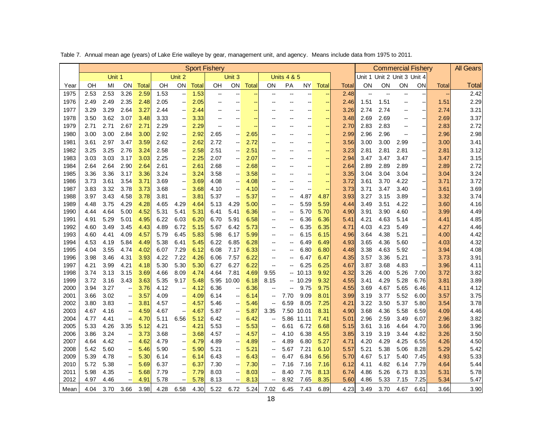|              | Table 7. Annual mean age (years) of Lake Erie walleye by gear, management unit, and agency. Means include data from 1975 to 2011. |              |                                     |              |              |                                                      |              |                      |                          |              |                          |                          |                          |                          |              |              |              |                             |                          |              |                  |
|--------------|-----------------------------------------------------------------------------------------------------------------------------------|--------------|-------------------------------------|--------------|--------------|------------------------------------------------------|--------------|----------------------|--------------------------|--------------|--------------------------|--------------------------|--------------------------|--------------------------|--------------|--------------|--------------|-----------------------------|--------------------------|--------------|------------------|
|              |                                                                                                                                   |              |                                     |              |              |                                                      |              | <b>Sport Fishery</b> |                          |              |                          |                          |                          |                          |              |              |              | <b>Commercial Fishery</b>   |                          |              | <b>All Gears</b> |
|              |                                                                                                                                   | Unit 1       |                                     |              |              | Unit 2                                               |              |                      | Unit 3                   |              |                          | <b>Units 4 &amp; 5</b>   |                          |                          |              |              |              | Unit 1 Unit 2 Unit 3 Unit 4 |                          |              |                  |
| Year         | OH                                                                                                                                | MI           | ΟN                                  | <b>Total</b> | OН           | ON                                                   | <b>Total</b> | OН                   | ON                       | <b>Total</b> | OΝ                       | PA                       | NY.                      | <b>Total</b>             | Total        | ΟN           | ON           | ON                          | ΟN                       | <b>Total</b> | Total            |
| 1975         | 2.53                                                                                                                              | 2.53         | 3.26                                | 2.59         | 1.53         | $\overline{\phantom{a}}$                             | 1.53         | --                   |                          |              |                          | $\overline{\phantom{a}}$ |                          |                          | 2.48         |              |              | --                          |                          |              | 2.42             |
| 1976         | 2.49                                                                                                                              | 2.49         | 2.35                                | 2.48         | 2.05         | $\overline{\phantom{a}}$                             | 2.05         | --                   |                          | ÷            | --                       | $\overline{\phantom{a}}$ | --                       | $\rightarrow$            | 2.46         | 1.51         | 1.51         | $\overline{a}$              | $\overline{\phantom{a}}$ | 1.51         | 2.29             |
| 1977         | 3.29                                                                                                                              | 3.29         | 2.64                                | 3.27         | 2.44         | $\overline{\phantom{a}}$                             | 2.44         | --                   |                          | ÷            |                          | $\overline{\phantom{a}}$ | Ξ.                       |                          | 3.26         | 2.74         | 2.74         | --                          | $\overline{\phantom{a}}$ | 2.74         | 3.21             |
| 1978         | 3.50                                                                                                                              | 3.62         | 3.07                                | 3.48         | 3.33         | $\overline{\phantom{a}}$                             | 3.33         | --                   |                          | Ξ,           |                          |                          |                          | ÷                        | 3.48         | 2.69         | 2.69         |                             | $\overline{\phantom{a}}$ | 2.69         | 3.37             |
| 1979         | 2.71                                                                                                                              | 2.71         | 2.67                                | 2.71         | 2.29         | $\overline{\phantom{a}}$                             | 2.29         | --                   | $\overline{a}$           | ц.           |                          |                          | --                       |                          | 2.70         | 2.83         | 2.83         | --                          | $\overline{\phantom{a}}$ | 2.83         | 2.72             |
| 1980         | 3.00                                                                                                                              | 3.00         | 2.84                                | 3.00         | 2.92         | $\overline{\phantom{a}}$                             | 2.92         | 2.65                 | $\overline{a}$           | 2.65         | --                       | $\overline{a}$           | --                       | ÷                        | 2.99         | 2.96         | 2.96         | --                          | $\overline{\phantom{a}}$ | 2.96         | 2.98             |
| 1981         | 3.61                                                                                                                              | 2.97         | 3.47                                | 3.59         | 2.62         | $\overline{\phantom{a}}$                             | 2.62         | 2.72                 | $\overline{a}$           | 2.72         | $\overline{a}$           | $\overline{a}$           | $\overline{a}$           | $\overline{\phantom{a}}$ | 3.56         | 3.00         | 3.00         | 2.99                        | $\overline{\phantom{a}}$ | 3.00         | 3.41             |
| 1982         | 3.25                                                                                                                              | 3.25         | 2.76                                | 3.24         | 2.58         | $\overline{\phantom{a}}$                             | 2.58         | 2.51                 | --                       | 2.51         | $\overline{\phantom{a}}$ | $\overline{a}$           | --                       |                          | 3.23         | 2.81         | 2.81         | 2.81                        | $\overline{\phantom{a}}$ | 2.81         | 3.12             |
| 1983         | 3.03                                                                                                                              | 3.03         | 3.17                                | 3.03         | 2.25         | $\overline{\phantom{a}}$                             | 2.25         | 2.07                 | $\overline{\phantom{a}}$ | 2.07         | $\overline{a}$           | $\overline{a}$           | --                       | $\sim$                   | 2.94         | 3.47         | 3.47         | 3.47                        | $\overline{\phantom{a}}$ | 3.47         | 3.15             |
| 1984         | 2.64                                                                                                                              | 2.64         | 2.90                                | 2.64         | 2.61         | $\overline{\phantom{a}}$                             | 2.61         | 2.68                 | $\overline{\phantom{a}}$ | 2.68         |                          |                          | --                       |                          | 2.64         | 2.89         | 2.89         | 2.89                        | $\overline{\phantom{a}}$ | 2.89         | 2.72             |
| 1985         | 3.36                                                                                                                              | 3.36         | 3.17                                | 3.36         | 3.24         | $\overline{\phantom{a}}$                             | 3.24         | 3.58                 | --                       | 3.58         |                          | --                       | --                       |                          | 3.35         | 3.04         | 3.04         | 3.04                        | $\overline{\phantom{a}}$ | 3.04         | 3.24             |
| 1986         | 3.73                                                                                                                              | 3.61         | 3.54                                | 3.71         | 3.69         | $\overline{\phantom{a}}$                             | 3.69         | 4.08                 | --                       | 4.08         | --                       | $\overline{\phantom{a}}$ | --                       | $\rightarrow$            | 3.72         | 3.61         | 3.70         | 4.22                        | $\overline{\phantom{a}}$ | 3.71         | 3.72             |
| 1987         | 3.83                                                                                                                              | 3.32         | 3.78                                | 3.73         | 3.68         | $\overline{\phantom{a}}$                             | 3.68         | 4.10                 | $\overline{\phantom{a}}$ | 4.10         | $\overline{\phantom{a}}$ | $\overline{\phantom{a}}$ | $\overline{\phantom{a}}$ | $\rightarrow$            | 3.73         | 3.71         | 3.47         | 3.40                        | $\overline{\phantom{a}}$ | 3.61         | 3.69             |
| 1988         | 3.97                                                                                                                              | 3.43         | 4.58                                | 3.78         | 3.81         | $\overline{\phantom{a}}$                             | 3.81         | 5.37                 | $\overline{\phantom{a}}$ | 5.37         |                          | $\overline{\phantom{a}}$ | 4.87                     | 4.87                     | 3.93         | 3.27         | 3.15         | 3.89                        | $\overline{\phantom{a}}$ | 3.32         | 3.74             |
| 1989         | 4.48                                                                                                                              | 3.75         | 4.29                                | 4.28         | 4.65         | 4.29                                                 | 4.64         | 5.13                 | 4.29                     | 5.00         | --                       | $\overline{a}$           | 5.59                     | 5.59                     | 4.44         | 3.49         | 3.51         | 4.22                        | $\overline{\phantom{a}}$ | 3.60         | 4.16             |
| 1990         | 4.44                                                                                                                              | 4.64         | 5.00                                | 4.52         | 5.31         | 5.41                                                 | 5.31         | 6.41                 | 5.41                     | 6.36         |                          |                          | 5.70                     | 5.70                     | 4.90         | 3.91         | 3.90         | 4.60                        | $\overline{\phantom{a}}$ | 3.99         | 4.49             |
| 1991         | 4.91                                                                                                                              | 5.29         | 5.01                                | 4.95         | 6.22         | 6.03                                                 | 6.20         | 6.70                 | 5.91                     | 6.58         | $\overline{a}$           | $\overline{a}$           | 6.36                     | 6.36                     | 5.41         | 4.21         | 4.63         | 5.14                        | $\overline{\phantom{a}}$ | 4.41         | 4.85             |
| 1992         | 4.60                                                                                                                              | 3.49         | 3.45                                | 4.43         | 4.89         | 6.72                                                 | 5.15         | 5.67                 | 6.42                     | 5.73         | $-$                      | $\overline{\phantom{a}}$ | 6.35                     | 6.35                     | 4.71         | 4.03         | 4.23         | 5.49                        | $\overline{\phantom{a}}$ | 4.27         | 4.46             |
| 1993         | 4.60                                                                                                                              | 4.41         | 4.09                                | 4.57         | 5.79         | 6.45                                                 | 5.83         | 5.98                 | 6.17                     | 5.99         | --                       | --                       | 6.15                     | 6.15                     | 4.96         | 3.64         | 4.38         | 5.21                        | $\overline{\phantom{a}}$ | 4.00         | 4.42             |
| 1994         | 4.53                                                                                                                              | 4.19         | 5.84                                | 4.49         | 5.38         | 6.41                                                 | 5.45         | 6.22                 | 6.85                     | 6.28         |                          |                          | 6.49                     | 6.49                     | 4.93         | 3.65         | 4.36         | 5.60                        | $\overline{\phantom{a}}$ | 4.03         | 4.32             |
| 1995         | 4.04                                                                                                                              | 3.55         | 4.74                                | 4.02         | 6.07         | 7.29                                                 | 6.12         | 6.08                 | 7.17                     | 6.33         | $\overline{a}$           | --                       | 6.80                     | 6.80                     | 4.48         | 3.38         | 4.63         | 5.92                        | $\overline{\phantom{a}}$ | 3.94         | 4.08             |
| 1996         | 3.98                                                                                                                              | 3.46         | 4.31                                | 3.93         | 4.22         | 7.22                                                 | 4.26         | 6.06                 | 7.57                     | 6.22         |                          |                          | 6.47                     | 6.47                     | 4.35         | 3.57         | 3.36         | 5.21                        |                          | 3.73         | 3.91             |
| 1997         | 4.21                                                                                                                              | 3.99         | 4.21                                | 4.18         | 5.30         | 5.30                                                 | 5.30         | 6.27                 | 6.27                     | 6.22         | $\overline{a}$           | $\overline{a}$           | 6.25                     | 6.25                     | 4.67         | 3.87         | 3.68         | 4.83                        |                          | 3.96         | 4.11             |
| 1998         | 3.74                                                                                                                              | 3.13         | 3.15                                | 3.69         | 4.66         | 8.09                                                 | 4.74         | 4.64                 | 7.81                     | 4.69         | 9.55                     |                          | $-10.13$                 | 9.92                     | 4.32         | 3.26         | 4.00         | 5.26                        | 7.00                     | 3.72         | 3.82             |
| 1999         | 3.72                                                                                                                              | 3.16         | 3.43                                | 3.63         | 5.35         | 9.17                                                 | 5.48         |                      | 5.95 10.00               | 6.18         | 8.15                     |                          | $-10.29$                 | 9.32                     | 4.55         | 3.41         | 4.29         | 5.28                        | 6.76                     | 3.81         | 3.89             |
| 2000         | 3.94                                                                                                                              | 3.27         | $\overline{\phantom{a}}$            | 3.76         | 4.12         | $\overline{\phantom{a}}$                             | 4.12         | 6.36                 | $\overline{\phantom{a}}$ | 6.36         |                          | --                       | 9.75                     | 9.75                     | 4.55         | 3.69         | 4.67         | 5.65                        | 6.46                     | 4.11         | 4.12             |
| 2001         | 3.66                                                                                                                              | 3.02         | $\overline{\phantom{a}}$            | 3.57         | 4.09         | $\overline{\phantom{a}}$                             | 4.09         | 6.14                 | --                       | 6.14         |                          | 7.70                     | 9.09                     | 8.01                     | 3.99         | 3.19         | 3.77         | 5.52                        | 6.00                     | 3.57         | 3.75             |
| 2002         | 3.80                                                                                                                              | 3.83         | $\overline{\phantom{a}}$            | 3.81         | 4.57         | $\overline{\phantom{a}}$                             | 4.57         | 5.46                 | $\overline{\phantom{a}}$ | 5.46         | --                       | 6.59                     | 8.05                     | 7.25                     | 4.21         | 3.22         | 3.50         | 5.37                        | 5.80                     | 3.54         | 3.78             |
| 2003         | 4.67                                                                                                                              | 4.16         | $\overline{\phantom{a}}$            | 4.59         | 4.67         | $\overline{\phantom{a}}$                             | 4.67         | 5.87                 | $\overline{\phantom{a}}$ | 5.87         | 3.35                     |                          | 7.50 10.01               | 8.31                     | 4.90         | 3.68         | 4.36         | 5.58                        | 6.59                     | 4.09         | 4.46             |
| 2004         | 4.77                                                                                                                              | 4.41         | $\overline{\phantom{a}}$            | 4.70         | 5.11         | 6.56                                                 | 5.12         | 6.42                 | $\overline{\phantom{a}}$ | 6.42         |                          |                          | 5.86 11.11               | 7.41                     | 5.01         | 2.96         | 2.59         | 3.49                        | 6.07                     | 2.96         | 3.82             |
| 2005         | 5.33                                                                                                                              | 4.26         | 3.35                                | 5.12         | 4.21         | $\overline{\phantom{a}}$                             | 4.21         | 5.53                 | --                       | 5.53         | $\overline{a}$           | 6.61                     | 6.72                     | 6.68                     | 5.15         | 3.61         | 3.16         | 4.64                        | 4.70                     | 3.66         | 3.96             |
| 2006<br>2007 | 3.86<br>4.64                                                                                                                      | 3.24<br>4.42 | $\ddot{\phantom{1}}$                | 3.73<br>4.62 | 3.68<br>4.79 | $\overline{\phantom{a}}$                             | 3.68<br>4.79 | 4.57<br>4.89         | --<br>--                 | 4.57         | --                       | 4.10<br>4.89             | 6.38<br>6.80             | 4.55                     | 3.85<br>4.71 | 3.19<br>4.20 | 3.19<br>4.29 | 3.44<br>4.25                | 4.82<br>6.55             | 3.26<br>4.26 | 3.50<br>4.50     |
| 2008         | 5.42                                                                                                                              | 5.60         | $\qquad \qquad -$<br>$\overline{a}$ | 5.46         | 5.90         | $\overline{\phantom{a}}$                             | 5.90         | 5.21                 | --                       | 4.89<br>5.21 |                          | 5.67                     | 7.21                     | 5.27                     | 5.57         | 5.21         | 5.38         | 5.06                        | 8.28                     | 5.29         | 5.42             |
| 2009         | 5.39                                                                                                                              | 4.78         | $\overline{\phantom{a}}$            | 5.30         | 6.14         | $\overline{\phantom{a}}$<br>$\overline{\phantom{a}}$ |              | 6.43                 | $\overline{a}$           | 6.43         |                          | 6.47                     | 6.84                     | 6.10<br>6.56             | 5.70         | 4.67         | 5.17         | 5.40                        | 7.45                     | 4.93         | 5.33             |
| 2010         | 5.72                                                                                                                              | 5.38         | $\overline{a}$                      | 5.69         | 6.37         | $\overline{\phantom{a}}$                             | 6.14<br>6.37 | 7.30                 | $\overline{\phantom{a}}$ | 7.30         |                          | 7.16                     | 7.16                     | 7.16                     | 6.12         | 4.11         | 4.82         | 6.14                        | 7.79                     | 4.64         | 5.44             |
| 2011         | 5.98                                                                                                                              | 4.35         | $\overline{\phantom{a}}$            | 5.68         | 7.79         | $\overline{\phantom{a}}$                             | 7.79         | 8.03                 | $\overline{\phantom{a}}$ | 8.03         |                          | 8.40                     | 7.76                     | 8.13                     | 6.74         | 4.86         | 5.26         | 6.73                        | 8.33                     | 5.31         | 5.78             |
| 2012         | 4.97                                                                                                                              | 4.46         | $\overline{a}$                      | 4.91         | 5.78         | $\overline{\phantom{a}}$                             | 5.78         | 8.13                 | $\overline{\phantom{a}}$ | 8.13         |                          | 8.92                     | 7.65                     | 8.35                     | 5.60         | 4.86         | 5.33         | 7.15                        | 7.25                     | 5.34         | 5.47             |
| Mean         | 4.04                                                                                                                              | 3.70         | 3.66                                | 3.98         | 4.28         | 6.58                                                 | 4.30         | 5.22                 | 6.72                     | 5.24         | 7.02                     | 6.45                     | 7.43                     | 6.89                     | 4.23         | 3.49         | 3.70         | 4.67                        | 6.61                     | 3.66         | 3.90             |
|              |                                                                                                                                   |              |                                     |              |              |                                                      |              |                      |                          |              |                          |                          |                          |                          |              |              |              |                             |                          |              |                  |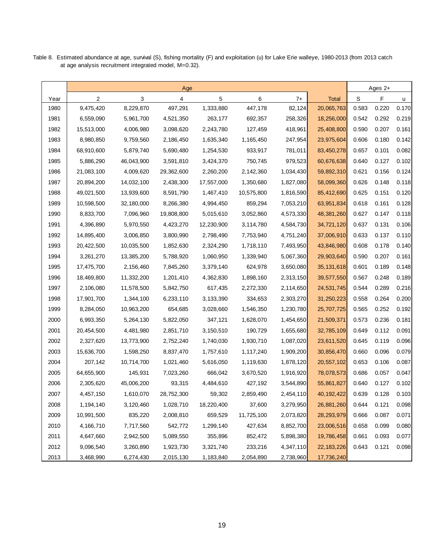|      | Age            |            |            |            |            |           |              |       | Ages 2+ |       |
|------|----------------|------------|------------|------------|------------|-----------|--------------|-------|---------|-------|
| Year | $\overline{2}$ | 3          | 4          | 5          | 6          | $7+$      | <b>Total</b> | S     | F       | u     |
| 1980 | 9,475,420      | 8,229,870  | 497,291    | 1,333,880  | 447,178    | 82,124    | 20,065,763   | 0.583 | 0.220   | 0.170 |
| 1981 | 6,559,090      | 5,961,700  | 4,521,350  | 263,177    | 692,357    | 258,326   | 18,256,000   | 0.542 | 0.292   | 0.219 |
| 1982 | 15,513,000     | 4,006,980  | 3,098,620  | 2,243,780  | 127,459    | 418,961   | 25,408,800   | 0.590 | 0.207   | 0.161 |
| 1983 | 8,980,850      | 9,759,560  | 2,186,450  | 1,635,340  | 1,165,450  | 247,954   | 23,975,604   | 0.606 | 0.180   | 0.142 |
| 1984 | 68,910,600     | 5,879,740  | 5,690,480  | 1,254,530  | 933,917    | 781,011   | 83,450,278   | 0.657 | 0.101   | 0.082 |
| 1985 | 5,886,290      | 46,043,900 | 3,591,810  | 3,424,370  | 750,745    | 979,523   | 60,676,638   | 0.640 | 0.127   | 0.102 |
| 1986 | 21,083,100     | 4,009,620  | 29,362,600 | 2,260,200  | 2,142,360  | 1,034,430 | 59,892,310   | 0.621 | 0.156   | 0.124 |
| 1987 | 20,894,200     | 14,032,100 | 2,438,300  | 17,557,000 | 1,350,680  | 1,827,080 | 58,099,360   | 0.626 | 0.148   | 0.118 |
| 1988 | 49,021,500     | 13,939,600 | 8,591,790  | 1,467,410  | 10,575,800 | 1,816,590 | 85,412,690   | 0.625 | 0.151   | 0.120 |
| 1989 | 10,598,500     | 32,180,000 | 8,266,380  | 4,994,450  | 859,294    | 7,053,210 | 63,951,834   | 0.618 | 0.161   | 0.128 |
| 1990 | 8,833,700      | 7,096,960  | 19,808,800 | 5,015,610  | 3,052,860  | 4,573,330 | 48,381,260   | 0.627 | 0.147   | 0.118 |
| 1991 | 4,396,890      | 5,970,550  | 4,423,270  | 12,230,900 | 3,114,780  | 4,584,730 | 34,721,120   | 0.637 | 0.131   | 0.106 |
| 1992 | 14,895,400     | 3,006,850  | 3,800,990  | 2,798,490  | 7,753,940  | 4,751,240 | 37,006,910   | 0.633 | 0.137   | 0.110 |
| 1993 | 20,422,500     | 10,035,500 | 1,852,630  | 2,324,290  | 1,718,110  | 7,493,950 | 43,846,980   | 0.608 | 0.178   | 0.140 |
| 1994 | 3,261,270      | 13,385,200 | 5,788,920  | 1,060,950  | 1,339,940  | 5,067,360 | 29,903,640   | 0.590 | 0.207   | 0.161 |
| 1995 | 17,475,700     | 2,156,460  | 7,845,260  | 3,379,140  | 624,978    | 3,650,080 | 35, 131, 618 | 0.601 | 0.189   | 0.148 |
| 1996 | 18,469,800     | 11,332,200 | 1,201,410  | 4,362,830  | 1,898,160  | 2,313,150 | 39,577,550   | 0.567 | 0.248   | 0.189 |
| 1997 | 2,106,080      | 11,578,500 | 5,842,750  | 617,435    | 2,272,330  | 2,114,650 | 24,531,745   | 0.544 | 0.289   | 0.216 |
| 1998 | 17,901,700     | 1,344,100  | 6,233,110  | 3,133,390  | 334,653    | 2,303,270 | 31,250,223   | 0.558 | 0.264   | 0.200 |
| 1999 | 8,284,050      | 10,963,200 | 654,685    | 3,028,660  | 1,546,350  | 1,230,780 | 25,707,725   | 0.565 | 0.252   | 0.192 |
| 2000 | 6,993,350      | 5,264,130  | 5,822,050  | 347,121    | 1,628,070  | 1,454,650 | 21,509,371   | 0.573 | 0.236   | 0.181 |
| 2001 | 20,454,500     | 4,481,980  | 2,851,710  | 3,150,510  | 190,729    | 1,655,680 | 32,785,109   | 0.649 | 0.112   | 0.091 |
| 2002 | 2,327,620      | 13,773,900 | 2,752,240  | 1,740,030  | 1,930,710  | 1,087,020 | 23,611,520   | 0.645 | 0.119   | 0.096 |
| 2003 | 15,636,700     | 1,598,250  | 8,837,470  | 1,757,610  | 1,117,240  | 1,909,200 | 30,856,470   | 0.660 | 0.096   | 0.079 |
| 2004 | 207,142        | 10,714,700 | 1,021,460  | 5,616,050  | 1,119,630  | 1,878,120 | 20,557,102   | 0.653 | 0.106   | 0.087 |
| 2005 | 64,655,900     | 145,931    | 7,023,260  | 666,042    | 3,670,520  | 1,916,920 | 78,078,573   | 0.686 | 0.057   | 0.047 |
| 2006 | 2,305,620      | 45,006,200 | 93,315     | 4,484,610  | 427,192    | 3,544,890 | 55,861,827   | 0.640 | 0.127   | 0.102 |
| 2007 | 4,457,150      | 1,610,070  | 28,752,300 | 59,302     | 2,859,490  | 2,454,110 | 40, 192, 422 | 0.639 | 0.128   | 0.103 |
| 2008 | 1,194,140      | 3,120,460  | 1,028,710  | 18,220,400 | 37,600     | 3,279,950 | 26,881,260   | 0.644 | 0.121   | 0.098 |
| 2009 | 10,991,500     | 835,220    | 2,008,810  | 659,529    | 11,725,100 | 2,073,820 | 28,293,979   | 0.666 | 0.087   | 0.071 |
| 2010 | 4,166,710      | 7,717,560  | 542,772    | 1,299,140  | 427,634    | 8,852,700 | 23,006,516   | 0.658 | 0.099   | 0.080 |
| 2011 | 4,647,660      | 2,942,500  | 5,089,550  | 355,896    | 852,472    | 5,898,380 | 19,786,458   | 0.661 | 0.093   | 0.077 |
| 2012 | 9,096,540      | 3,260,890  | 1,923,730  | 3,321,740  | 233,216    | 4,347,110 | 22, 183, 226 | 0.643 | 0.121   | 0.098 |
| 2013 | 3,468,990      | 6,274,430  | 2,015,130  | 1,183,840  | 2,054,890  | 2,738,960 | 17,736,240   |       |         |       |

Table 8. Estimated abundance at age, survival (S), fishing mortality (F) and exploitation (u) for Lake Erie walleye, 1980-2013 (from 2013 catch at age analysis recruitment integrated model, M=0.32).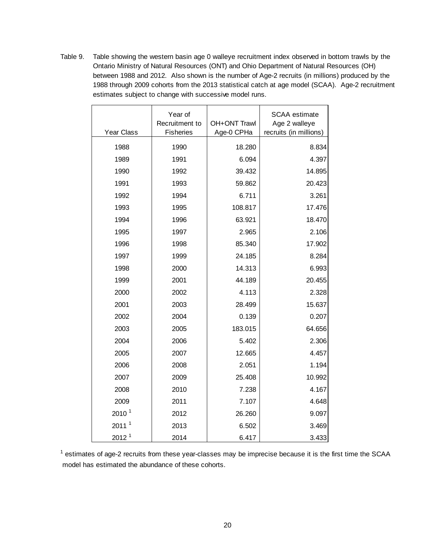Table 9. Table showing the western basin age 0 walleye recruitment index observed in bottom trawls by the Ontario Ministry of Natural Resources (ONT) and Ohio Department of Natural Resources (OH) between 1988 and 2012. Also shown is the number of Age-2 recruits (in millions) produced by the 1988 through 2009 cohorts from the 2013 statistical catch at age model (SCAA). Age-2 recruitment estimates subject to change with successive model runs.

| Year Class        | Year of<br>Recruitment to<br><b>Fisheries</b> | OH+ONT Trawl<br>Age-0 CPHa | SCAA estimate<br>Age 2 walleye<br>recruits (in millions) |
|-------------------|-----------------------------------------------|----------------------------|----------------------------------------------------------|
| 1988              | 1990                                          | 18.280                     | 8.834                                                    |
| 1989              | 1991                                          | 6.094                      | 4.397                                                    |
| 1990              | 1992                                          | 39.432                     | 14.895                                                   |
| 1991              | 1993                                          | 59.862                     | 20.423                                                   |
| 1992              | 1994                                          | 6.711                      | 3.261                                                    |
| 1993              | 1995                                          | 108.817                    | 17.476                                                   |
| 1994              | 1996                                          | 63.921                     | 18.470                                                   |
| 1995              | 1997                                          | 2.965                      | 2.106                                                    |
| 1996              | 1998                                          | 85.340                     | 17.902                                                   |
| 1997              | 1999                                          | 24.185                     | 8.284                                                    |
| 1998              | 2000                                          | 14.313                     | 6.993                                                    |
| 1999              | 2001                                          | 44.189                     | 20.455                                                   |
| 2000              | 2002                                          | 4.113                      | 2.328                                                    |
| 2001              | 2003                                          | 28.499                     | 15.637                                                   |
| 2002              | 2004                                          | 0.139                      | 0.207                                                    |
| 2003              | 2005                                          | 183.015                    | 64.656                                                   |
| 2004              | 2006                                          | 5.402                      | 2.306                                                    |
| 2005              | 2007                                          | 12.665                     | 4.457                                                    |
| 2006              | 2008                                          | 2.051                      | 1.194                                                    |
| 2007              | 2009                                          | 25.408                     | 10.992                                                   |
| 2008              | 2010                                          | 7.238                      | 4.167                                                    |
| 2009              | 2011                                          | 7.107                      | 4.648                                                    |
| 2010 <sup>1</sup> | 2012                                          | 26.260                     | 9.097                                                    |
| 2011 <sup>1</sup> | 2013                                          | 6.502                      | 3.469                                                    |
| 2012 <sup>1</sup> | 2014                                          | 6.417                      | 3.433                                                    |

 $1$  estimates of age-2 recruits from these year-classes may be imprecise because it is the first time the SCAA model has estimated the abundance of these cohorts.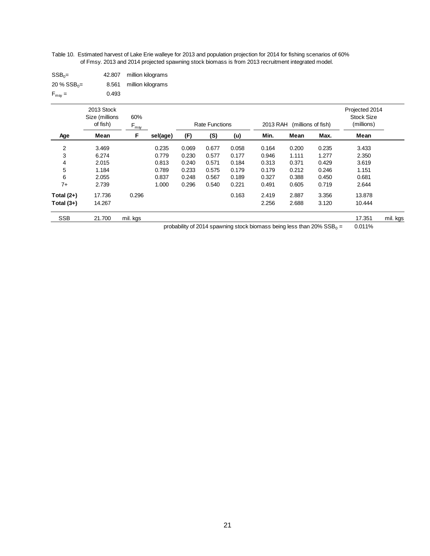Table 10. Estimated harvest of Lake Erie walleye for 2013 and population projection for 2014 for fishing scenarios of 60% of Fmsy. 2013 and 2014 projected spawning stock biomass is from 2013 recruitment integrated model.

| $SSB_0 =$                 |       | 42.807 million kilograms |
|---------------------------|-------|--------------------------|
| $20\%$ SSB <sub>0</sub> = |       | 8.561 million kilograms  |
| $F_{\text{msg}} =$        | 0.493 |                          |

|                | 2013 Stock<br>Size (millions<br>of fish) | 60%<br>F <sub>msy</sub> |          |       | <b>Rate Functions</b> |       | 2013 RAH |       | (millions of fish) | Projected 2014<br><b>Stock Size</b><br>(millions) |          |
|----------------|------------------------------------------|-------------------------|----------|-------|-----------------------|-------|----------|-------|--------------------|---------------------------------------------------|----------|
| Age            | Mean                                     | F                       | sel(age) | (F)   | (S)                   | (u)   | Min.     | Mean  | Max.               | Mean                                              |          |
| $\overline{2}$ | 3.469                                    |                         | 0.235    | 0.069 | 0.677                 | 0.058 | 0.164    | 0.200 | 0.235              | 3.433                                             |          |
| 3              | 6.274                                    |                         | 0.779    | 0.230 | 0.577                 | 0.177 | 0.946    | 1.111 | 1.277              | 2.350                                             |          |
| 4              | 2.015                                    |                         | 0.813    | 0.240 | 0.571                 | 0.184 | 0.313    | 0.371 | 0.429              | 3.619                                             |          |
| 5              | 1.184                                    |                         | 0.789    | 0.233 | 0.575                 | 0.179 | 0.179    | 0.212 | 0.246              | 1.151                                             |          |
| 6              | 2.055                                    |                         | 0.837    | 0.248 | 0.567                 | 0.189 | 0.327    | 0.388 | 0.450              | 0.681                                             |          |
| $7+$           | 2.739                                    |                         | 1.000    | 0.296 | 0.540                 | 0.221 | 0.491    | 0.605 | 0.719              | 2.644                                             |          |
| Total $(2+)$   | 17.736                                   | 0.296                   |          |       |                       | 0.163 | 2.419    | 2.887 | 3.356              | 13.878                                            |          |
| Total $(3+)$   | 14.267                                   |                         |          |       |                       |       | 2.256    | 2.688 | 3.120              | 10.444                                            |          |
| <b>SSB</b>     | 21.700                                   | mil. kgs                |          |       |                       |       |          |       |                    | 17.351                                            | mil. kgs |

probability of 2014 spawning stock biomass being less than 20%  $SSB_0 =$ = 0.011%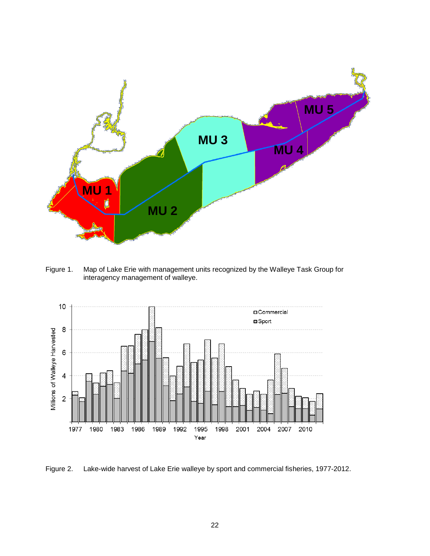

Figure 1. Map of Lake Erie with management units recognized by the Walleye Task Group for interagency management of walleye.



Figure 2. Lake-wide harvest of Lake Erie walleye by sport and commercial fisheries, 1977-2012.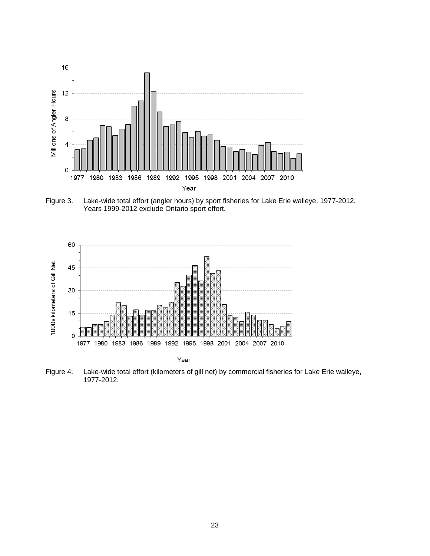

Figure 3. Lake-wide total effort (angler hours) by sport fisheries for Lake Erie walleye, 1977-2012. Years 1999-2012 exclude Ontario sport effort.



Figure 4. Lake-wide total effort (kilometers of gill net) by commercial fisheries for Lake Erie walleye, 1977-2012.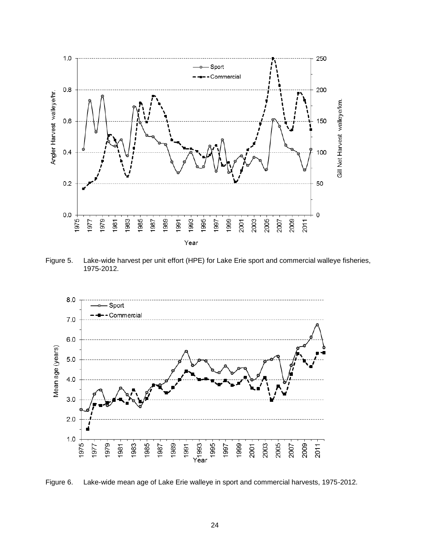

Figure 5. Lake-wide harvest per unit effort (HPE) for Lake Erie sport and commercial walleye fisheries, 1975-2012.



Figure 6. Lake-wide mean age of Lake Erie walleye in sport and commercial harvests, 1975-2012.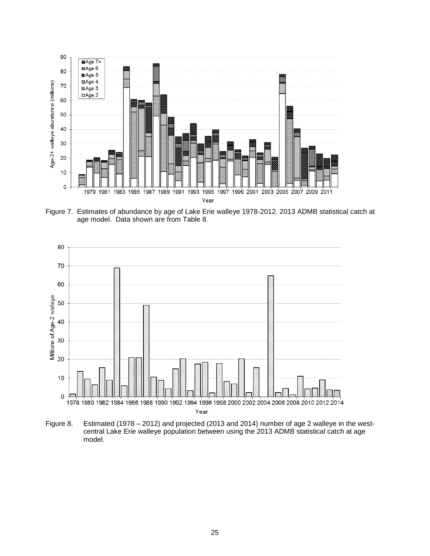

Figure 7. Estimates of abundance by age of Lake Erie walleye 1978-2012. 2013 ADMB statistical catch at age model. Data shown are from Table 8.



Figure 8. Estimated (1978 – 2012) and projected (2013 and 2014) number of age 2 walleye in the westcentral Lake Erie walleye population between using the 2013 ADMB statistical catch at age model.